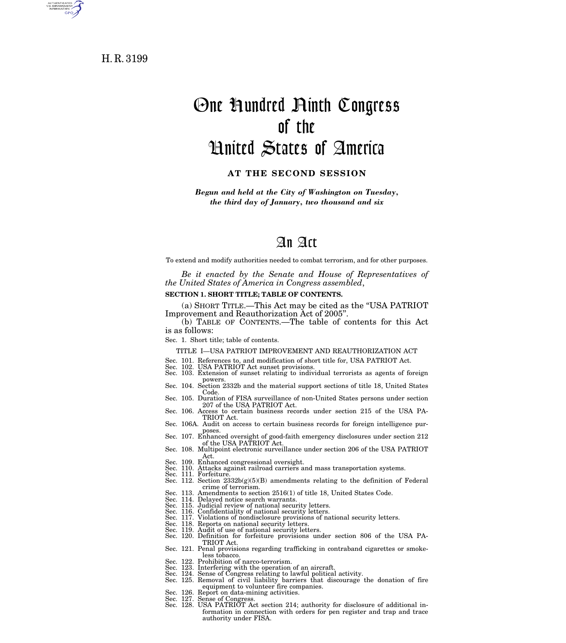# H. R. 3199

# One Hundred Ninth Congress of the United States of America

# **AT THE SECOND SESSION**

*Begun and held at the City of Washington on Tuesday, the third day of January, two thousand and six* 

# An Act

To extend and modify authorities needed to combat terrorism, and for other purposes.

*Be it enacted by the Senate and House of Representatives of the United States of America in Congress assembled*,

#### **SECTION 1. SHORT TITLE; TABLE OF CONTENTS.**

(a) SHORT TITLE.—This Act may be cited as the ''USA PATRIOT Improvement and Reauthorization Act of 2005''.

(b) TABLE OF CONTENTS.—The table of contents for this Act is as follows:

#### Sec. 1. Short title; table of contents.

TITLE I—USA PATRIOT IMPROVEMENT AND REAUTHORIZATION ACT

- Sec. 101. References to, and modification of short title for, USA PATRIOT Act.
- Sec. 102. USA PATRIOT Act sunset provisions.
- Sec. 103. Extension of sunset relating to individual terrorists as agents of foreign
- powers. Sec. 104. Section 2332b and the material support sections of title 18, United States Code.
- Sec. 105. Duration of FISA surveillance of non-United States persons under section 207 of the USA PATRIOT Act. Sec. 106. Access to certain business records under section 215 of the USA PA-
- TRIOT Act. Sec. 106A. Audit on access to certain business records for foreign intelligence pur-
- poses. Sec. 107. Enhanced oversight of good-faith emergency disclosures under section 212
- of the USA PATRIOT Act.
- Sec. 108. Multipoint electronic surveillance under section 206 of the USA PATRIOT Act.
- Sec. 109. Enhanced congressional oversight.
- Sec. 110. Attacks against railroad carriers and mass transportation systems. Sec. 111. Forfeiture.
- 
- Sec. 112. Section 2332b(g)(5)(B) amendments relating to the definition of Federal crime of terrorism.
- Sec. 113. Amendments to section 2516(1) of title 18, United States Code.
- Sec. 114. Delayed notice search warrants. Sec. 115. Judicial review of national security letters.
- 
- Sec. 116. Confidentiality of national security letters. Sec. 117. Violations of nondisclosure provisions of national security letters. Sec. 118. Reports on national security letters.
- 
- Sec. 119. Audit of use of national security letters.
- Sec. 120. Definition for forfeiture provisions under section 806 of the USA PA-TRIOT Act.
- Sec. 121. Penal provisions regarding trafficking in contraband cigarettes or smokeless tobacco.
- Sec. 122. Prohibition of narco-terrorism.
- 
- 
- Sec. 123. Interfering with the operation of an aircraft. Sec. 124. Sense of Congress relating to lawful political activity. Sec. 125. Removal of civil liability barriers that discourage the donation of fire equipment to volunteer fire companies. Sec. 126. Report on data-mining activities.
- 
- Sec. 127. Sense of Congress.
- Sec. 128. USA PATRIOT Act section 214; authority for disclosure of additional information in connection with orders for pen register and trap and trace authority under FISA.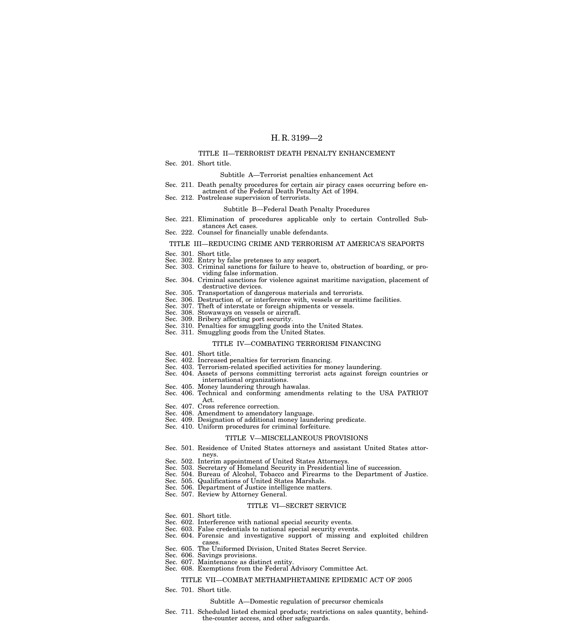# TITLE II—TERRORIST DEATH PENALTY ENHANCEMENT

Sec. 201. Short title.

#### Subtitle A—Terrorist penalties enhancement Act

- Sec. 211. Death penalty procedures for certain air piracy cases occurring before en-
- actment of the Federal Death Penalty Act of 1994. Sec. 212. Postrelease supervision of terrorists.

# Subtitle B—Federal Death Penalty Procedures

- Sec. 221. Elimination of procedures applicable only to certain Controlled Substances Act cases.
- Sec. 222. Counsel for financially unable defendants.

#### TITLE III—REDUCING CRIME AND TERRORISM AT AMERICA'S SEAPORTS

- Sec. 301. Short title.
- Sec. 302. Entry by false pretenses to any seaport.
- Sec. 303. Criminal sanctions for failure to heave to, obstruction of boarding, or providing false information.
- Sec. 304. Criminal sanctions for violence against maritime navigation, placement of destructive devices.
- Sec. 305. Transportation of dangerous materials and terrorists.
- Sec. 306. Destruction of, or interference with, vessels or maritime facilities.
- Sec. 307. Theft of interstate or foreign shipments or vessels.
- Sec. 308. Stowaways on vessels or aircraft.
- Sec. 309. Bribery affecting port security.
- Sec. 310. Penalties for smuggling goods into the United States. Sec. 311. Smuggling goods from the United States.
- 

#### TITLE IV—COMBATING TERRORISM FINANCING

- Sec. 401. Short title.
- Sec. 402. Increased penalties for terrorism financing.
- Sec. 403. Terrorism-related specified activities for money laundering.
- Sec. 404. Assets of persons committing terrorist acts against foreign countries or international organizations.
- Sec. 405. Money laundering through hawalas.
- Sec. 406. Technical and conforming amendments relating to the USA PATRIOT
- Act. Sec. 407. Cross reference correction.
- 
- Sec. 408. Amendment to amendatory language.
- Sec. 409. Designation of additional money laundering predicate.
- Sec. 410. Uniform procedures for criminal forfeiture.

# TITLE V—MISCELLANEOUS PROVISIONS

- Sec. 501. Residence of United States attorneys and assistant United States attorneys.
- Sec. 502. Interim appointment of United States Attorneys.
- Sec. 503. Secretary of Homeland Security in Presidential line of succession.
- Sec. 504. Bureau of Alcohol, Tobacco and Firearms to the Department of Justice.
- Sec. 505. Qualifications of United States Marshals.
- Sec. 506. Department of Justice intelligence matters.
- Sec. 507. Review by Attorney General.

#### TITLE VI—SECRET SERVICE

- Sec. 601. Short title.
- Sec. 602. Interference with national special security events.
- Sec. 603. False credentials to national special security events.
- Sec. 604. Forensic and investigative support of missing and exploited children cases.
- Sec. 605. The Uniformed Division, United States Secret Service.
- Sec. 606. Savings provisions.
- Sec. 607. Maintenance as distinct entity.
- Sec. 608. Exemptions from the Federal Advisory Committee Act.

# TITLE VII—COMBAT METHAMPHETAMINE EPIDEMIC ACT OF 2005

Sec. 701. Short title.

#### Subtitle A—Domestic regulation of precursor chemicals

Sec. 711. Scheduled listed chemical products; restrictions on sales quantity, behindthe-counter access, and other safeguards.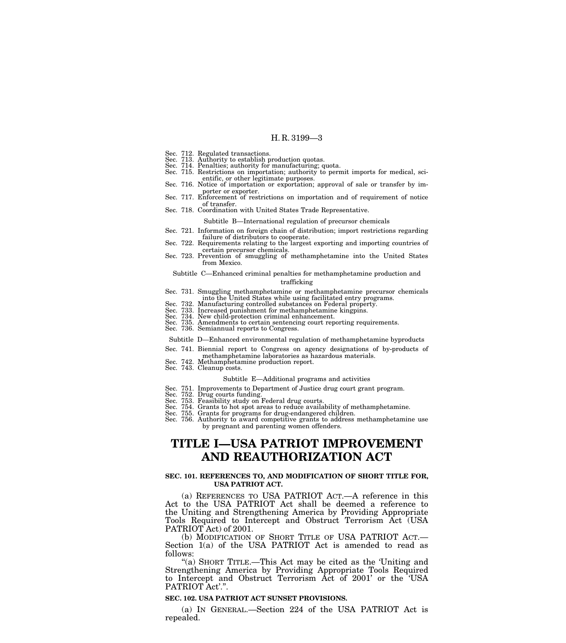- Sec. 712. Regulated transactions.
- 
- Sec. 713. Authority to establish production quotas. Sec. 714. Penalties; authority for manufacturing; quota.
- Sec. 715. Restrictions on importation; authority to permit imports for medical, scientific, or other legitimate purposes.<br>Sec. 716. Notice of importation or exportation; approval of sale or transfer by im-
- 
- porter or exporter.<br>Sec. 717. Enforcement of restrictions on importation and of requirement of notice
- of transfer. Sec. 718. Coordination with United States Trade Representative.

#### Subtitle B—International regulation of precursor chemicals

- Sec. 721. Information on foreign chain of distribution; import restrictions regarding
- Sec. 722. Requirements relating to the largest exporting and importing countries of certain precursor chemicals.
- Sec. 723. Prevention of smuggling of methamphetamine into the United States from Mexico.

Subtitle C—Enhanced criminal penalties for methamphetamine production and trafficking

- Sec. 731. Smuggling methamphetamine or methamphetamine precursor chemicals  $\epsilon$
- Sec. 732. Manufacturing controlled substances on Federal property.
- Sec. 733. Increased punishment for methamphetamine kingpins.
- Sec. 734. New child-protection criminal enhancement.
- Sec. 735. Amendments to certain sentencing court reporting requirements. Sec. 736. Semiannual reports to Congress.
- 

#### Subtitle D—Enhanced environmental regulation of methamphetamine byproducts

- Sec. 741. Biennial report to Congress on agency designations of by-products of
- Sec. 742. Methamphetamine production report.
- Sec. 743. Cleanup costs.

#### Subtitle E—Additional programs and activities

- Sec. 751. Improvements to Department of Justice drug court grant program.
- 
- Sec. 752. Drug courts funding. Sec. 753. Feasibility study on Federal drug courts.
- Sec. 754. Grants to hot spot areas to reduce availability of methamphetamine.
- Sec. 755. Grants for programs for drug-endangered children. Sec. 756. Authority to award competitive grants to address methamphetamine use by pregnant and parenting women offenders.

# **TITLE I—USA PATRIOT IMPROVEMENT AND REAUTHORIZATION ACT**

#### **SEC. 101. REFERENCES TO, AND MODIFICATION OF SHORT TITLE FOR, USA PATRIOT ACT.**

(a) REFERENCES TO USA PATRIOT ACT.—A reference in this Act to the USA PATRIOT Act shall be deemed a reference to the Uniting and Strengthening America by Providing Appropriate Tools Required to Intercept and Obstruct Terrorism Act (USA PATRIOT Act) of 2001.

(b) MODIFICATION OF SHORT TITLE OF USA PATRIOT ACT.— Section 1(a) of the USA PATRIOT Act is amended to read as follows:

''(a) SHORT TITLE.—This Act may be cited as the 'Uniting and Strengthening America by Providing Appropriate Tools Required to Intercept and Obstruct Terrorism Act of 2001' or the 'USA PATRIOT Act'.".

#### **SEC. 102. USA PATRIOT ACT SUNSET PROVISIONS.**

(a) IN GENERAL.—Section 224 of the USA PATRIOT Act is repealed.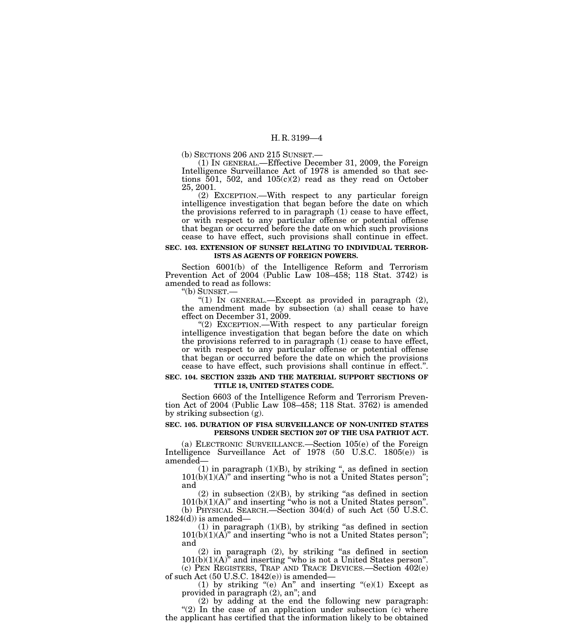(b) SECTIONS 206 AND 215 SUNSET.— (1) IN GENERAL.—Effective December 31, 2009, the Foreign Intelligence Surveillance Act of 1978 is amended so that sections  $501$ ,  $502$ , and  $105(c)(2)$  read as they read on October 25, 2001.

(2) EXCEPTION.—With respect to any particular foreign intelligence investigation that began before the date on which the provisions referred to in paragraph (1) cease to have effect, or with respect to any particular offense or potential offense that began or occurred before the date on which such provisions cease to have effect, such provisions shall continue in effect.

#### **SEC. 103. EXTENSION OF SUNSET RELATING TO INDIVIDUAL TERROR-ISTS AS AGENTS OF FOREIGN POWERS.**

Section 6001(b) of the Intelligence Reform and Terrorism Prevention Act of 2004 (Public Law 108–458; 118 Stat. 3742) is amended to read as follows:<br>"(b) SUNSET.—

"(1) IN GENERAL.—Except as provided in paragraph (2), the amendment made by subsection (a) shall cease to have effect on December 31, 2009.

''(2) EXCEPTION.—With respect to any particular foreign intelligence investigation that began before the date on which the provisions referred to in paragraph (1) cease to have effect, or with respect to any particular offense or potential offense that began or occurred before the date on which the provisions cease to have effect, such provisions shall continue in effect.''.

#### **SEC. 104. SECTION 2332b AND THE MATERIAL SUPPORT SECTIONS OF TITLE 18, UNITED STATES CODE.**

Section 6603 of the Intelligence Reform and Terrorism Prevention Act of 2004 (Public Law 108–458; 118 Stat. 3762) is amended by striking subsection (g).

#### **SEC. 105. DURATION OF FISA SURVEILLANCE OF NON-UNITED STATES PERSONS UNDER SECTION 207 OF THE USA PATRIOT ACT.**

(a) ELECTRONIC SURVEILLANCE.—Section 105(e) of the Foreign Intelligence Surveillance Act of 1978 (50 U.S.C. 1805(e)) is amended—

 $(1)$  in paragraph  $(1)(B)$ , by striking ", as defined in section  $101(b)(1)(\hat{A})$ " and inserting "who is not a United States person"; and

 $(2)$  in subsection  $(2)(B)$ , by striking "as defined in section 101(b)(1)(A)'' and inserting ''who is not a United States person''. (b) PHYSICAL SEARCH.—Section  $304(d)$  of such Act (50 U.S.C.  $1824(d)$ ) is amended—

 $(1)$  in paragraph  $(1)(B)$ , by striking "as defined in section  $101(b)(1)(A)$ " and inserting "who is not a United States person"; and

(2) in paragraph (2), by striking ''as defined in section  $101(b)(1)(A)$ <sup>n</sup> and inserting "who is not a United States person".

(c) PEN REGISTERS, TRAP AND TRACE DEVICES.—Section 402(e) of such Act  $(50 \text{ U.S.C. } 1842(e))$  is amended—

(1) by striking "(e) An" and inserting "(e)(1) Except as provided in paragraph (2), an''; and

(2) by adding at the end the following new paragraph: " $(2)$  In the case of an application under subsection  $(c)$  where the applicant has certified that the information likely to be obtained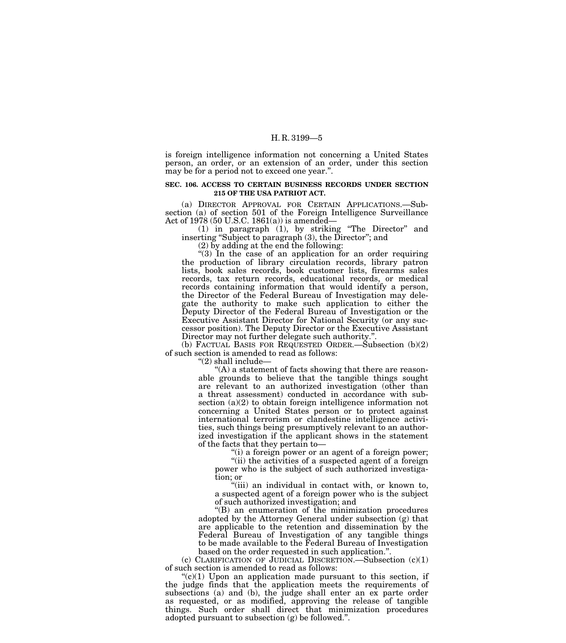is foreign intelligence information not concerning a United States person, an order, or an extension of an order, under this section may be for a period not to exceed one year.''.

#### **SEC. 106. ACCESS TO CERTAIN BUSINESS RECORDS UNDER SECTION 215 OF THE USA PATRIOT ACT.**

(a) DIRECTOR APPROVAL FOR CERTAIN APPLICATIONS.—Subsection (a) of section 501 of the Foreign Intelligence Surveillance Act of 1978 (50 U.S.C. 1861(a)) is amended—

(1) in paragraph (1), by striking ''The Director'' and inserting ''Subject to paragraph (3), the Director''; and

(2) by adding at the end the following:

" $(3)$  In the case of an application for an order requiring the production of library circulation records, library patron lists, book sales records, book customer lists, firearms sales records, tax return records, educational records, or medical records containing information that would identify a person, the Director of the Federal Bureau of Investigation may delegate the authority to make such application to either the Deputy Director of the Federal Bureau of Investigation or the Executive Assistant Director for National Security (or any successor position). The Deputy Director or the Executive Assistant Director may not further delegate such authority.''.

(b) FACTUAL BASIS FOR REQUESTED ORDER.—Subsection (b)(2) of such section is amended to read as follows:

 $''(2)$  shall include—

"(A) a statement of facts showing that there are reasonable grounds to believe that the tangible things sought are relevant to an authorized investigation (other than a threat assessment) conducted in accordance with subsection (a)(2) to obtain foreign intelligence information not concerning a United States person or to protect against international terrorism or clandestine intelligence activities, such things being presumptively relevant to an authorized investigation if the applicant shows in the statement of the facts that they pertain to—

"(i) a foreign power or an agent of a foreign power;

"(ii) the activities of a suspected agent of a foreign power who is the subject of such authorized investigation; or

''(iii) an individual in contact with, or known to, a suspected agent of a foreign power who is the subject of such authorized investigation; and

''(B) an enumeration of the minimization procedures adopted by the Attorney General under subsection (g) that are applicable to the retention and dissemination by the Federal Bureau of Investigation of any tangible things to be made available to the Federal Bureau of Investigation based on the order requested in such application.''.

(c) CLARIFICATION OF JUDICIAL DISCRETION.—Subsection (c)(1) of such section is amended to read as follows:

 $C(1)$  Upon an application made pursuant to this section, if the judge finds that the application meets the requirements of subsections (a) and (b), the judge shall enter an ex parte order as requested, or as modified, approving the release of tangible things. Such order shall direct that minimization procedures adopted pursuant to subsection (g) be followed.''.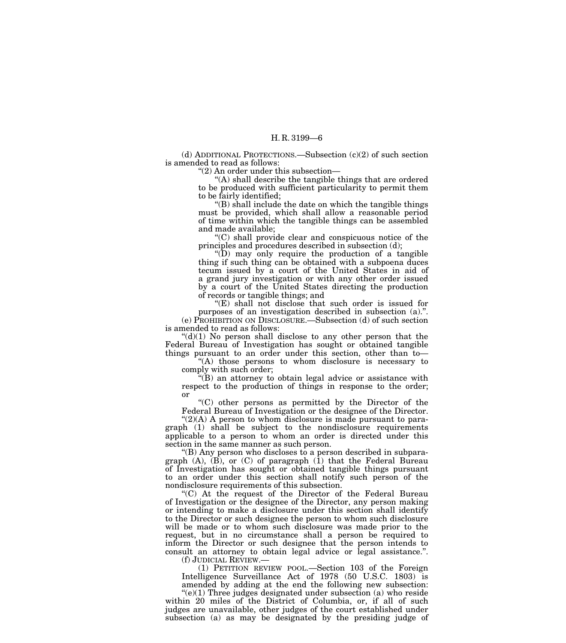(d) ADDITIONAL PROTECTIONS.—Subsection (c)(2) of such section is amended to read as follows:

''(2) An order under this subsection—

''(A) shall describe the tangible things that are ordered to be produced with sufficient particularity to permit them to be fairly identified;

''(B) shall include the date on which the tangible things must be provided, which shall allow a reasonable period of time within which the tangible things can be assembled and made available;

''(C) shall provide clear and conspicuous notice of the principles and procedures described in subsection (d);

 $\mathrm{``(D)}$  may only require the production of a tangible thing if such thing can be obtained with a subpoena duces tecum issued by a court of the United States in aid of a grand jury investigation or with any other order issued by a court of the United States directing the production of records or tangible things; and

"(E) shall not disclose that such order is issued for purposes of an investigation described in subsection (a).''.

(e) PROHIBITION ON DISCLOSURE.—Subsection (d) of such section is amended to read as follows:

 $\degree$ (d)(1) No person shall disclose to any other person that the Federal Bureau of Investigation has sought or obtained tangible things pursuant to an order under this section, other than to—

''(A) those persons to whom disclosure is necessary to comply with such order;

''(B) an attorney to obtain legal advice or assistance with respect to the production of things in response to the order; or

 $C$ ) other persons as permitted by the Director of the Federal Bureau of Investigation or the designee of the Director.

"(2)(A) A person to whom disclosure is made pursuant to paragraph (1) shall be subject to the nondisclosure requirements applicable to a person to whom an order is directed under this section in the same manner as such person.

''(B) Any person who discloses to a person described in subparagraph  $(A)$ ,  $(B)$ , or  $(C)$  of paragraph  $(I)$  that the Federal Bureau of Investigation has sought or obtained tangible things pursuant to an order under this section shall notify such person of the nondisclosure requirements of this subsection.

''(C) At the request of the Director of the Federal Bureau of Investigation or the designee of the Director, any person making or intending to make a disclosure under this section shall identify to the Director or such designee the person to whom such disclosure will be made or to whom such disclosure was made prior to the request, but in no circumstance shall a person be required to inform the Director or such designee that the person intends to consult an attorney to obtain legal advice or legal assistance.''.

(f) JUDICIAL REVIEW.—

(1) PETITION REVIEW POOL.—Section 103 of the Foreign Intelligence Surveillance Act of 1978 (50 U.S.C. 1803) is amended by adding at the end the following new subsection:

 $(e)(1)$  Three judges designated under subsection (a) who reside within 20 miles of the District of Columbia, or, if all of such judges are unavailable, other judges of the court established under subsection (a) as may be designated by the presiding judge of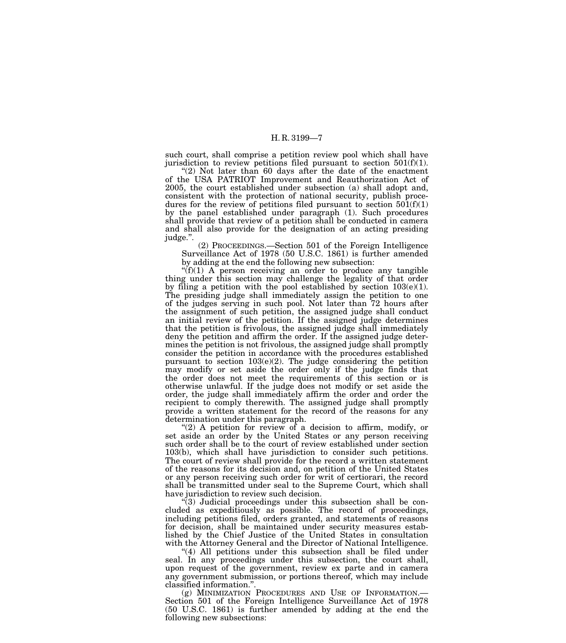such court, shall comprise a petition review pool which shall have jurisdiction to review petitions filed pursuant to section  $501(f)(1)$ .

" $(2)$  Not later than 60 days after the date of the enactment of the USA PATRIOT Improvement and Reauthorization Act of 2005, the court established under subsection (a) shall adopt and, consistent with the protection of national security, publish procedures for the review of petitions filed pursuant to section  $50\overline{1}(f)(1)$ by the panel established under paragraph (1). Such procedures shall provide that review of a petition shall be conducted in camera and shall also provide for the designation of an acting presiding judge.''.

(2) PROCEEDINGS.—Section 501 of the Foreign Intelligence Surveillance Act of 1978 (50 U.S.C. 1861) is further amended by adding at the end the following new subsection:

" $(f)(1)$  A person receiving an order to produce any tangible thing under this section may challenge the legality of that order by filing a petition with the pool established by section  $103(e)(1)$ . The presiding judge shall immediately assign the petition to one of the judges serving in such pool. Not later than 72 hours after the assignment of such petition, the assigned judge shall conduct an initial review of the petition. If the assigned judge determines that the petition is frivolous, the assigned judge shall immediately deny the petition and affirm the order. If the assigned judge determines the petition is not frivolous, the assigned judge shall promptly consider the petition in accordance with the procedures established pursuant to section  $103(e)(2)$ . The judge considering the petition may modify or set aside the order only if the judge finds that the order does not meet the requirements of this section or is otherwise unlawful. If the judge does not modify or set aside the order, the judge shall immediately affirm the order and order the recipient to comply therewith. The assigned judge shall promptly provide a written statement for the record of the reasons for any determination under this paragraph.

"(2) A petition for review of a decision to affirm, modify, or set aside an order by the United States or any person receiving such order shall be to the court of review established under section 103(b), which shall have jurisdiction to consider such petitions. The court of review shall provide for the record a written statement of the reasons for its decision and, on petition of the United States or any person receiving such order for writ of certiorari, the record shall be transmitted under seal to the Supreme Court, which shall have jurisdiction to review such decision.

''(3) Judicial proceedings under this subsection shall be concluded as expeditiously as possible. The record of proceedings, including petitions filed, orders granted, and statements of reasons for decision, shall be maintained under security measures established by the Chief Justice of the United States in consultation with the Attorney General and the Director of National Intelligence.

"(4) All petitions under this subsection shall be filed under seal. In any proceedings under this subsection, the court shall, upon request of the government, review ex parte and in camera any government submission, or portions thereof, which may include classified information.".<br>(g) MINIMIZATION PROCEDURES AND USE OF INFORMATION.—

Section 501 of the Foreign Intelligence Surveillance Act of 1978 (50 U.S.C. 1861) is further amended by adding at the end the following new subsections: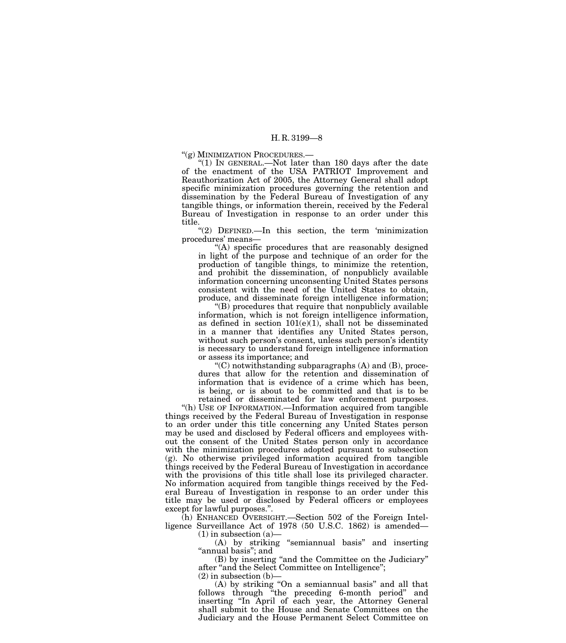''(g) MINIMIZATION PROCEDURES.—

"(1) IN GENERAL.—Not later than  $180$  days after the date of the enactment of the USA PATRIOT Improvement and Reauthorization Act of 2005, the Attorney General shall adopt specific minimization procedures governing the retention and dissemination by the Federal Bureau of Investigation of any tangible things, or information therein, received by the Federal Bureau of Investigation in response to an order under this title.

''(2) DEFINED.—In this section, the term 'minimization procedures' means—

"(A) specific procedures that are reasonably designed in light of the purpose and technique of an order for the production of tangible things, to minimize the retention, and prohibit the dissemination, of nonpublicly available information concerning unconsenting United States persons consistent with the need of the United States to obtain, produce, and disseminate foreign intelligence information;

''(B) procedures that require that nonpublicly available information, which is not foreign intelligence information, as defined in section  $101(e)(1)$ , shall not be disseminated in a manner that identifies any United States person, without such person's consent, unless such person's identity is necessary to understand foreign intelligence information or assess its importance; and

 $C$ ) notwithstanding subparagraphs  $(A)$  and  $(B)$ , procedures that allow for the retention and dissemination of information that is evidence of a crime which has been, is being, or is about to be committed and that is to be retained or disseminated for law enforcement purposes.

''(h) USE OF INFORMATION.—Information acquired from tangible things received by the Federal Bureau of Investigation in response to an order under this title concerning any United States person may be used and disclosed by Federal officers and employees without the consent of the United States person only in accordance with the minimization procedures adopted pursuant to subsection (g). No otherwise privileged information acquired from tangible things received by the Federal Bureau of Investigation in accordance with the provisions of this title shall lose its privileged character. No information acquired from tangible things received by the Federal Bureau of Investigation in response to an order under this title may be used or disclosed by Federal officers or employees except for lawful purposes.''.

(h) ENHANCED OVERSIGHT.—Section 502 of the Foreign Intelligence Surveillance Act of 1978 (50 U.S.C. 1862) is amended—  $(1)$  in subsection  $(a)$ —

(A) by striking ''semiannual basis'' and inserting "annual basis"; and

(B) by inserting ''and the Committee on the Judiciary'' after "and the Select Committee on Intelligence";

 $(2)$  in subsection  $(b)$ —

(A) by striking ''On a semiannual basis'' and all that follows through ''the preceding 6-month period'' and inserting ''In April of each year, the Attorney General shall submit to the House and Senate Committees on the Judiciary and the House Permanent Select Committee on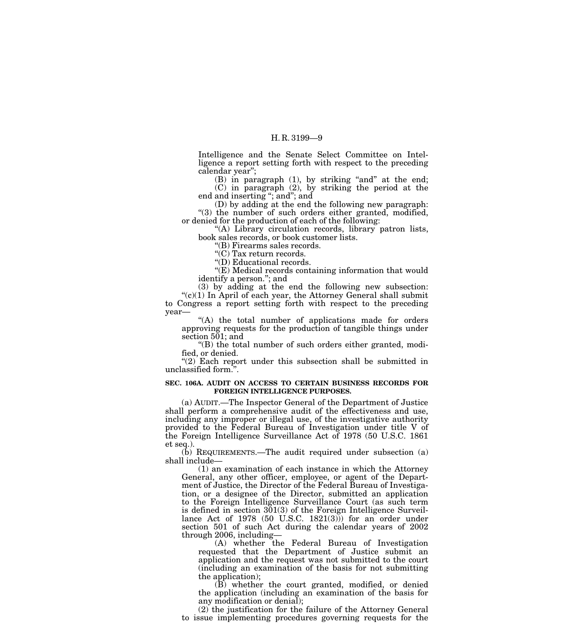Intelligence and the Senate Select Committee on Intelligence a report setting forth with respect to the preceding calendar year'';

 $(B)$  in paragraph  $(1)$ , by striking "and" at the end; (C) in paragraph (2), by striking the period at the

end and inserting ''; and''; and

(D) by adding at the end the following new paragraph: "(3) the number of such orders either granted, modified, or denied for the production of each of the following:

"(A) Library circulation records, library patron lists, book sales records, or book customer lists.

''(B) Firearms sales records.

''(C) Tax return records.

''(D) Educational records.

''(E) Medical records containing information that would identify a person.''; and

(3) by adding at the end the following new subsection:  $C(1)$  In April of each year, the Attorney General shall submit to Congress a report setting forth with respect to the preceding year—

''(A) the total number of applications made for orders approving requests for the production of tangible things under section 501; and

''(B) the total number of such orders either granted, modified, or denied.

"(2) Each report under this subsection shall be submitted in unclassified form.''.

#### **SEC. 106A. AUDIT ON ACCESS TO CERTAIN BUSINESS RECORDS FOR FOREIGN INTELLIGENCE PURPOSES.**

(a) AUDIT.—The Inspector General of the Department of Justice shall perform a comprehensive audit of the effectiveness and use, including any improper or illegal use, of the investigative authority provided to the Federal Bureau of Investigation under title V of the Foreign Intelligence Surveillance Act of 1978 (50 U.S.C. 1861 et seq.).

(b) REQUIREMENTS.—The audit required under subsection (a) shall include—

(1) an examination of each instance in which the Attorney General, any other officer, employee, or agent of the Department of Justice, the Director of the Federal Bureau of Investigation, or a designee of the Director, submitted an application to the Foreign Intelligence Surveillance Court (as such term is defined in section  $301(3)$  of the Foreign Intelligence Surveillance Act of 1978 (50 U.S.C. 1821(3))) for an order under section 501 of such Act during the calendar years of 2002 through 2006, including—

(A) whether the Federal Bureau of Investigation requested that the Department of Justice submit an application and the request was not submitted to the court (including an examination of the basis for not submitting the application);

(B) whether the court granted, modified, or denied the application (including an examination of the basis for any modification or denial);

(2) the justification for the failure of the Attorney General to issue implementing procedures governing requests for the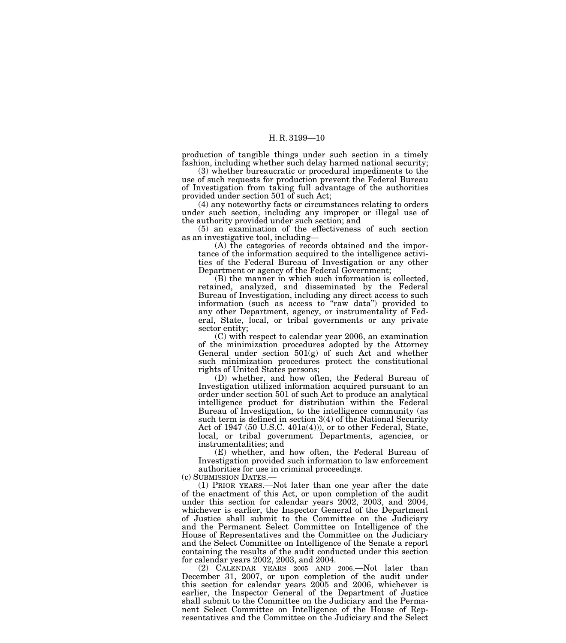production of tangible things under such section in a timely fashion, including whether such delay harmed national security;

(3) whether bureaucratic or procedural impediments to the use of such requests for production prevent the Federal Bureau of Investigation from taking full advantage of the authorities provided under section 501 of such Act;

(4) any noteworthy facts or circumstances relating to orders under such section, including any improper or illegal use of the authority provided under such section; and

(5) an examination of the effectiveness of such section as an investigative tool, including—

(A) the categories of records obtained and the importance of the information acquired to the intelligence activities of the Federal Bureau of Investigation or any other Department or agency of the Federal Government;

(B) the manner in which such information is collected, retained, analyzed, and disseminated by the Federal Bureau of Investigation, including any direct access to such information (such as access to ''raw data'') provided to any other Department, agency, or instrumentality of Federal, State, local, or tribal governments or any private sector entity;

(C) with respect to calendar year 2006, an examination of the minimization procedures adopted by the Attorney General under section  $501(g)$  of such Act and whether such minimization procedures protect the constitutional rights of United States persons;

(D) whether, and how often, the Federal Bureau of Investigation utilized information acquired pursuant to an order under section 501 of such Act to produce an analytical intelligence product for distribution within the Federal Bureau of Investigation, to the intelligence community (as such term is defined in section 3(4) of the National Security Act of 1947 (50 U.S.C. 401a(4))), or to other Federal, State, local, or tribal government Departments, agencies, or instrumentalities; and

(E) whether, and how often, the Federal Bureau of Investigation provided such information to law enforcement authorities for use in criminal proceedings.<br>(c) SUBMISSION DATES.—

 $(1)$  PRIOR YEARS.—Not later than one year after the date of the enactment of this Act, or upon completion of the audit under this section for calendar years 2002, 2003, and 2004, whichever is earlier, the Inspector General of the Department of Justice shall submit to the Committee on the Judiciary and the Permanent Select Committee on Intelligence of the House of Representatives and the Committee on the Judiciary and the Select Committee on Intelligence of the Senate a report containing the results of the audit conducted under this section for calendar years 2002, 2003, and 2004.

(2) CALENDAR YEARS 2005 AND 2006.—Not later than December 31, 2007, or upon completion of the audit under this section for calendar years 2005 and 2006, whichever is earlier, the Inspector General of the Department of Justice shall submit to the Committee on the Judiciary and the Permanent Select Committee on Intelligence of the House of Representatives and the Committee on the Judiciary and the Select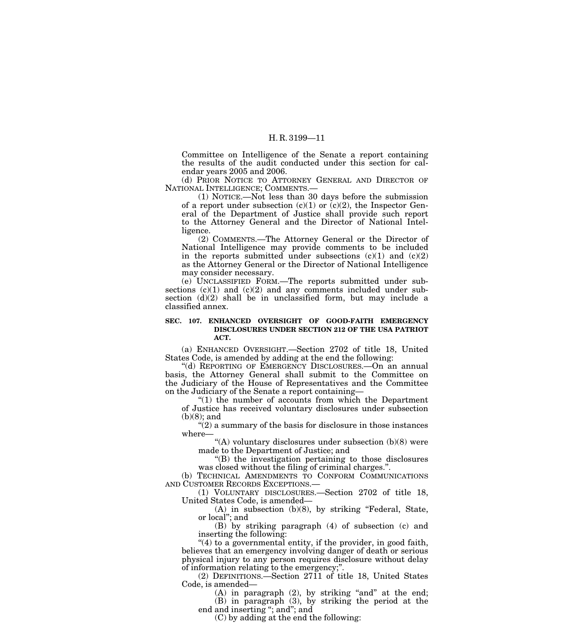Committee on Intelligence of the Senate a report containing the results of the audit conducted under this section for calendar years 2005 and 2006.

(d) PRIOR NOTICE TO ATTORNEY GENERAL AND DIRECTOR OF NATIONAL INTELLIGENCE; COMMENTS.—

(1) NOTICE.—Not less than 30 days before the submission of a report under subsection (c)(1) or  $(c)(2)$ , the Inspector General of the Department of Justice shall provide such report to the Attorney General and the Director of National Intelligence.

(2) COMMENTS.—The Attorney General or the Director of National Intelligence may provide comments to be included in the reports submitted under subsections  $(c)(1)$  and  $(c)(2)$ as the Attorney General or the Director of National Intelligence may consider necessary.

(e) UNCLASSIFIED FORM.—The reports submitted under subsections  $(c)(1)$  and  $(c)(2)$  and any comments included under subsection  $(d)(2)$  shall be in unclassified form, but may include a classified annex.

# **SEC. 107. ENHANCED OVERSIGHT OF GOOD-FAITH EMERGENCY DISCLOSURES UNDER SECTION 212 OF THE USA PATRIOT ACT.**

(a) ENHANCED OVERSIGHT.—Section 2702 of title 18, United States Code, is amended by adding at the end the following:

"(d) REPORTING OF EMERGENCY DISCLOSURES. - On an annual basis, the Attorney General shall submit to the Committee on the Judiciary of the House of Representatives and the Committee on the Judiciary of the Senate a report containing—

 $''(1)$  the number of accounts from which the Department of Justice has received voluntary disclosures under subsection (b)(8); and

 $(2)$  a summary of the basis for disclosure in those instances where—

"(A) voluntary disclosures under subsection  $(b)(8)$  were made to the Department of Justice; and

''(B) the investigation pertaining to those disclosures was closed without the filing of criminal charges.''.

(b) TECHNICAL AMENDMENTS TO CONFORM COMMUNICATIONS AND CUSTOMER RECORDS EXCEPTIONS.—

(1) VOLUNTARY DISCLOSURES.—Section 2702 of title 18, United States Code, is amended—

 $(A)$  in subsection  $(b)(8)$ , by striking "Federal, State, or local''; and

(B) by striking paragraph (4) of subsection (c) and inserting the following:

"(4) to a governmental entity, if the provider, in good faith, believes that an emergency involving danger of death or serious physical injury to any person requires disclosure without delay of information relating to the emergency;''.

 $(2)$  DEFINITIONS.—Section  $27\overline{1}1$  of title 18, United States Code, is amended—

 $(A)$  in paragraph  $(2)$ , by striking "and" at the end; (B) in paragraph (3), by striking the period at the end and inserting "; and"; and

(C) by adding at the end the following: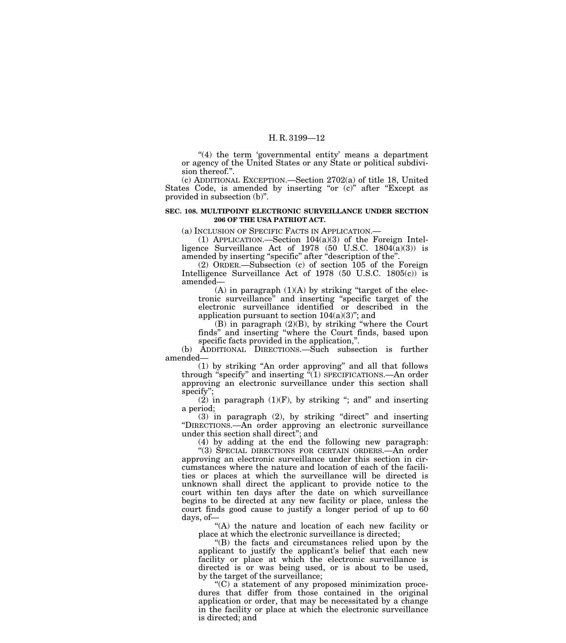" $(4)$  the term 'governmental entity' means a department or agency of the United States or any State or political subdivision thereof.''.

(c) ADDITIONAL EXCEPTION.—Section 2702(a) of title 18, United States Code, is amended by inserting "or (c)" after "Except as provided in subsection (b)''.

#### **SEC. 108. MULTIPOINT ELECTRONIC SURVEILLANCE UNDER SECTION 206 OF THE USA PATRIOT ACT.**

(a) INCLUSION OF SPECIFIC FACTS IN APPLICATION.—

(1) APPLICATION.—Section 104(a)(3) of the Foreign Intelligence Surveillance Act of 1978 (50 U.S.C. 1804(a)(3)) is amended by inserting ''specific'' after ''description of the''.

(2) ORDER.—Subsection (c) of section 105 of the Foreign Intelligence Surveillance Act of 1978 (50 U.S.C.  $1805(c)$ ) is amended—

 $(A)$  in paragraph  $(1)(A)$  by striking "target of the electronic surveillance'' and inserting ''specific target of the electronic surveillance identified or described in the application pursuant to section  $104(a)(3)$ "; and

(B) in paragraph (2)(B), by striking ''where the Court finds'' and inserting ''where the Court finds, based upon specific facts provided in the application,''.

(b) ADDITIONAL DIRECTIONS.—Such subsection is further amended—

(1) by striking ''An order approving'' and all that follows through ''specify'' and inserting ''(1) SPECIFICATIONS.—An order approving an electronic surveillance under this section shall specify'';

 $(2)$  in paragraph  $(1)(F)$ , by striking "; and" and inserting a period;

(3) in paragraph (2), by striking ''direct'' and inserting ''DIRECTIONS.—An order approving an electronic surveillance under this section shall direct''; and

(4) by adding at the end the following new paragraph:

''(3) SPECIAL DIRECTIONS FOR CERTAIN ORDERS.—An order approving an electronic surveillance under this section in circumstances where the nature and location of each of the facilities or places at which the surveillance will be directed is unknown shall direct the applicant to provide notice to the court within ten days after the date on which surveillance begins to be directed at any new facility or place, unless the court finds good cause to justify a longer period of up to 60 days, of—

''(A) the nature and location of each new facility or place at which the electronic surveillance is directed;

''(B) the facts and circumstances relied upon by the applicant to justify the applicant's belief that each new facility or place at which the electronic surveillance is directed is or was being used, or is about to be used, by the target of the surveillance;

 $C$ ) a statement of any proposed minimization procedures that differ from those contained in the original application or order, that may be necessitated by a change in the facility or place at which the electronic surveillance is directed; and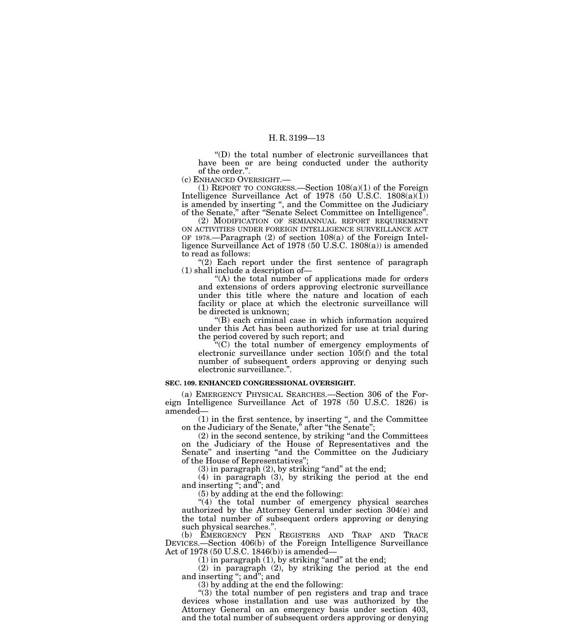''(D) the total number of electronic surveillances that have been or are being conducted under the authority of the order.''.

(c) ENHANCED OVERSIGHT.—

(1) REPORT TO CONGRESS.—Section  $108(a)(1)$  of the Foreign Intelligence Surveillance Act of 1978 (50 U.S.C. 1808(a)( $\tilde{1}$ )) is amended by inserting '', and the Committee on the Judiciary of the Senate,'' after ''Senate Select Committee on Intelligence''.

(2) MODIFICATION OF SEMIANNUAL REPORT REQUIREMENT ON ACTIVITIES UNDER FOREIGN INTELLIGENCE SURVEILLANCE ACT OF 1978.—Paragraph (2) of section 108(a) of the Foreign Intelligence Surveillance Act of 1978 (50 U.S.C. 1808(a)) is amended to read as follows:

" $(2)$  Each report under the first sentence of paragraph (1) shall include a description of—

''(A) the total number of applications made for orders and extensions of orders approving electronic surveillance under this title where the nature and location of each facility or place at which the electronic surveillance will be directed is unknown;

''(B) each criminal case in which information acquired under this Act has been authorized for use at trial during the period covered by such report; and

''(C) the total number of emergency employments of electronic surveillance under section 105(f) and the total number of subsequent orders approving or denying such electronic surveillance.''.

#### **SEC. 109. ENHANCED CONGRESSIONAL OVERSIGHT.**

(a) EMERGENCY PHYSICAL SEARCHES.—Section 306 of the Foreign Intelligence Surveillance Act of 1978 (50 U.S.C. 1826) is amended—

(1) in the first sentence, by inserting '', and the Committee on the Judiciary of the Senate,'' after ''the Senate'';

(2) in the second sentence, by striking ''and the Committees on the Judiciary of the House of Representatives and the Senate'' and inserting ''and the Committee on the Judiciary of the House of Representatives'';

 $(3)$  in paragraph  $(2)$ , by striking "and" at the end;

(4) in paragraph (3), by striking the period at the end and inserting "; and"; and

(5) by adding at the end the following:

"(4) the total number of emergency physical searches authorized by the Attorney General under section 304(e) and the total number of subsequent orders approving or denying such physical searches.''.

(b) EMERGENCY PEN REGISTERS AND TRAP AND TRACE DEVICES.—Section 406(b) of the Foreign Intelligence Surveillance Act of 1978 (50 U.S.C. 1846(b)) is amended—

 $(1)$  in paragraph  $(1)$ , by striking "and" at the end;

(2) in paragraph (2), by striking the period at the end and inserting ''; and''; and

(3) by adding at the end the following:

''(3) the total number of pen registers and trap and trace devices whose installation and use was authorized by the Attorney General on an emergency basis under section 403, and the total number of subsequent orders approving or denying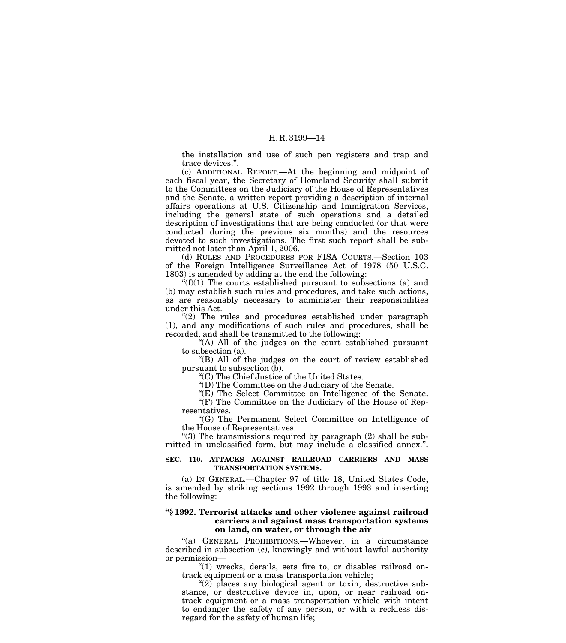the installation and use of such pen registers and trap and trace devices.''.

(c) ADDITIONAL REPORT.—At the beginning and midpoint of each fiscal year, the Secretary of Homeland Security shall submit to the Committees on the Judiciary of the House of Representatives and the Senate, a written report providing a description of internal affairs operations at U.S. Citizenship and Immigration Services, including the general state of such operations and a detailed description of investigations that are being conducted (or that were conducted during the previous six months) and the resources devoted to such investigations. The first such report shall be submitted not later than April 1, 2006.

(d) RULES AND PROCEDURES FOR FISA COURTS.—Section 103 of the Foreign Intelligence Surveillance Act of 1978 (50 U.S.C. 1803) is amended by adding at the end the following:

" $(f)(1)$  The courts established pursuant to subsections (a) and (b) may establish such rules and procedures, and take such actions, as are reasonably necessary to administer their responsibilities under this Act.

" $(2)$  The rules and procedures established under paragraph (1), and any modifications of such rules and procedures, shall be recorded, and shall be transmitted to the following:

''(A) All of the judges on the court established pursuant to subsection (a).

''(B) All of the judges on the court of review established pursuant to subsection (b).

''(C) The Chief Justice of the United States.

''(D) The Committee on the Judiciary of the Senate.

"(E) The Select Committee on Intelligence of the Senate.

"(F) The Committee on the Judiciary of the House of Representatives.

''(G) The Permanent Select Committee on Intelligence of the House of Representatives.

" $(3)$  The transmissions required by paragraph  $(2)$  shall be submitted in unclassified form, but may include a classified annex.''.

# **SEC. 110. ATTACKS AGAINST RAILROAD CARRIERS AND MASS TRANSPORTATION SYSTEMS.**

(a) IN GENERAL.—Chapter 97 of title 18, United States Code, is amended by striking sections 1992 through 1993 and inserting the following:

# **''§ 1992. Terrorist attacks and other violence against railroad carriers and against mass transportation systems on land, on water, or through the air**

''(a) GENERAL PROHIBITIONS.—Whoever, in a circumstance described in subsection (c), knowingly and without lawful authority or permission—

 $"(1)$  wrecks, derails, sets fire to, or disables railroad ontrack equipment or a mass transportation vehicle;

" $(2)$  places any biological agent or toxin, destructive substance, or destructive device in, upon, or near railroad ontrack equipment or a mass transportation vehicle with intent to endanger the safety of any person, or with a reckless disregard for the safety of human life;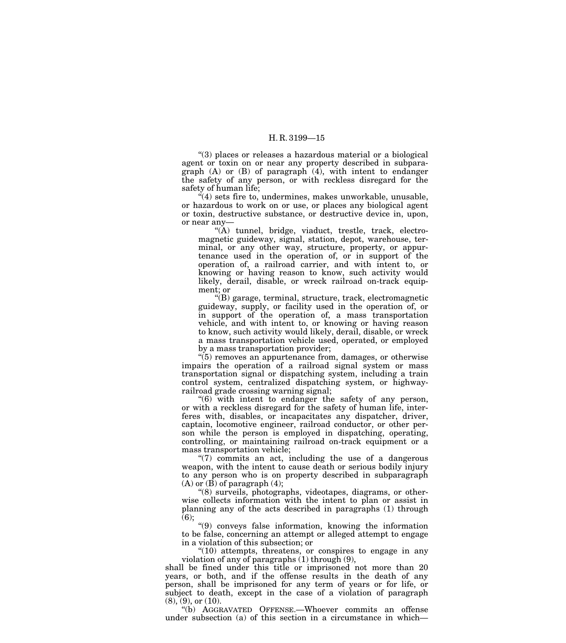''(3) places or releases a hazardous material or a biological agent or toxin on or near any property described in subparagraph  $(A)$  or  $(B)$  of paragraph  $(4)$ , with intent to endanger the safety of any person, or with reckless disregard for the safety of human life;

''(4) sets fire to, undermines, makes unworkable, unusable, or hazardous to work on or use, or places any biological agent or toxin, destructive substance, or destructive device in, upon, or near any—

"(A) tunnel, bridge, viaduct, trestle, track, electromagnetic guideway, signal, station, depot, warehouse, terminal, or any other way, structure, property, or appurtenance used in the operation of, or in support of the operation of, a railroad carrier, and with intent to, or knowing or having reason to know, such activity would likely, derail, disable, or wreck railroad on-track equipment; or

''(B) garage, terminal, structure, track, electromagnetic guideway, supply, or facility used in the operation of, or in support of the operation of, a mass transportation vehicle, and with intent to, or knowing or having reason to know, such activity would likely, derail, disable, or wreck a mass transportation vehicle used, operated, or employed by a mass transportation provider;

''(5) removes an appurtenance from, damages, or otherwise impairs the operation of a railroad signal system or mass transportation signal or dispatching system, including a train control system, centralized dispatching system, or highwayrailroad grade crossing warning signal;

"(6) with intent to endanger the safety of any person, or with a reckless disregard for the safety of human life, interferes with, disables, or incapacitates any dispatcher, driver, captain, locomotive engineer, railroad conductor, or other person while the person is employed in dispatching, operating, controlling, or maintaining railroad on-track equipment or a mass transportation vehicle;

''(7) commits an act, including the use of a dangerous weapon, with the intent to cause death or serious bodily injury to any person who is on property described in subparagraph  $(A)$  or  $(B)$  of paragraph  $(4)$ ;

''(8) surveils, photographs, videotapes, diagrams, or otherwise collects information with the intent to plan or assist in planning any of the acts described in paragraphs (1) through (6);

''(9) conveys false information, knowing the information to be false, concerning an attempt or alleged attempt to engage in a violation of this subsection; or

 $\degree$ (10) attempts, threatens, or conspires to engage in any violation of any of paragraphs (1) through (9),

shall be fined under this title or imprisoned not more than 20 years, or both, and if the offense results in the death of any person, shall be imprisoned for any term of years or for life, or subject to death, except in the case of a violation of paragraph  $(8)$ ,  $(9)$ , or  $(10)$ .

''(b) AGGRAVATED OFFENSE.—Whoever commits an offense under subsection (a) of this section in a circumstance in which—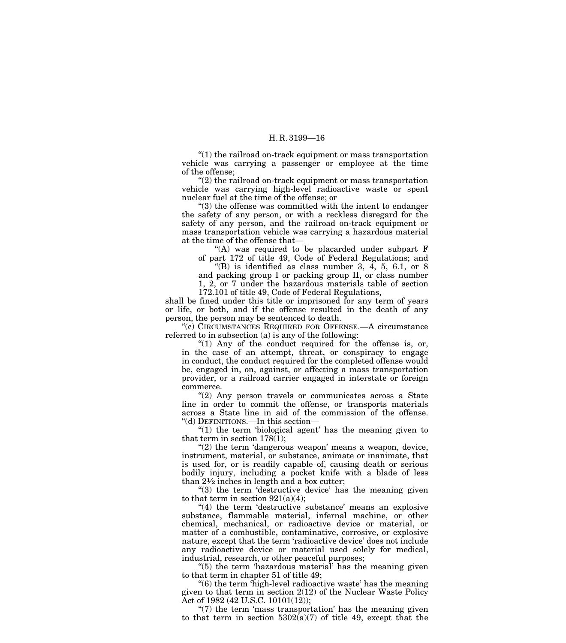$(1)$  the railroad on-track equipment or mass transportation vehicle was carrying a passenger or employee at the time of the offense;

''(2) the railroad on-track equipment or mass transportation vehicle was carrying high-level radioactive waste or spent nuclear fuel at the time of the offense; or

 $(3)$  the offense was committed with the intent to endanger the safety of any person, or with a reckless disregard for the safety of any person, and the railroad on-track equipment or mass transportation vehicle was carrying a hazardous material at the time of the offense that—

"(A) was required to be placarded under subpart F of part 172 of title 49, Code of Federal Regulations; and

"(B) is identified as class number 3,  $\overline{4}$ , 5, 6.1, or 8 and packing group I or packing group II, or class number 1, 2, or 7 under the hazardous materials table of section 172.101 of title 49, Code of Federal Regulations,

shall be fined under this title or imprisoned for any term of years or life, or both, and if the offense resulted in the death of any person, the person may be sentenced to death.

''(c) CIRCUMSTANCES REQUIRED FOR OFFENSE.—A circumstance referred to in subsection (a) is any of the following:

" $(1)$  Any of the conduct required for the offense is, or, in the case of an attempt, threat, or conspiracy to engage in conduct, the conduct required for the completed offense would be, engaged in, on, against, or affecting a mass transportation provider, or a railroad carrier engaged in interstate or foreign commerce.

"(2) Any person travels or communicates across a State line in order to commit the offense, or transports materials across a State line in aid of the commission of the offense. ''(d) DEFINITIONS.—In this section—

" $(1)$  the term 'biological agent' has the meaning given to that term in section 178(1);

 $(2)$  the term 'dangerous weapon' means a weapon, device, instrument, material, or substance, animate or inanimate, that is used for, or is readily capable of, causing death or serious bodily injury, including a pocket knife with a blade of less than  $2\frac{1}{2}$  inches in length and a box cutter;

" $(3)$  the term 'destructive device' has the meaning given to that term in section  $921(a)(4)$ ;

"(4) the term 'destructive substance' means an explosive substance, flammable material, infernal machine, or other chemical, mechanical, or radioactive device or material, or matter of a combustible, contaminative, corrosive, or explosive nature, except that the term 'radioactive device' does not include any radioactive device or material used solely for medical, industrial, research, or other peaceful purposes;

"(5) the term 'hazardous material' has the meaning given to that term in chapter 51 of title 49;

''(6) the term 'high-level radioactive waste' has the meaning given to that term in section 2(12) of the Nuclear Waste Policy Act of 1982 (42 U.S.C. 10101(12));

" $(7)$  the term 'mass transportation' has the meaning given to that term in section  $5302(a)(7)$  of title 49, except that the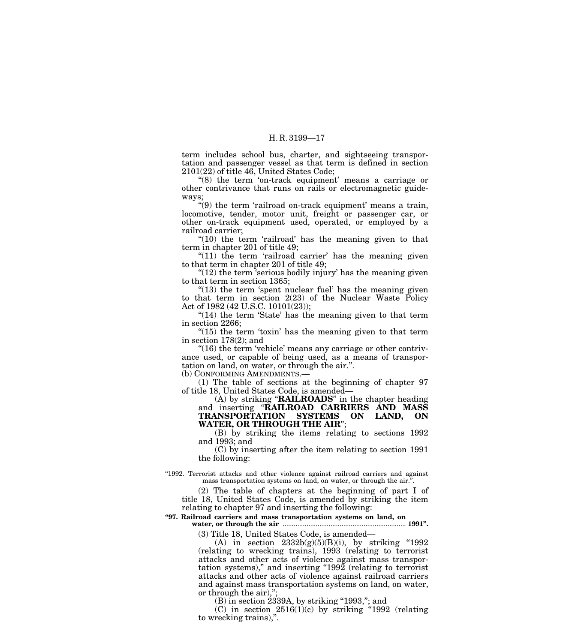term includes school bus, charter, and sightseeing transportation and passenger vessel as that term is defined in section 2101(22) of title 46, United States Code;

"(8) the term 'on-track equipment' means a carriage or other contrivance that runs on rails or electromagnetic guideways;

 $\cdot$ (9) the term 'railroad on-track equipment' means a train, locomotive, tender, motor unit, freight or passenger car, or other on-track equipment used, operated, or employed by a railroad carrier;

" $(10)$  the term 'railroad' has the meaning given to that term in chapter 201 of title 49;

" $(11)$  the term 'railroad carrier' has the meaning given to that term in chapter 201 of title 49;

" $(12)$  the term serious bodily injury' has the meaning given to that term in section 1365;

" $(13)$  the term 'spent nuclear fuel' has the meaning given to that term in section 2(23) of the Nuclear Waste Policy Act of 1982 (42 U.S.C. 10101(23));

 $"$ (14) the term 'State' has the meaning given to that term in section 2266;

" $(15)$  the term 'toxin' has the meaning given to that term in section 178(2); and

 $\degree$ (16) the term 'vehicle' means any carriage or other contrivance used, or capable of being used, as a means of transportation on land, on water, or through the air.''.

(b) CONFORMING AMENDMENTS.—

(1) The table of sections at the beginning of chapter 97 of title 18, United States Code, is amended—

(A) by striking ''**RAILROADS**'' in the chapter heading and inserting ''**RAILROAD CARRIERS AND MASS TRANSPORTATION SYSTEMS ON LAND, ON WATER, OR THROUGH THE AIR**'';

(B) by striking the items relating to sections 1992 and 1993; and

(C) by inserting after the item relating to section 1991 the following:

"1992. Terrorist attacks and other violence against railroad carriers and against mass transportation systems on land, on water, or through the air.".

(2) The table of chapters at the beginning of part I of title 18, United States Code, is amended by striking the item relating to chapter 97 and inserting the following:

**''97. Railroad carriers and mass transportation systems on land, on**  water, or through the air ...........

(3) Title 18, United States Code, is amended—

(A) in section  $2332b(g)(5)(B)(i)$ , by striking "1992 (relating to wrecking trains), 1993 (relating to terrorist attacks and other acts of violence against mass transportation systems)," and inserting "1992 (relating to terrorist attacks and other acts of violence against railroad carriers and against mass transportation systems on land, on water, or through the air),'';

(B) in section 2339A, by striking "1993,"; and

(C) in section  $2516(1)$ (c) by striking "1992 (relating to wrecking trains),''.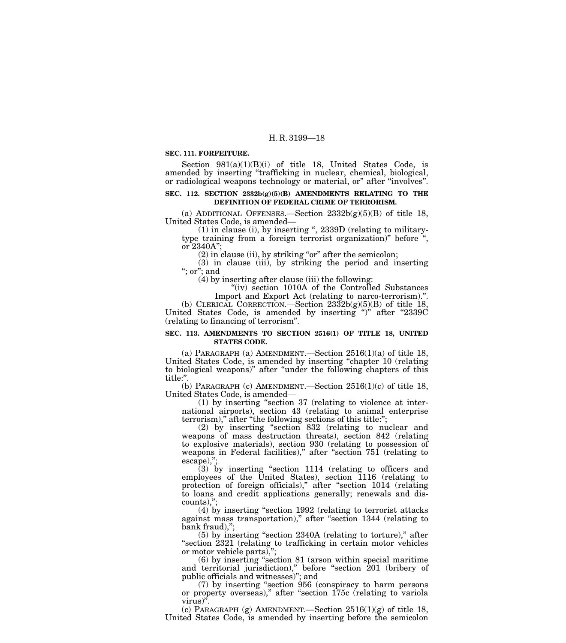# **SEC. 111. FORFEITURE.**

Section  $981(a)(1)(B)(i)$  of title 18, United States Code, is amended by inserting ''trafficking in nuclear, chemical, biological, or radiological weapons technology or material, or'' after ''involves''.

#### **SEC. 112. SECTION 2332b(g)(5)(B) AMENDMENTS RELATING TO THE DEFINITION OF FEDERAL CRIME OF TERRORISM.**

(a) ADDITIONAL OFFENSES.—Section  $2332b(g)(5)(B)$  of title 18, United States Code, is amended—

(1) in clause (i), by inserting '', 2339D (relating to militarytype training from a foreign terrorist organization)'' before '', or 2340A'';

 $(2)$  in clause (ii), by striking "or" after the semicolon;

(3) in clause (iii), by striking the period and inserting ": or"; and

(4) by inserting after clause (iii) the following:

"(iv) section 1010A of the Controlled Substances

Import and Export Act (relating to narco-terrorism).''. (b) CLERICAL CORRECTION.—Section  $2332b(g)(5)(B)$  of title 18, United States Code, is amended by inserting ")" after "2339C (relating to financing of terrorism''.

#### **SEC. 113. AMENDMENTS TO SECTION 2516(1) OF TITLE 18, UNITED STATES CODE.**

(a) PARAGRAPH (a) AMENDMENT.—Section  $2516(1)(a)$  of title 18, United States Code, is amended by inserting ''chapter 10 (relating to biological weapons)'' after ''under the following chapters of this title:''.

(b) PARAGRAPH (c) AMENDMENT.—Section 2516(1)(c) of title 18, United States Code, is amended—

(1) by inserting ''section 37 (relating to violence at international airports), section 43 (relating to animal enterprise terrorism)," after "the following sections of this title:";

(2) by inserting ''section 832 (relating to nuclear and weapons of mass destruction threats), section 842 (relating to explosive materials), section 930 (relating to possession of weapons in Federal facilities)," after "section 751 (relating to escape),'';

(3) by inserting ''section 1114 (relating to officers and employees of the United States), section 1116 (relating to protection of foreign officials)," after "section 1014 (relating to loans and credit applications generally; renewals and discounts),'';

(4) by inserting ''section 1992 (relating to terrorist attacks against mass transportation)," after "section 1344 (relating to bank fraud),

(5) by inserting "section 2340A (relating to torture)," after ''section 2321 (relating to trafficking in certain motor vehicles or motor vehicle parts),'';

(6) by inserting ''section 81 (arson within special maritime and territorial jurisdiction),'' before ''section 201 (bribery of public officials and witnesses)''; and

(7) by inserting ''section 956 (conspiracy to harm persons or property overseas),'' after ''section 175c (relating to variola virus)".

(c) PARAGRAPH  $(g)$  AMENDMENT.—Section  $2516(1)(g)$  of title 18, United States Code, is amended by inserting before the semicolon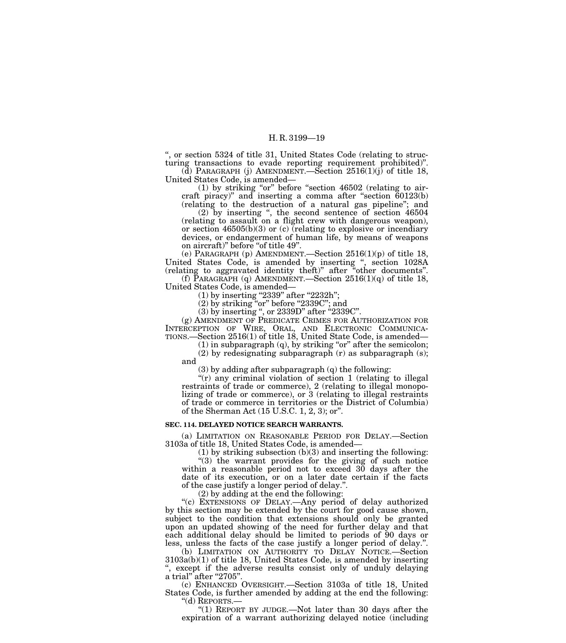'', or section 5324 of title 31, United States Code (relating to structuring transactions to evade reporting requirement prohibited)''.

(d) PARAGRAPH (j) AMENDMENT.—Section  $2516(1)(j)$  of title 18, United States Code, is amended—

 $(1)$  by striking "or" before "section 46502 (relating to aircraft piracy)" and inserting a comma after "section  $60123(b)$ (relating to the destruction of a natural gas pipeline''; and

(2) by inserting '', the second sentence of section 46504 (relating to assault on a flight crew with dangerous weapon), or section  $46505(b)(3)$  or (c) (relating to explosive or incendiary devices, or endangerment of human life, by means of weapons on aircraft)" before "of title 49".

(e) PARAGRAPH (p) AMENDMENT.—Section  $2516(1)(p)$  of title 18, United States Code, is amended by inserting ", section 1028A (relating to aggravated identity theft)'' after ''other documents''.

(f) PARAGRAPH (q) AMENDMENT.—Section  $2516(1)(q)$  of title 18, United States Code, is amended—

 $(1)$  by inserting "2339" after "2232h";

(2) by striking "or" before "2339C"; and

 $(3)$  by inserting ", or 2339D" after "2339C".

(g) AMENDMENT OF PREDICATE CRIMES FOR AUTHORIZATION FOR INTERCEPTION OF WIRE, ORAL, AND ELECTRONIC COMMUNICATIONS.—Section 2516(1) of title 18, United State Code, is amended—

 $(1)$  in subparagraph  $(q)$ , by striking "or" after the semicolon; (2) by redesignating subparagraph (r) as subparagraph (s);

and (3) by adding after subparagraph (q) the following:

"(r) any criminal violation of section 1 (relating to illegal restraints of trade or commerce), 2 (relating to illegal monopolizing of trade or commerce), or 3 (relating to illegal restraints of trade or commerce in territories or the District of Columbia) of the Sherman Act (15 U.S.C. 1, 2, 3); or''.

#### **SEC. 114. DELAYED NOTICE SEARCH WARRANTS.**

(a) LIMITATION ON REASONABLE PERIOD FOR DELAY.—Section 3103a of title 18, United States Code, is amended—

(1) by striking subsection (b)(3) and inserting the following:

"(3) the warrant provides for the giving of such notice within a reasonable period not to exceed 30 days after the date of its execution, or on a later date certain if the facts of the case justify a longer period of delay.''.

(2) by adding at the end the following:

"(c) EXTENSIONS OF DELAY.—Any period of delay authorized by this section may be extended by the court for good cause shown, subject to the condition that extensions should only be granted upon an updated showing of the need for further delay and that each additional delay should be limited to periods of 90 days or less, unless the facts of the case justify a longer period of delay.''.

(b) LIMITATION ON AUTHORITY TO DELAY NOTICE.—Section 3103a(b)(1) of title 18, United States Code, is amended by inserting '', except if the adverse results consist only of unduly delaying a trial" after "2705".

(c) ENHANCED OVERSIGHT.—Section 3103a of title 18, United States Code, is further amended by adding at the end the following: "(d) REPORTS.—

"(1) REPORT BY JUDGE.—Not later than 30 days after the expiration of a warrant authorizing delayed notice (including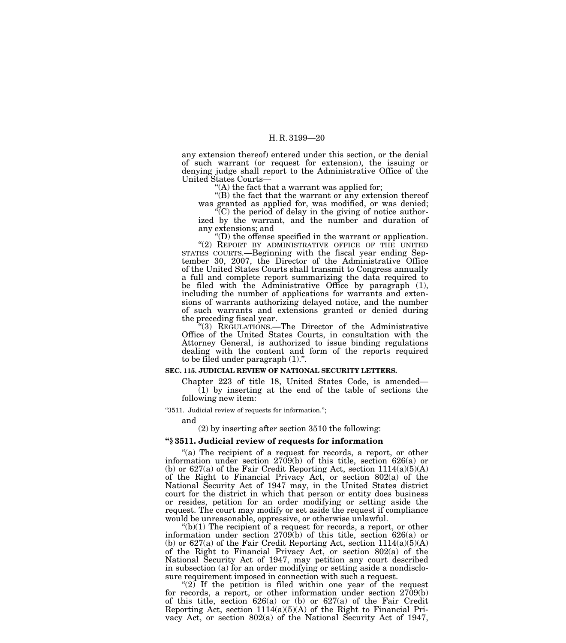any extension thereof) entered under this section, or the denial of such warrant (or request for extension), the issuing or denying judge shall report to the Administrative Office of the United States Courts—

" $(A)$  the fact that a warrant was applied for;

"(B) the fact that the warrant or any extension thereof was granted as applied for, was modified, or was denied;

''(C) the period of delay in the giving of notice authorized by the warrant, and the number and duration of any extensions; and

''(D) the offense specified in the warrant or application.

"(2) REPORT BY ADMINISTRATIVE OFFICE OF THE UNITED STATES COURTS.—Beginning with the fiscal year ending September 30, 2007, the Director of the Administrative Office of the United States Courts shall transmit to Congress annually a full and complete report summarizing the data required to be filed with the Administrative Office by paragraph (1), including the number of applications for warrants and extensions of warrants authorizing delayed notice, and the number of such warrants and extensions granted or denied during the preceding fiscal year.

''(3) REGULATIONS.—The Director of the Administrative Office of the United States Courts, in consultation with the Attorney General, is authorized to issue binding regulations dealing with the content and form of the reports required to be filed under paragraph (1).''.

# **SEC. 115. JUDICIAL REVIEW OF NATIONAL SECURITY LETTERS.**

Chapter 223 of title 18, United States Code, is amended— (1) by inserting at the end of the table of sections the following new item:

''3511. Judicial review of requests for information.'';

and

(2) by inserting after section 3510 the following:

# **''§ 3511. Judicial review of requests for information**

"(a) The recipient of a request for records, a report, or other information under section 2709(b) of this title, section 626(a) or (b) or  $627(a)$  of the Fair Credit Reporting Act, section  $1114(a)(5)(A)$ of the Right to Financial Privacy Act, or section 802(a) of the National Security Act of 1947 may, in the United States district court for the district in which that person or entity does business or resides, petition for an order modifying or setting aside the request. The court may modify or set aside the request if compliance would be unreasonable, oppressive, or otherwise unlawful.

 $f(b)(1)$  The recipient of a request for records, a report, or other information under section 2709(b) of this title, section 626(a) or (b) or  $627(a)$  of the Fair Credit Reporting Act, section  $1114(a)(5)(A)$ of the Right to Financial Privacy Act, or section 802(a) of the National Security Act of 1947, may petition any court described in subsection (a) for an order modifying or setting aside a nondisclosure requirement imposed in connection with such a request.

" $(2)$  If the petition is filed within one year of the request for records, a report, or other information under section 2709(b) of this title, section 626(a) or (b) or 627(a) of the Fair Credit Reporting Act, section  $1114(a)(5)(A)$  of the Right to Financial Privacy Act, or section 802(a) of the National Security Act of 1947,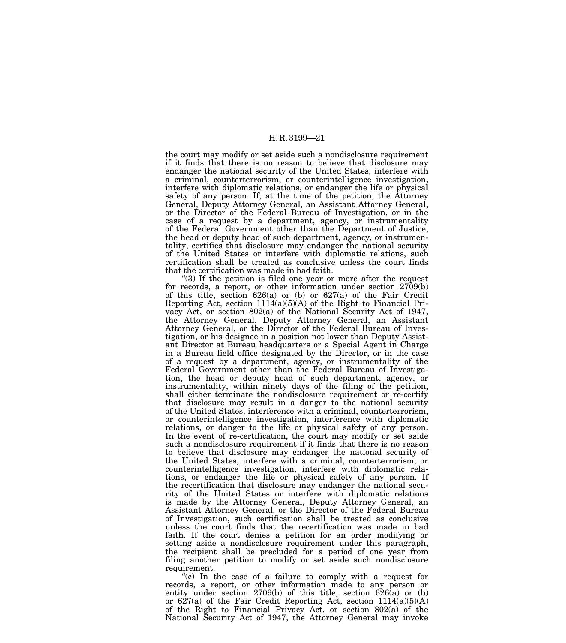the court may modify or set aside such a nondisclosure requirement if it finds that there is no reason to believe that disclosure may endanger the national security of the United States, interfere with a criminal, counterterrorism, or counterintelligence investigation, interfere with diplomatic relations, or endanger the life or physical safety of any person. If, at the time of the petition, the Attorney General, Deputy Attorney General, an Assistant Attorney General, or the Director of the Federal Bureau of Investigation, or in the case of a request by a department, agency, or instrumentality of the Federal Government other than the Department of Justice, the head or deputy head of such department, agency, or instrumentality, certifies that disclosure may endanger the national security of the United States or interfere with diplomatic relations, such certification shall be treated as conclusive unless the court finds that the certification was made in bad faith.

"(3) If the petition is filed one year or more after the request for records, a report, or other information under section 2709(b) of this title, section 626(a) or (b) or 627(a) of the Fair Credit Reporting Act, section 1114(a)(5)(A) of the Right to Financial Privacy Act, or section 802(a) of the National Security Act of 1947, the Attorney General, Deputy Attorney General, an Assistant Attorney General, or the Director of the Federal Bureau of Investigation, or his designee in a position not lower than Deputy Assistant Director at Bureau headquarters or a Special Agent in Charge in a Bureau field office designated by the Director, or in the case of a request by a department, agency, or instrumentality of the Federal Government other than the Federal Bureau of Investigation, the head or deputy head of such department, agency, or instrumentality, within ninety days of the filing of the petition, shall either terminate the nondisclosure requirement or re-certify that disclosure may result in a danger to the national security of the United States, interference with a criminal, counterterrorism, or counterintelligence investigation, interference with diplomatic relations, or danger to the life or physical safety of any person. In the event of re-certification, the court may modify or set aside such a nondisclosure requirement if it finds that there is no reason to believe that disclosure may endanger the national security of the United States, interfere with a criminal, counterterrorism, or counterintelligence investigation, interfere with diplomatic relations, or endanger the life or physical safety of any person. If the recertification that disclosure may endanger the national security of the United States or interfere with diplomatic relations is made by the Attorney General, Deputy Attorney General, an Assistant Attorney General, or the Director of the Federal Bureau of Investigation, such certification shall be treated as conclusive unless the court finds that the recertification was made in bad faith. If the court denies a petition for an order modifying or setting aside a nondisclosure requirement under this paragraph, the recipient shall be precluded for a period of one year from filing another petition to modify or set aside such nondisclosure requirement.

''(c) In the case of a failure to comply with a request for records, a report, or other information made to any person or entity under section 2709(b) of this title, section 626(a) or (b) or  $627(a)$  of the Fair Credit Reporting Act, section  $1114(a)(5)(A)$ of the Right to Financial Privacy Act, or section 802(a) of the National Security Act of 1947, the Attorney General may invoke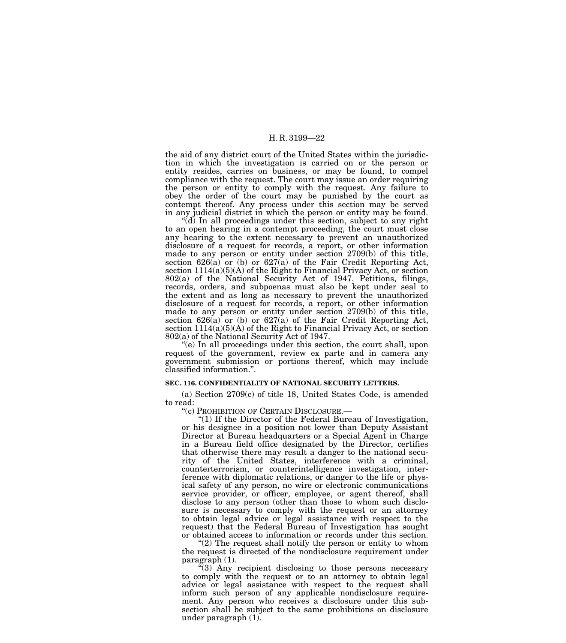the aid of any district court of the United States within the jurisdiction in which the investigation is carried on or the person or entity resides, carries on business, or may be found, to compel compliance with the request. The court may issue an order requiring the person or entity to comply with the request. Any failure to obey the order of the court may be punished by the court as contempt thereof. Any process under this section may be served in any judicial district in which the person or entity may be found.

''(d) In all proceedings under this section, subject to any right to an open hearing in a contempt proceeding, the court must close any hearing to the extent necessary to prevent an unauthorized disclosure of a request for records, a report, or other information made to any person or entity under section 2709(b) of this title, section  $626(a)$  or (b) or  $627(a)$  of the Fair Credit Reporting Act, section 1114(a)(5)(A) of the Right to Financial Privacy Act, or section 802(a) of the National Security Act of 1947. Petitions, filings, records, orders, and subpoenas must also be kept under seal to the extent and as long as necessary to prevent the unauthorized disclosure of a request for records, a report, or other information made to any person or entity under section 2709(b) of this title, section  $626(a)$  or (b) or  $627(a)$  of the Fair Credit Reporting Act, section 1114(a)(5)(A) of the Right to Financial Privacy Act, or section 802(a) of the National Security Act of 1947.

''(e) In all proceedings under this section, the court shall, upon request of the government, review ex parte and in camera any government submission or portions thereof, which may include classified information.''.

#### **SEC. 116. CONFIDENTIALITY OF NATIONAL SECURITY LETTERS.**

(a) Section 2709(c) of title 18, United States Code, is amended to read:<br>"(c) Prohibition of Certain Disclosure.—

"(1) If the Director of the Federal Bureau of Investigation, or his designee in a position not lower than Deputy Assistant Director at Bureau headquarters or a Special Agent in Charge in a Bureau field office designated by the Director, certifies that otherwise there may result a danger to the national security of the United States, interference with a criminal, counterterrorism, or counterintelligence investigation, interference with diplomatic relations, or danger to the life or physical safety of any person, no wire or electronic communications service provider, or officer, employee, or agent thereof, shall disclose to any person (other than those to whom such disclosure is necessary to comply with the request or an attorney to obtain legal advice or legal assistance with respect to the request) that the Federal Bureau of Investigation has sought or obtained access to information or records under this section.

"(2) The request shall notify the person or entity to whom the request is directed of the nondisclosure requirement under paragraph (1).

 $(3)$  Any recipient disclosing to those persons necessary to comply with the request or to an attorney to obtain legal advice or legal assistance with respect to the request shall inform such person of any applicable nondisclosure requirement. Any person who receives a disclosure under this subsection shall be subject to the same prohibitions on disclosure under paragraph (1).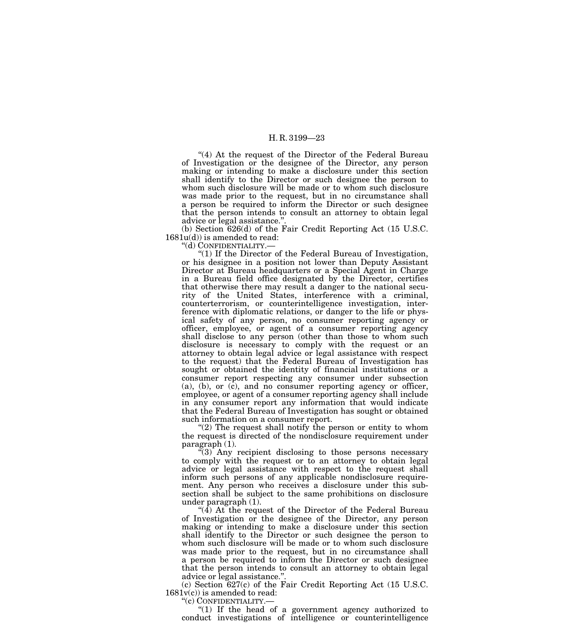"(4) At the request of the Director of the Federal Bureau of Investigation or the designee of the Director, any person making or intending to make a disclosure under this section shall identify to the Director or such designee the person to whom such disclosure will be made or to whom such disclosure was made prior to the request, but in no circumstance shall a person be required to inform the Director or such designee that the person intends to consult an attorney to obtain legal advice or legal assistance.''.

(b) Section 626(d) of the Fair Credit Reporting Act (15 U.S.C. 1681u(d)) is amended to read:

''(d) CONFIDENTIALITY.—

" $(1)$  If the Director of the Federal Bureau of Investigation, or his designee in a position not lower than Deputy Assistant Director at Bureau headquarters or a Special Agent in Charge in a Bureau field office designated by the Director, certifies that otherwise there may result a danger to the national security of the United States, interference with a criminal, counterterrorism, or counterintelligence investigation, interference with diplomatic relations, or danger to the life or physical safety of any person, no consumer reporting agency or officer, employee, or agent of a consumer reporting agency shall disclose to any person (other than those to whom such disclosure is necessary to comply with the request or an attorney to obtain legal advice or legal assistance with respect to the request) that the Federal Bureau of Investigation has sought or obtained the identity of financial institutions or a consumer report respecting any consumer under subsection  $(a)$ ,  $(b)$ , or  $(c)$ , and no consumer reporting agency or officer, employee, or agent of a consumer reporting agency shall include in any consumer report any information that would indicate that the Federal Bureau of Investigation has sought or obtained such information on a consumer report.

" $(2)$  The request shall notify the person or entity to whom the request is directed of the nondisclosure requirement under paragraph (1).

 $\sqrt[4]{(3)}$  Any recipient disclosing to those persons necessary to comply with the request or to an attorney to obtain legal advice or legal assistance with respect to the request shall inform such persons of any applicable nondisclosure requirement. Any person who receives a disclosure under this subsection shall be subject to the same prohibitions on disclosure under paragraph (1).

"(4) At the request of the Director of the Federal Bureau of Investigation or the designee of the Director, any person making or intending to make a disclosure under this section shall identify to the Director or such designee the person to whom such disclosure will be made or to whom such disclosure was made prior to the request, but in no circumstance shall a person be required to inform the Director or such designee that the person intends to consult an attorney to obtain legal advice or legal assistance."

(c) Section 627(c) of the Fair Credit Reporting Act (15 U.S.C.  $1681v(c)$  is amended to read:

''(c) CONFIDENTIALITY.— ''(1) If the head of a government agency authorized to conduct investigations of intelligence or counterintelligence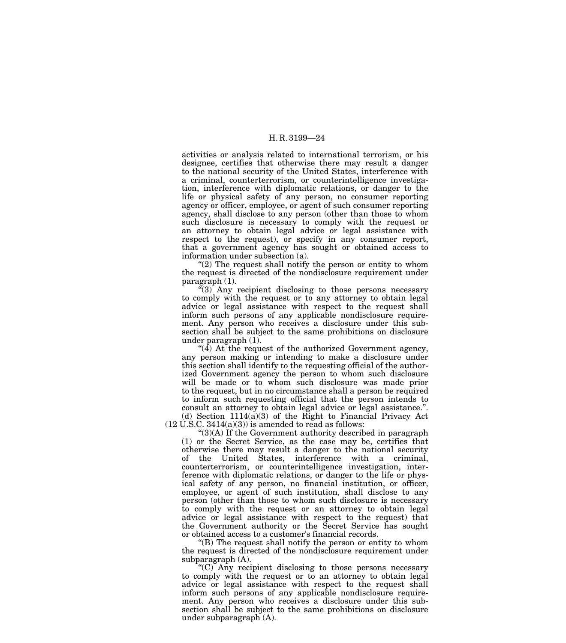activities or analysis related to international terrorism, or his designee, certifies that otherwise there may result a danger to the national security of the United States, interference with a criminal, counterterrorism, or counterintelligence investigation, interference with diplomatic relations, or danger to the life or physical safety of any person, no consumer reporting agency or officer, employee, or agent of such consumer reporting agency, shall disclose to any person (other than those to whom such disclosure is necessary to comply with the request or an attorney to obtain legal advice or legal assistance with respect to the request), or specify in any consumer report, that a government agency has sought or obtained access to information under subsection (a).

" $(2)$  The request shall notify the person or entity to whom the request is directed of the nondisclosure requirement under paragraph (1).

''(3) Any recipient disclosing to those persons necessary to comply with the request or to any attorney to obtain legal advice or legal assistance with respect to the request shall inform such persons of any applicable nondisclosure requirement. Any person who receives a disclosure under this subsection shall be subject to the same prohibitions on disclosure under paragraph (1).

"(4) At the request of the authorized Government agency, any person making or intending to make a disclosure under this section shall identify to the requesting official of the authorized Government agency the person to whom such disclosure will be made or to whom such disclosure was made prior to the request, but in no circumstance shall a person be required to inform such requesting official that the person intends to consult an attorney to obtain legal advice or legal assistance.''. (d) Section 1114(a)(3) of the Right to Financial Privacy Act  $(12$  U.S.C. 3414 $(a)(3)$ ) is amended to read as follows:

 $\degree$ (3)(A) If the Government authority described in paragraph (1) or the Secret Service, as the case may be, certifies that otherwise there may result a danger to the national security of the United States, interference with a criminal, counterterrorism, or counterintelligence investigation, interference with diplomatic relations, or danger to the life or physical safety of any person, no financial institution, or officer, employee, or agent of such institution, shall disclose to any person (other than those to whom such disclosure is necessary to comply with the request or an attorney to obtain legal advice or legal assistance with respect to the request) that the Government authority or the Secret Service has sought or obtained access to a customer's financial records.

''(B) The request shall notify the person or entity to whom the request is directed of the nondisclosure requirement under subparagraph (A).

 $(C)$  Any recipient disclosing to those persons necessary to comply with the request or to an attorney to obtain legal advice or legal assistance with respect to the request shall inform such persons of any applicable nondisclosure requirement. Any person who receives a disclosure under this subsection shall be subject to the same prohibitions on disclosure under subparagraph (A).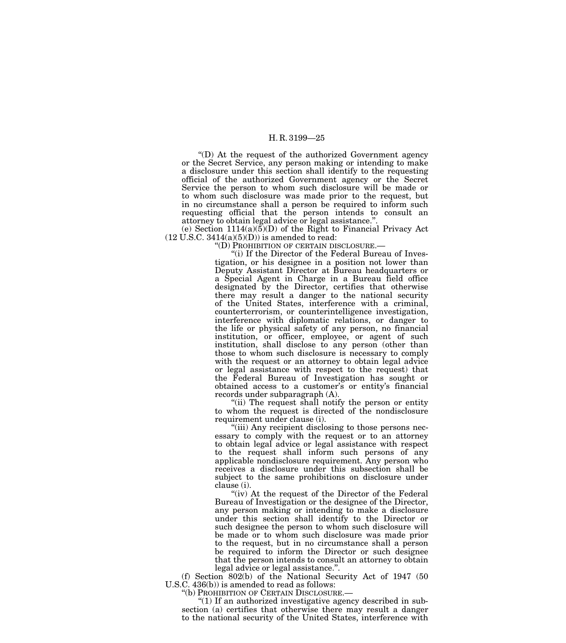''(D) At the request of the authorized Government agency or the Secret Service, any person making or intending to make a disclosure under this section shall identify to the requesting official of the authorized Government agency or the Secret Service the person to whom such disclosure will be made or to whom such disclosure was made prior to the request, but in no circumstance shall a person be required to inform such requesting official that the person intends to consult an attorney to obtain legal advice or legal assistance.''.

(e) Section  $1114(a)(5)(D)$  of the Right to Financial Privacy Act  $(12 \text{ U.S.C. } 3414(a)(5)(D))$  is amended to read:

''(D) PROHIBITION OF CERTAIN DISCLOSURE.—

"(i) If the Director of the Federal Bureau of Investigation, or his designee in a position not lower than Deputy Assistant Director at Bureau headquarters or a Special Agent in Charge in a Bureau field office designated by the Director, certifies that otherwise there may result a danger to the national security of the United States, interference with a criminal, counterterrorism, or counterintelligence investigation, interference with diplomatic relations, or danger to the life or physical safety of any person, no financial institution, or officer, employee, or agent of such institution, shall disclose to any person (other than those to whom such disclosure is necessary to comply with the request or an attorney to obtain legal advice or legal assistance with respect to the request) that the Federal Bureau of Investigation has sought or obtained access to a customer's or entity's financial records under subparagraph (A).

"(ii) The request shall notify the person or entity to whom the request is directed of the nondisclosure requirement under clause (i).

"(iii) Any recipient disclosing to those persons necessary to comply with the request or to an attorney to obtain legal advice or legal assistance with respect to the request shall inform such persons of any applicable nondisclosure requirement. Any person who receives a disclosure under this subsection shall be subject to the same prohibitions on disclosure under clause (i).

"(iv) At the request of the Director of the Federal Bureau of Investigation or the designee of the Director, any person making or intending to make a disclosure under this section shall identify to the Director or such designee the person to whom such disclosure will be made or to whom such disclosure was made prior to the request, but in no circumstance shall a person be required to inform the Director or such designee that the person intends to consult an attorney to obtain legal advice or legal assistance.''.

(f) Section 802(b) of the National Security Act of 1947 (50 U.S.C. 436(b)) is amended to read as follows:

''(b) PROHIBITION OF CERTAIN DISCLOSURE.— ''(1) If an authorized investigative agency described in subsection (a) certifies that otherwise there may result a danger to the national security of the United States, interference with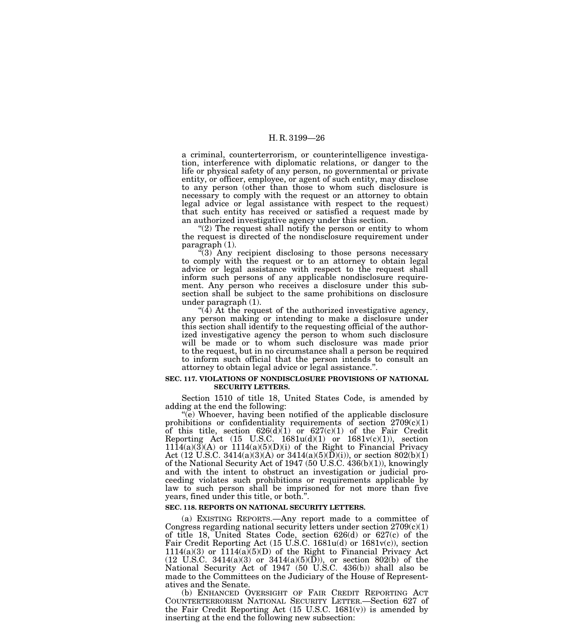a criminal, counterterrorism, or counterintelligence investigation, interference with diplomatic relations, or danger to the life or physical safety of any person, no governmental or private entity, or officer, employee, or agent of such entity, may disclose to any person (other than those to whom such disclosure is necessary to comply with the request or an attorney to obtain legal advice or legal assistance with respect to the request) that such entity has received or satisfied a request made by an authorized investigative agency under this section.

"(2) The request shall notify the person or entity to whom the request is directed of the nondisclosure requirement under paragraph (1).

"(3) Any recipient disclosing to those persons necessary to comply with the request or to an attorney to obtain legal advice or legal assistance with respect to the request shall inform such persons of any applicable nondisclosure requirement. Any person who receives a disclosure under this subsection shall be subject to the same prohibitions on disclosure under paragraph (1).

"(4) At the request of the authorized investigative agency, any person making or intending to make a disclosure under this section shall identify to the requesting official of the authorized investigative agency the person to whom such disclosure will be made or to whom such disclosure was made prior to the request, but in no circumstance shall a person be required to inform such official that the person intends to consult an attorney to obtain legal advice or legal assistance.''.

# **SEC. 117. VIOLATIONS OF NONDISCLOSURE PROVISIONS OF NATIONAL SECURITY LETTERS.**

Section 1510 of title 18, United States Code, is amended by adding at the end the following:

''(e) Whoever, having been notified of the applicable disclosure prohibitions or confidentiality requirements of section  $2709(c)(1)$ of this title, section  $626(d)(1)$  or  $627(c)(1)$  of the Fair Credit Reporting Act  $(15 \text{ U.S.C. } 1681u(d)(1) \text{ or } 1681v(c)(1))$ , section  $1114(a)(3)(A)$  or  $1114(a)(5)(D)(i)$  of the Right to Financial Privacy Act (12 U.S.C. 3414(a)(3)(A) or 3414(a)(5)(D)(i)), or section 802(b)(1) of the National Security Act of 1947 (50 U.S.C. 436(b)(1)), knowingly and with the intent to obstruct an investigation or judicial proceeding violates such prohibitions or requirements applicable by law to such person shall be imprisoned for not more than five years, fined under this title, or both.''.

#### **SEC. 118. REPORTS ON NATIONAL SECURITY LETTERS.**

(a) EXISTING REPORTS.—Any report made to a committee of Congress regarding national security letters under section  $2709(c)(1)$ of title 18, United States Code, section 626(d) or 627(c) of the Fair Credit Reporting Act (15 U.S.C. 1681u(d) or 1681v(c)), section  $1114(a)(3)$  or  $114(a)(5)(D)$  of the Right to Financial Privacy Act  $(12 \text{ U.S.C. } 3414(a)(3) \text{ or } 3414(a)(5)(\bar{D}))$ , or section 802(b) of the National Security Act of 1947 (50 U.S.C. 436(b)) shall also be made to the Committees on the Judiciary of the House of Representatives and the Senate.

(b) ENHANCED OVERSIGHT OF FAIR CREDIT REPORTING ACT COUNTERTERRORISM NATIONAL SECURITY LETTER.—Section 627 of the Fair Credit Reporting Act  $(15 \text{ U.S.C. } 1681(v))$  is amended by inserting at the end the following new subsection: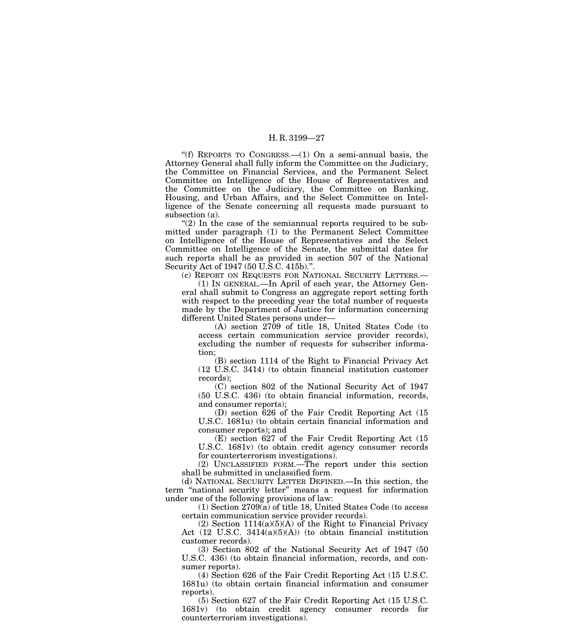"(f) REPORTS TO CONGRESS.— $(1)$  On a semi-annual basis, the Attorney General shall fully inform the Committee on the Judiciary, the Committee on Financial Services, and the Permanent Select Committee on Intelligence of the House of Representatives and the Committee on the Judiciary, the Committee on Banking, Housing, and Urban Affairs, and the Select Committee on Intelligence of the Senate concerning all requests made pursuant to subsection (a).

" $(2)$  In the case of the semiannual reports required to be submitted under paragraph (1) to the Permanent Select Committee on Intelligence of the House of Representatives and the Select Committee on Intelligence of the Senate, the submittal dates for such reports shall be as provided in section 507 of the National Security Act of 1947 (50 U.S.C. 415b).''.

(c) REPORT ON REQUESTS FOR NATIONAL SECURITY LETTERS.—

(1) IN GENERAL.—In April of each year, the Attorney General shall submit to Congress an aggregate report setting forth with respect to the preceding year the total number of requests made by the Department of Justice for information concerning different United States persons under—

(A) section 2709 of title 18, United States Code (to access certain communication service provider records), excluding the number of requests for subscriber information;

(B) section 1114 of the Right to Financial Privacy Act (12 U.S.C. 3414) (to obtain financial institution customer records);

(C) section 802 of the National Security Act of 1947 (50 U.S.C. 436) (to obtain financial information, records, and consumer reports);

(D) section 626 of the Fair Credit Reporting Act (15 U.S.C. 1681u) (to obtain certain financial information and consumer reports); and

(E) section 627 of the Fair Credit Reporting Act (15 U.S.C. 1681v) (to obtain credit agency consumer records for counterterrorism investigations).

(2) UNCLASSIFIED FORM.—The report under this section shall be submitted in unclassified form.

(d) NATIONAL SECURITY LETTER DEFINED.—In this section, the term ''national security letter'' means a request for information under one of the following provisions of law:

(1) Section 2709(a) of title 18, United States Code (to access certain communication service provider records).

 $(2)$  Section 1114(a)(5)(A) of the Right to Financial Privacy Act (12 U.S.C. 3414(a)(5)(A)) (to obtain financial institution customer records).

(3) Section 802 of the National Security Act of 1947 (50 U.S.C. 436) (to obtain financial information, records, and consumer reports).

(4) Section 626 of the Fair Credit Reporting Act (15 U.S.C. 1681u) (to obtain certain financial information and consumer reports).

(5) Section 627 of the Fair Credit Reporting Act (15 U.S.C. 1681v) (to obtain credit agency consumer records for counterterrorism investigations).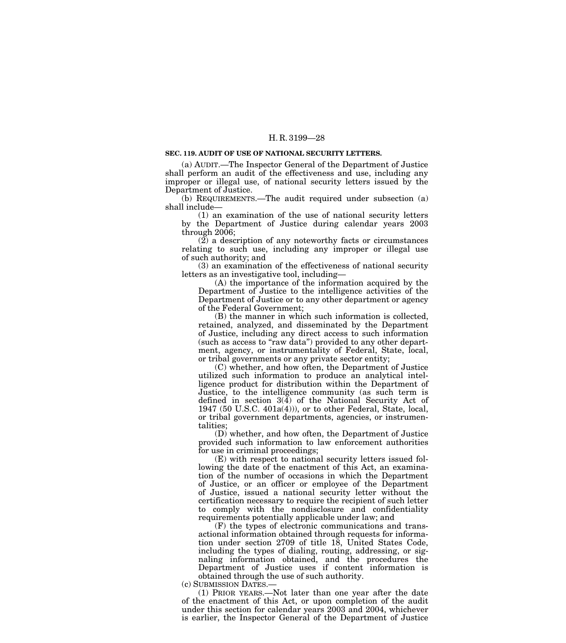# **SEC. 119. AUDIT OF USE OF NATIONAL SECURITY LETTERS.**

(a) AUDIT.—The Inspector General of the Department of Justice shall perform an audit of the effectiveness and use, including any improper or illegal use, of national security letters issued by the Department of Justice.

(b) REQUIREMENTS.—The audit required under subsection (a) shall include—

(1) an examination of the use of national security letters by the Department of Justice during calendar years 2003 through  $2006$ ;

(2) a description of any noteworthy facts or circumstances relating to such use, including any improper or illegal use of such authority; and

(3) an examination of the effectiveness of national security letters as an investigative tool, including—

(A) the importance of the information acquired by the Department of Justice to the intelligence activities of the Department of Justice or to any other department or agency of the Federal Government;

(B) the manner in which such information is collected, retained, analyzed, and disseminated by the Department of Justice, including any direct access to such information (such as access to "raw data") provided to any other department, agency, or instrumentality of Federal, State, local, or tribal governments or any private sector entity;

(C) whether, and how often, the Department of Justice utilized such information to produce an analytical intelligence product for distribution within the Department of Justice, to the intelligence community (as such term is defined in section 3(4) of the National Security Act of 1947 (50 U.S.C. 401 $a(4)$ ), or to other Federal, State, local, or tribal government departments, agencies, or instrumentalities;

(D) whether, and how often, the Department of Justice provided such information to law enforcement authorities for use in criminal proceedings;

(E) with respect to national security letters issued following the date of the enactment of this Act, an examination of the number of occasions in which the Department of Justice, or an officer or employee of the Department of Justice, issued a national security letter without the certification necessary to require the recipient of such letter to comply with the nondisclosure and confidentiality requirements potentially applicable under law; and

(F) the types of electronic communications and transactional information obtained through requests for information under section 2709 of title 18, United States Code, including the types of dialing, routing, addressing, or signaling information obtained, and the procedures the Department of Justice uses if content information is obtained through the use of such authority.

(c) SUBMISSION DATES.—

(1) PRIOR YEARS.—Not later than one year after the date of the enactment of this Act, or upon completion of the audit under this section for calendar years 2003 and 2004, whichever is earlier, the Inspector General of the Department of Justice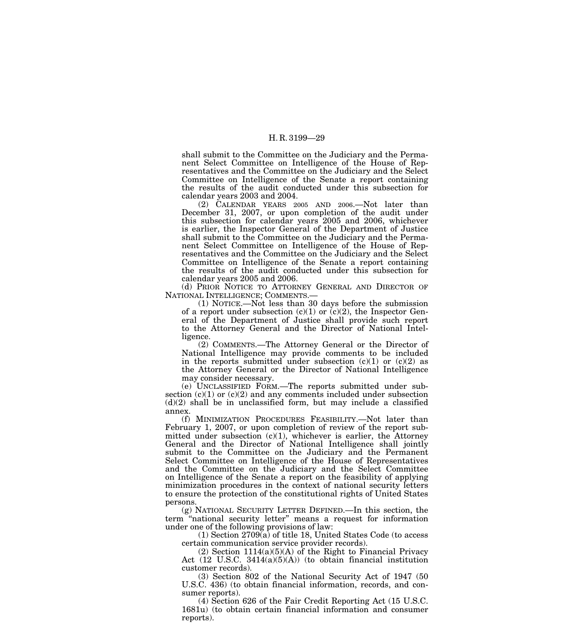shall submit to the Committee on the Judiciary and the Permanent Select Committee on Intelligence of the House of Representatives and the Committee on the Judiciary and the Select Committee on Intelligence of the Senate a report containing the results of the audit conducted under this subsection for calendar years 2003 and 2004.

(2) CALENDAR YEARS 2005 AND 2006.—Not later than December 31, 2007, or upon completion of the audit under this subsection for calendar years 2005 and 2006, whichever is earlier, the Inspector General of the Department of Justice shall submit to the Committee on the Judiciary and the Permanent Select Committee on Intelligence of the House of Representatives and the Committee on the Judiciary and the Select Committee on Intelligence of the Senate a report containing the results of the audit conducted under this subsection for calendar years 2005 and 2006.

(d) PRIOR NOTICE TO ATTORNEY GENERAL AND DIRECTOR OF NATIONAL INTELLIGENCE; COMMENTS.—

(1) NOTICE.—Not less than 30 days before the submission of a report under subsection  $(c)(1)$  or  $(c)(2)$ , the Inspector General of the Department of Justice shall provide such report to the Attorney General and the Director of National Intelligence.

(2) COMMENTS.—The Attorney General or the Director of National Intelligence may provide comments to be included in the reports submitted under subsection  $(c)(1)$  or  $(c)(2)$  as the Attorney General or the Director of National Intelligence may consider necessary.

(e) UNCLASSIFIED FORM.—The reports submitted under subsection  $(c)(1)$  or  $(c)(2)$  and any comments included under subsection  $(d)(2)$  shall be in unclassified form, but may include a classified annex.

(f) MINIMIZATION PROCEDURES FEASIBILITY.—Not later than February 1, 2007, or upon completion of review of the report submitted under subsection (c)(1), whichever is earlier, the Attorney General and the Director of National Intelligence shall jointly submit to the Committee on the Judiciary and the Permanent Select Committee on Intelligence of the House of Representatives and the Committee on the Judiciary and the Select Committee on Intelligence of the Senate a report on the feasibility of applying minimization procedures in the context of national security letters to ensure the protection of the constitutional rights of United States persons.

(g) NATIONAL SECURITY LETTER DEFINED.—In this section, the term ''national security letter'' means a request for information under one of the following provisions of law:

(1) Section 2709(a) of title 18, United States Code (to access certain communication service provider records).

(2) Section  $1114(a)(5)(A)$  of the Right to Financial Privacy Act (12 U.S.C. 3414(a)(5)(A)) (to obtain financial institution customer records).

(3) Section 802 of the National Security Act of 1947 (50 U.S.C. 436) (to obtain financial information, records, and consumer reports).

(4) Section 626 of the Fair Credit Reporting Act (15 U.S.C. 1681u) (to obtain certain financial information and consumer reports).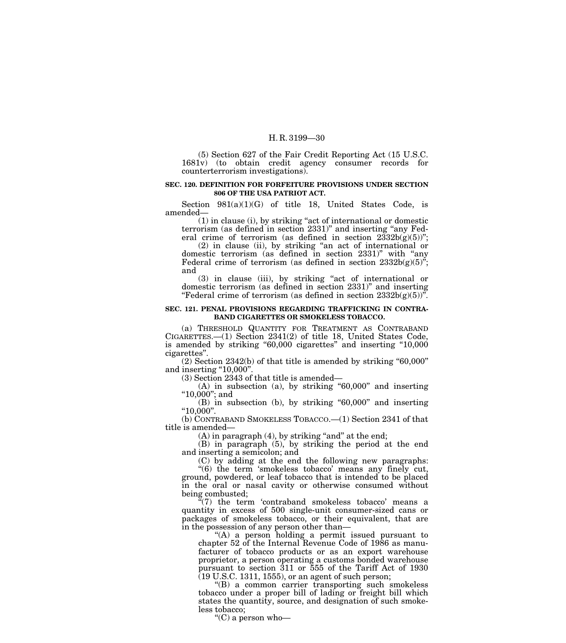(5) Section 627 of the Fair Credit Reporting Act (15 U.S.C. 1681v) (to obtain credit agency consumer records for counterterrorism investigations).

#### **SEC. 120. DEFINITION FOR FORFEITURE PROVISIONS UNDER SECTION 806 OF THE USA PATRIOT ACT.**

Section 981(a)(1)(G) of title 18, United States Code, is amended—

(1) in clause (i), by striking ''act of international or domestic terrorism (as defined in section 2331)'' and inserting ''any Federal crime of terrorism (as defined in section  $2\overline{3}32b(g)(5)$ ";

(2) in clause (ii), by striking ''an act of international or domestic terrorism (as defined in section 2331)'' with ''any Federal crime of terrorism (as defined in section  $2332b(g)(5)^3$ ; and

(3) in clause (iii), by striking ''act of international or domestic terrorism (as defined in section 2331)'' and inserting "Federal crime of terrorism (as defined in section  $2332b(g)(5)$ ".

#### **SEC. 121. PENAL PROVISIONS REGARDING TRAFFICKING IN CONTRA-BAND CIGARETTES OR SMOKELESS TOBACCO.**

(a) THRESHOLD QUANTITY FOR TREATMENT AS CONTRABAND CIGARETTES.—(1) Section 2341(2) of title 18, United States Code, is amended by striking ''60,000 cigarettes'' and inserting ''10,000 cigarettes''.

 $(2)$  Section 2342 $(b)$  of that title is amended by striking "60,000" and inserting "10,000".

(3) Section 2343 of that title is amended—

 $(A)$  in subsection  $(a)$ , by striking "60,000" and inserting ''10,000''; and

(B) in subsection (b), by striking ''60,000'' and inserting " $10,000$ ".

(b) CONTRABAND SMOKELESS TOBACCO.—(1) Section 2341 of that title is amended—

 $(A)$  in paragraph  $(4)$ , by striking "and" at the end;

(B) in paragraph (5), by striking the period at the end and inserting a semicolon; and

(C) by adding at the end the following new paragraphs:

''(6) the term 'smokeless tobacco' means any finely cut, ground, powdered, or leaf tobacco that is intended to be placed in the oral or nasal cavity or otherwise consumed without being combusted;

"(7) the term 'contraband smokeless tobacco' means a quantity in excess of 500 single-unit consumer-sized cans or packages of smokeless tobacco, or their equivalent, that are in the possession of any person other than—

''(A) a person holding a permit issued pursuant to chapter 52 of the Internal Revenue Code of 1986 as manufacturer of tobacco products or as an export warehouse proprietor, a person operating a customs bonded warehouse pursuant to section 311 or 555 of the Tariff Act of 1930  $(19 \text{ U.S.C. } 1311, 1555)$ , or an agent of such person;

''(B) a common carrier transporting such smokeless tobacco under a proper bill of lading or freight bill which states the quantity, source, and designation of such smokeless tobacco;

''(C) a person who—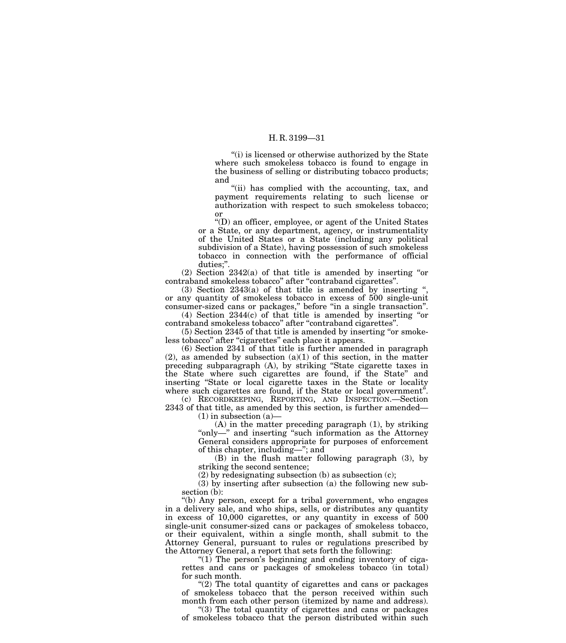"(i) is licensed or otherwise authorized by the State" where such smokeless tobacco is found to engage in the business of selling or distributing tobacco products; and

"(ii) has complied with the accounting, tax, and payment requirements relating to such license or authorization with respect to such smokeless tobacco; or

''(D) an officer, employee, or agent of the United States or a State, or any department, agency, or instrumentality of the United States or a State (including any political subdivision of a State), having possession of such smokeless tobacco in connection with the performance of official duties;"

(2) Section 2342(a) of that title is amended by inserting ''or contraband smokeless tobacco'' after ''contraband cigarettes''.

(3) Section 2343(a) of that title is amended by inserting ", or any quantity of smokeless tobacco in excess of 500 single-unit consumer-sized cans or packages,'' before ''in a single transaction''.

(4) Section  $2344(c)$  of that title is amended by inserting "or contraband smokeless tobacco'' after ''contraband cigarettes''.

(5) Section 2345 of that title is amended by inserting ''or smokeless tobacco'' after ''cigarettes'' each place it appears.

(6) Section 2341 of that title is further amended in paragraph  $(2)$ , as amended by subsection  $(a)(1)$  of this section, in the matter preceding subparagraph (A), by striking ''State cigarette taxes in the State where such cigarettes are found, if the State'' and inserting ''State or local cigarette taxes in the State or locality where such cigarettes are found, if the State or local government".

(c) RECORDKEEPING, REPORTING, AND INSPECTION.—Section 2343 of that title, as amended by this section, is further amended—

(1) in subsection (a)—

(A) in the matter preceding paragraph (1), by striking ''only—'' and inserting ''such information as the Attorney General considers appropriate for purposes of enforcement of this chapter, including—''; and

(B) in the flush matter following paragraph (3), by striking the second sentence;

(2) by redesignating subsection (b) as subsection (c);

(3) by inserting after subsection (a) the following new subsection (b):

"(b) Any person, except for a tribal government, who engages in a delivery sale, and who ships, sells, or distributes any quantity in excess of 10,000 cigarettes, or any quantity in excess of 500 single-unit consumer-sized cans or packages of smokeless tobacco, or their equivalent, within a single month, shall submit to the Attorney General, pursuant to rules or regulations prescribed by the Attorney General, a report that sets forth the following:

" $(1)$  The person's beginning and ending inventory of cigarettes and cans or packages of smokeless tobacco (in total) for such month.

 $(2)$  The total quantity of cigarettes and cans or packages of smokeless tobacco that the person received within such month from each other person (itemized by name and address).

''(3) The total quantity of cigarettes and cans or packages of smokeless tobacco that the person distributed within such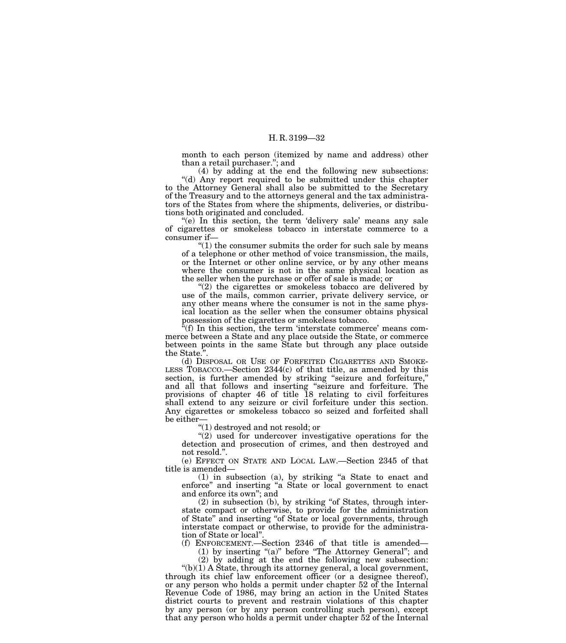month to each person (itemized by name and address) other than a retail purchaser.''; and

(4) by adding at the end the following new subsections: ''(d) Any report required to be submitted under this chapter to the Attorney General shall also be submitted to the Secretary of the Treasury and to the attorneys general and the tax administrators of the States from where the shipments, deliveries, or distributions both originated and concluded.

"(e) In this section, the term 'delivery sale' means any sale of cigarettes or smokeless tobacco in interstate commerce to a consumer if—

 $(1)$  the consumer submits the order for such sale by means of a telephone or other method of voice transmission, the mails, or the Internet or other online service, or by any other means where the consumer is not in the same physical location as the seller when the purchase or offer of sale is made; or

 $(2)$  the cigarettes or smokeless tobacco are delivered by use of the mails, common carrier, private delivery service, or any other means where the consumer is not in the same physical location as the seller when the consumer obtains physical possession of the cigarettes or smokeless tobacco.

''(f) In this section, the term 'interstate commerce' means commerce between a State and any place outside the State, or commerce between points in the same State but through any place outside the State.''.

(d) DISPOSAL OR USE OF FORFEITED CIGARETTES AND SMOKE- LESS TOBACCO.—Section 2344(c) of that title, as amended by this section, is further amended by striking "seizure and forfeiture," and all that follows and inserting ''seizure and forfeiture. The provisions of chapter 46 of title 18 relating to civil forfeitures shall extend to any seizure or civil forfeiture under this section. Any cigarettes or smokeless tobacco so seized and forfeited shall be either—

''(1) destroyed and not resold; or

 $''(2)$  used for undercover investigative operations for the detection and prosecution of crimes, and then destroyed and not resold.''.

(e) EFFECT ON STATE AND LOCAL LAW.—Section 2345 of that title is amended—

(1) in subsection (a), by striking ''a State to enact and enforce'' and inserting ''a State or local government to enact and enforce its own''; and

(2) in subsection (b), by striking ''of States, through interstate compact or otherwise, to provide for the administration of State'' and inserting ''of State or local governments, through interstate compact or otherwise, to provide for the administration of State or local''.

(f) ENFORCEMENT.—Section 2346 of that title is amended—

(1) by inserting "(a)" before "The Attorney General"; and  $(2)$  by adding at the end the following new subsection:

" $(b)(1)$  A State, through its attorney general, a local government, through its chief law enforcement officer (or a designee thereof), or any person who holds a permit under chapter 52 of the Internal Revenue Code of 1986, may bring an action in the United States district courts to prevent and restrain violations of this chapter by any person (or by any person controlling such person), except that any person who holds a permit under chapter 52 of the Internal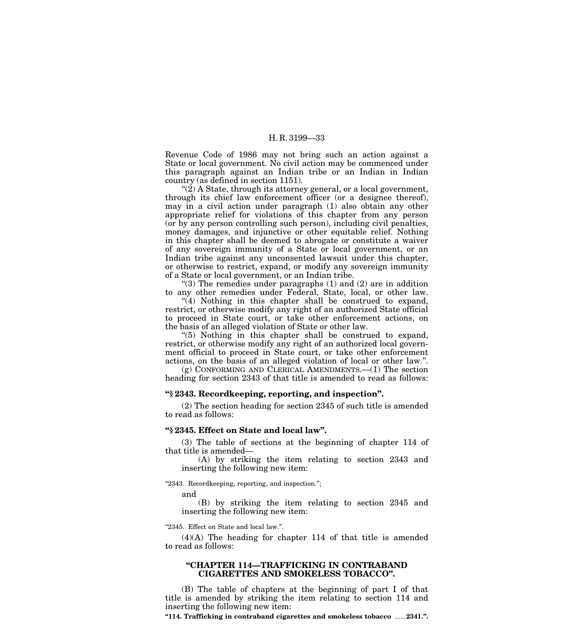Revenue Code of 1986 may not bring such an action against a State or local government. No civil action may be commenced under this paragraph against an Indian tribe or an Indian in Indian country (as defined in section 1151).

 $(2)$  A State, through its attorney general, or a local government, through its chief law enforcement officer (or a designee thereof), may in a civil action under paragraph (1) also obtain any other appropriate relief for violations of this chapter from any person (or by any person controlling such person), including civil penalties, money damages, and injunctive or other equitable relief. Nothing in this chapter shall be deemed to abrogate or constitute a waiver of any sovereign immunity of a State or local government, or an Indian tribe against any unconsented lawsuit under this chapter, or otherwise to restrict, expand, or modify any sovereign immunity of a State or local government, or an Indian tribe.

" $(3)$  The remedies under paragraphs  $(1)$  and  $(2)$  are in addition to any other remedies under Federal, State, local, or other law.

"(4) Nothing in this chapter shall be construed to expand, restrict, or otherwise modify any right of an authorized State official to proceed in State court, or take other enforcement actions, on the basis of an alleged violation of State or other law.

''(5) Nothing in this chapter shall be construed to expand, restrict, or otherwise modify any right of an authorized local government official to proceed in State court, or take other enforcement actions, on the basis of an alleged violation of local or other law.''.

(g) CONFORMING AND CLERICAL AMENDMENTS.—(1) The section heading for section 2343 of that title is amended to read as follows:

# **''§ 2343. Recordkeeping, reporting, and inspection''.**

(2) The section heading for section 2345 of such title is amended to read as follows:

# **''§ 2345. Effect on State and local law''.**

(3) The table of sections at the beginning of chapter 114 of that title is amended—

(A) by striking the item relating to section 2343 and inserting the following new item:

''2343. Recordkeeping, reporting, and inspection.'';

and

(B) by striking the item relating to section 2345 and inserting the following new item:

"2345. Effect on State and local law.".

(4)(A) The heading for chapter 114 of that title is amended to read as follows:

# **''CHAPTER 114—TRAFFICKING IN CONTRABAND CIGARETTES AND SMOKELESS TOBACCO''.**

(B) The table of chapters at the beginning of part I of that title is amended by striking the item relating to section 114 and inserting the following new item:

**''114. Trafficking in contraband cigarettes and smokeless tobacco** ......**2341.''.**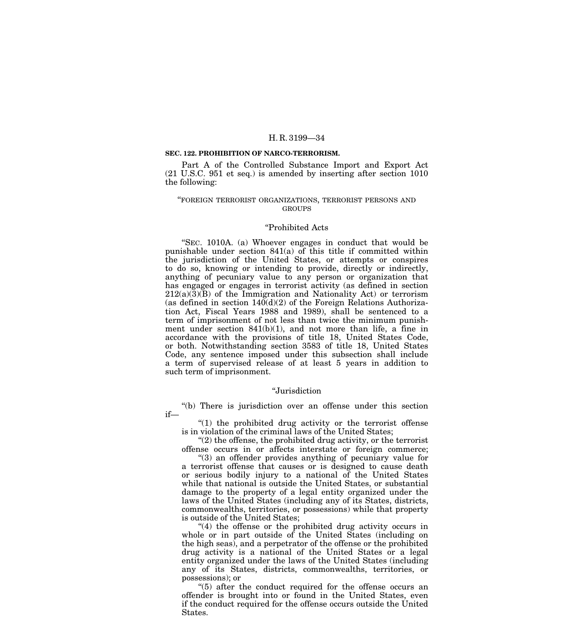### **SEC. 122. PROHIBITION OF NARCO-TERRORISM.**

Part A of the Controlled Substance Import and Export Act (21 U.S.C. 951 et seq.) is amended by inserting after section 1010 the following:

# ''FOREIGN TERRORIST ORGANIZATIONS, TERRORIST PERSONS AND **GROUPS**

#### ''Prohibited Acts

''SEC. 1010A. (a) Whoever engages in conduct that would be punishable under section 841(a) of this title if committed within the jurisdiction of the United States, or attempts or conspires to do so, knowing or intending to provide, directly or indirectly, anything of pecuniary value to any person or organization that has engaged or engages in terrorist activity (as defined in section  $212(a)(3)(B)$  of the Immigration and Nationality Act) or terrorism (as defined in section  $140(d)(2)$  of the Foreign Relations Authorization Act, Fiscal Years 1988 and 1989), shall be sentenced to a term of imprisonment of not less than twice the minimum punishment under section  $841(b)(1)$ , and not more than life, a fine in accordance with the provisions of title 18, United States Code, or both. Notwithstanding section 3583 of title 18, United States Code, any sentence imposed under this subsection shall include a term of supervised release of at least 5 years in addition to such term of imprisonment.

# ''Jurisdiction

''(b) There is jurisdiction over an offense under this section if—

 $(1)$  the prohibited drug activity or the terrorist offense is in violation of the criminal laws of the United States;

 $(2)$  the offense, the prohibited drug activity, or the terrorist offense occurs in or affects interstate or foreign commerce;

''(3) an offender provides anything of pecuniary value for a terrorist offense that causes or is designed to cause death or serious bodily injury to a national of the United States while that national is outside the United States, or substantial damage to the property of a legal entity organized under the laws of the United States (including any of its States, districts, commonwealths, territories, or possessions) while that property is outside of the United States;

 $(4)$  the offense or the prohibited drug activity occurs in whole or in part outside of the United States (including on the high seas), and a perpetrator of the offense or the prohibited drug activity is a national of the United States or a legal entity organized under the laws of the United States (including any of its States, districts, commonwealths, territories, or possessions); or

''(5) after the conduct required for the offense occurs an offender is brought into or found in the United States, even if the conduct required for the offense occurs outside the United States.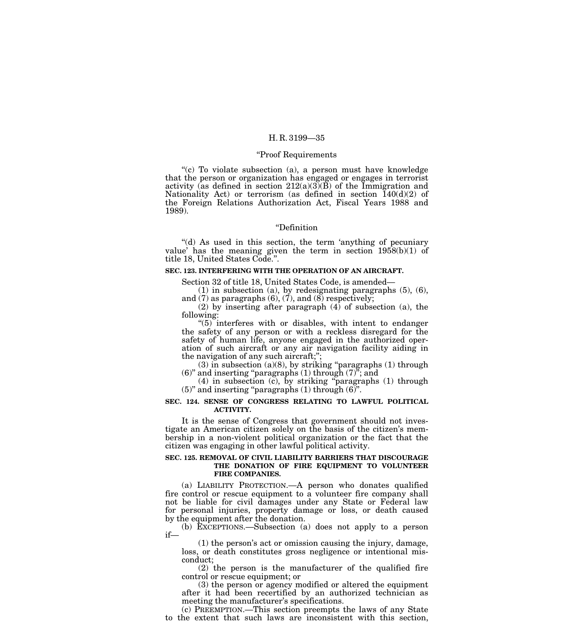#### ''Proof Requirements

"(c) To violate subsection (a), a person must have knowledge that the person or organization has engaged or engages in terrorist activity (as defined in section  $212(a)(3)(B)$  of the Immigration and Nationality Act) or terrorism (as defined in section  $140(d)(2)$  of the Foreign Relations Authorization Act, Fiscal Years 1988 and 1989).

#### ''Definition

''(d) As used in this section, the term 'anything of pecuniary value' has the meaning given the term in section  $1958(b)(1)$  of title 18, United States Code.''.

# **SEC. 123. INTERFERING WITH THE OPERATION OF AN AIRCRAFT.**

Section 32 of title 18, United States Code, is amended—

(1) in subsection (a), by redesignating paragraphs (5), (6), and (7) as paragraphs  $(6)$ ,  $(7)$ , and  $(8)$  respectively;

(2) by inserting after paragraph  $(4)$  of subsection (a), the following:

 $(5)$  interferes with or disables, with intent to endanger the safety of any person or with a reckless disregard for the safety of human life, anyone engaged in the authorized operation of such aircraft or any air navigation facility aiding in the navigation of any such aircraft;'';

 $(3)$  in subsection  $(a)(8)$ , by striking "paragraphs  $(1)$  through (6)'' and inserting ''paragraphs (1) through (7)''; and

(4) in subsection (c), by striking ''paragraphs (1) through (5)'' and inserting ''paragraphs (1) through (6)''.

#### **SEC. 124. SENSE OF CONGRESS RELATING TO LAWFUL POLITICAL ACTIVITY.**

It is the sense of Congress that government should not investigate an American citizen solely on the basis of the citizen's membership in a non-violent political organization or the fact that the citizen was engaging in other lawful political activity.

#### **SEC. 125. REMOVAL OF CIVIL LIABILITY BARRIERS THAT DISCOURAGE THE DONATION OF FIRE EQUIPMENT TO VOLUNTEER FIRE COMPANIES.**

(a) LIABILITY PROTECTION.—A person who donates qualified fire control or rescue equipment to a volunteer fire company shall not be liable for civil damages under any State or Federal law for personal injuries, property damage or loss, or death caused by the equipment after the donation.

(b) EXCEPTIONS.—Subsection (a) does not apply to a person if—

(1) the person's act or omission causing the injury, damage, loss, or death constitutes gross negligence or intentional misconduct;

(2) the person is the manufacturer of the qualified fire control or rescue equipment; or

(3) the person or agency modified or altered the equipment after it had been recertified by an authorized technician as meeting the manufacturer's specifications.

(c) PREEMPTION.—This section preempts the laws of any State to the extent that such laws are inconsistent with this section,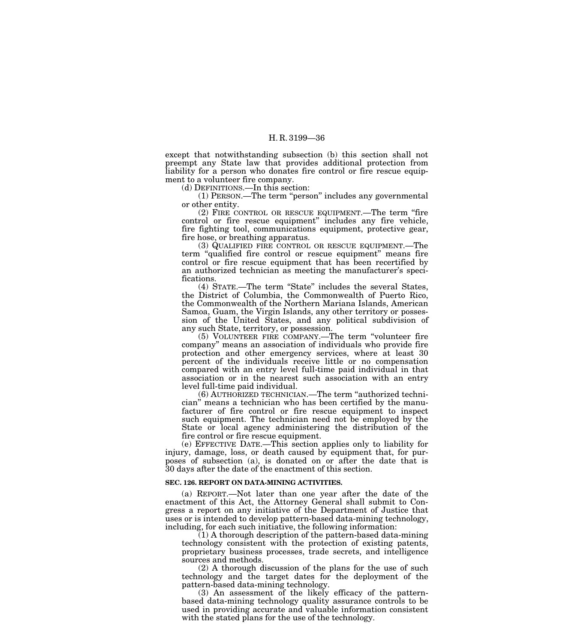except that notwithstanding subsection (b) this section shall not preempt any State law that provides additional protection from liability for a person who donates fire control or fire rescue equipment to a volunteer fire company.

(d) DEFINITIONS.—In this section:

(1) PERSON.—The term ''person'' includes any governmental or other entity.

(2) FIRE CONTROL OR RESCUE EQUIPMENT.—The term ''fire control or fire rescue equipment'' includes any fire vehicle, fire fighting tool, communications equipment, protective gear, fire hose, or breathing apparatus.

(3) QUALIFIED FIRE CONTROL OR RESCUE EQUIPMENT.—The term "qualified fire control or rescue equipment" means fire control or fire rescue equipment that has been recertified by an authorized technician as meeting the manufacturer's specifications.

(4) STATE.—The term ''State'' includes the several States, the District of Columbia, the Commonwealth of Puerto Rico, the Commonwealth of the Northern Mariana Islands, American Samoa, Guam, the Virgin Islands, any other territory or possession of the United States, and any political subdivision of any such State, territory, or possession.

(5) VOLUNTEER FIRE COMPANY.—The term ''volunteer fire company'' means an association of individuals who provide fire protection and other emergency services, where at least 30 percent of the individuals receive little or no compensation compared with an entry level full-time paid individual in that association or in the nearest such association with an entry level full-time paid individual.

(6) AUTHORIZED TECHNICIAN.—The term ''authorized technician'' means a technician who has been certified by the manufacturer of fire control or fire rescue equipment to inspect such equipment. The technician need not be employed by the State or local agency administering the distribution of the fire control or fire rescue equipment.

(e) EFFECTIVE DATE.—This section applies only to liability for injury, damage, loss, or death caused by equipment that, for purposes of subsection (a), is donated on or after the date that is 30 days after the date of the enactment of this section.

#### **SEC. 126. REPORT ON DATA-MINING ACTIVITIES.**

(a) REPORT.—Not later than one year after the date of the enactment of this Act, the Attorney General shall submit to Congress a report on any initiative of the Department of Justice that uses or is intended to develop pattern-based data-mining technology, including, for each such initiative, the following information:

 $(1)$  A thorough description of the pattern-based data-mining technology consistent with the protection of existing patents, proprietary business processes, trade secrets, and intelligence sources and methods.

(2) A thorough discussion of the plans for the use of such technology and the target dates for the deployment of the pattern-based data-mining technology.

(3) An assessment of the likely efficacy of the patternbased data-mining technology quality assurance controls to be used in providing accurate and valuable information consistent with the stated plans for the use of the technology.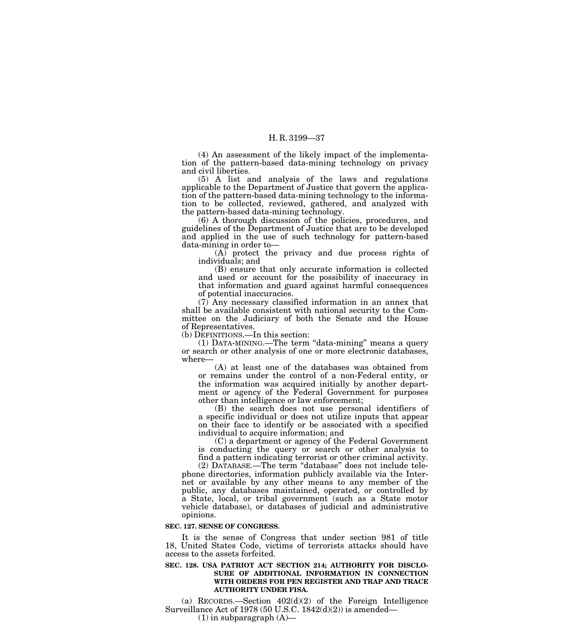(4) An assessment of the likely impact of the implementation of the pattern-based data-mining technology on privacy and civil liberties.

(5) A list and analysis of the laws and regulations applicable to the Department of Justice that govern the application of the pattern-based data-mining technology to the information to be collected, reviewed, gathered, and analyzed with the pattern-based data-mining technology.

(6) A thorough discussion of the policies, procedures, and guidelines of the Department of Justice that are to be developed and applied in the use of such technology for pattern-based data-mining in order to—

(A) protect the privacy and due process rights of individuals; and

(B) ensure that only accurate information is collected and used or account for the possibility of inaccuracy in that information and guard against harmful consequences of potential inaccuracies.

(7) Any necessary classified information in an annex that shall be available consistent with national security to the Committee on the Judiciary of both the Senate and the House of Representatives.

(b) DEFINITIONS.—In this section:

(1) DATA-MINING.—The term ''data-mining'' means a query or search or other analysis of one or more electronic databases, where—

(A) at least one of the databases was obtained from or remains under the control of a non-Federal entity, or the information was acquired initially by another department or agency of the Federal Government for purposes other than intelligence or law enforcement;

(B) the search does not use personal identifiers of a specific individual or does not utilize inputs that appear on their face to identify or be associated with a specified individual to acquire information; and

(C) a department or agency of the Federal Government is conducting the query or search or other analysis to find a pattern indicating terrorist or other criminal activity.

(2) DATABASE.—The term ''database'' does not include telephone directories, information publicly available via the Internet or available by any other means to any member of the public, any databases maintained, operated, or controlled by a State, local, or tribal government (such as a State motor vehicle database), or databases of judicial and administrative opinions.

#### **SEC. 127. SENSE OF CONGRESS.**

It is the sense of Congress that under section 981 of title 18, United States Code, victims of terrorists attacks should have access to the assets forfeited.

## **SEC. 128. USA PATRIOT ACT SECTION 214; AUTHORITY FOR DISCLO-SURE OF ADDITIONAL INFORMATION IN CONNECTION WITH ORDERS FOR PEN REGISTER AND TRAP AND TRACE AUTHORITY UNDER FISA.**

(a) RECORDS.—Section  $402(d)(2)$  of the Foreign Intelligence Surveillance Act of 1978 (50 U.S.C. 1842(d)(2)) is amended—

 $(1)$  in subparagraph  $(A)$ —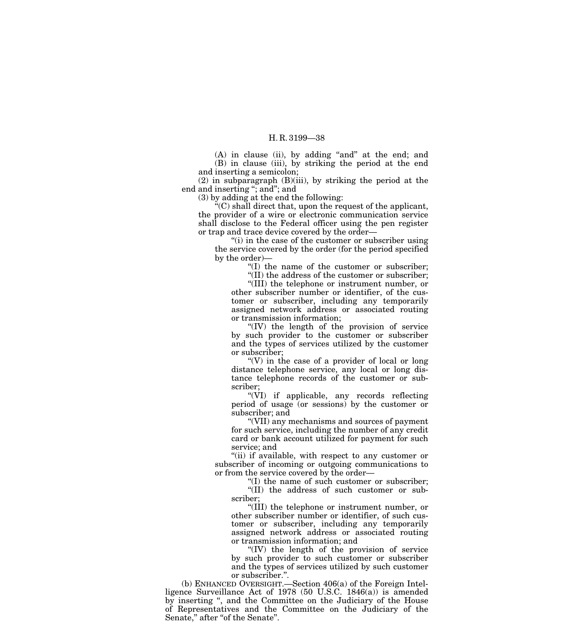(A) in clause (ii), by adding "and" at the end; and (B) in clause (iii), by striking the period at the end and inserting a semicolon;

(2) in subparagraph (B)(iii), by striking the period at the end and inserting "; and"; and

(3) by adding at the end the following:

''(C) shall direct that, upon the request of the applicant, the provider of a wire or electronic communication service shall disclose to the Federal officer using the pen register or trap and trace device covered by the order—

"(i) in the case of the customer or subscriber using the service covered by the order (for the period specified by the order)—

''(I) the name of the customer or subscriber;

''(II) the address of the customer or subscriber; ''(III) the telephone or instrument number, or

other subscriber number or identifier, of the customer or subscriber, including any temporarily assigned network address or associated routing or transmission information;

" $(IV)$  the length of the provision of service" by such provider to the customer or subscriber and the types of services utilized by the customer or subscriber;

"(V) in the case of a provider of local or long" distance telephone service, any local or long distance telephone records of the customer or subscriber;

''(VI) if applicable, any records reflecting period of usage (or sessions) by the customer or subscriber; and

''(VII) any mechanisms and sources of payment for such service, including the number of any credit card or bank account utilized for payment for such service; and

"(ii) if available, with respect to any customer or subscriber of incoming or outgoing communications to or from the service covered by the order—

''(I) the name of such customer or subscriber;

''(II) the address of such customer or subscriber;

''(III) the telephone or instrument number, or other subscriber number or identifier, of such customer or subscriber, including any temporarily assigned network address or associated routing or transmission information; and

''(IV) the length of the provision of service by such provider to such customer or subscriber and the types of services utilized by such customer or subscriber.''.

(b) ENHANCED OVERSIGHT.—Section 406(a) of the Foreign Intelligence Surveillance Act of 1978 (50 U.S.C. 1846(a)) is amended by inserting ", and the Committee on the Judiciary of the House of Representatives and the Committee on the Judiciary of the Senate," after "of the Senate".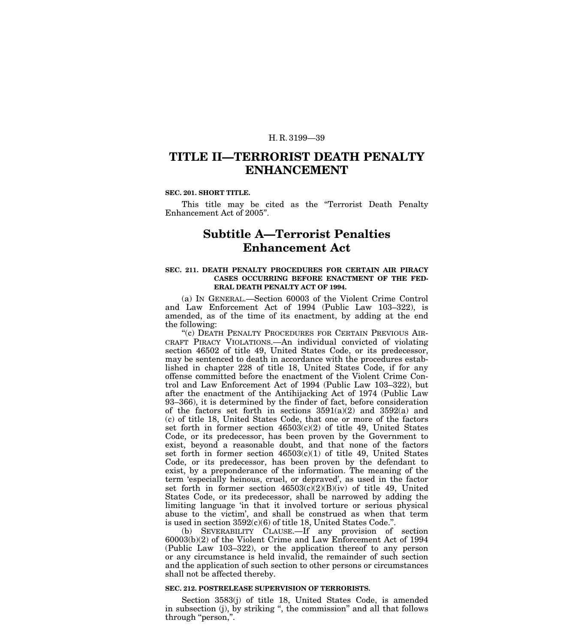# **TITLE II—TERRORIST DEATH PENALTY ENHANCEMENT**

## **SEC. 201. SHORT TITLE.**

This title may be cited as the "Terrorist Death Penalty Enhancement Act of 2005''.

# **Subtitle A—Terrorist Penalties Enhancement Act**

## **SEC. 211. DEATH PENALTY PROCEDURES FOR CERTAIN AIR PIRACY CASES OCCURRING BEFORE ENACTMENT OF THE FED-ERAL DEATH PENALTY ACT OF 1994.**

(a) IN GENERAL.—Section 60003 of the Violent Crime Control and Law Enforcement Act of 1994 (Public Law 103–322), is amended, as of the time of its enactment, by adding at the end the following:

"(c) DEATH PENALTY PROCEDURES FOR CERTAIN PREVIOUS AIR-CRAFT PIRACY VIOLATIONS.—An individual convicted of violating section 46502 of title 49, United States Code, or its predecessor, may be sentenced to death in accordance with the procedures established in chapter 228 of title 18, United States Code, if for any offense committed before the enactment of the Violent Crime Control and Law Enforcement Act of 1994 (Public Law 103–322), but after the enactment of the Antihijacking Act of 1974 (Public Law 93–366), it is determined by the finder of fact, before consideration of the factors set forth in sections  $3591(a)(2)$  and  $3592(a)$  and (c) of title 18, United States Code, that one or more of the factors set forth in former section  $46503(c)(2)$  of title 49, United States Code, or its predecessor, has been proven by the Government to exist, beyond a reasonable doubt, and that none of the factors set forth in former section  $46503(c)(1)$  of title 49, United States Code, or its predecessor, has been proven by the defendant to exist, by a preponderance of the information. The meaning of the term 'especially heinous, cruel, or depraved', as used in the factor set forth in former section  $46503(c)(2)(B)(iv)$  of title 49, United States Code, or its predecessor, shall be narrowed by adding the limiting language 'in that it involved torture or serious physical abuse to the victim', and shall be construed as when that term is used in section 3592(c)(6) of title 18, United States Code.''.

(b) SEVERABILITY CLAUSE.—If any provision of section 60003(b)(2) of the Violent Crime and Law Enforcement Act of 1994 (Public Law 103–322), or the application thereof to any person or any circumstance is held invalid, the remainder of such section and the application of such section to other persons or circumstances shall not be affected thereby.

# **SEC. 212. POSTRELEASE SUPERVISION OF TERRORISTS.**

Section 3583(j) of title 18, United States Code, is amended in subsection (j), by striking '', the commission'' and all that follows through "person,".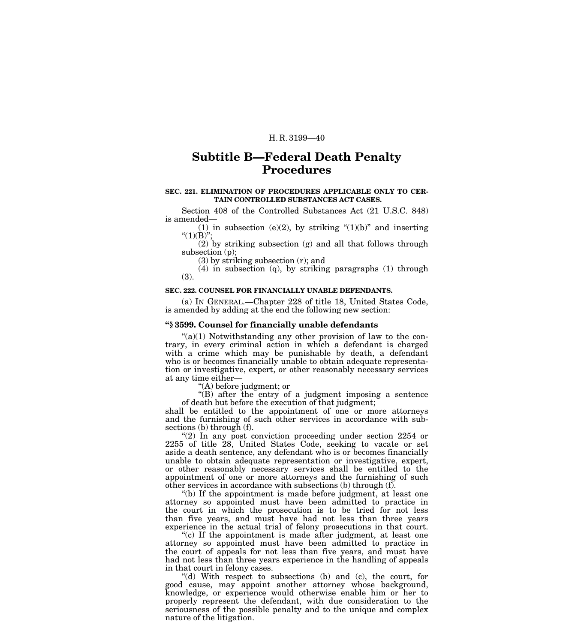# **Subtitle B—Federal Death Penalty Procedures**

## **SEC. 221. ELIMINATION OF PROCEDURES APPLICABLE ONLY TO CER-TAIN CONTROLLED SUBSTANCES ACT CASES.**

Section 408 of the Controlled Substances Act (21 U.S.C. 848) is amended—

(1) in subsection (e)(2), by striking " $(1)(b)$ " and inserting " $(1)(B)'$ 

(2) by striking subsection (g) and all that follows through subsection (p);

(3) by striking subsection (r); and

(4) in subsection (q), by striking paragraphs (1) through (3).

#### **SEC. 222. COUNSEL FOR FINANCIALLY UNABLE DEFENDANTS.**

(a) IN GENERAL.—Chapter 228 of title 18, United States Code, is amended by adding at the end the following new section:

## **''§ 3599. Counsel for financially unable defendants**

 $\mathcal{L}(a)(1)$  Notwithstanding any other provision of law to the contrary, in every criminal action in which a defendant is charged with a crime which may be punishable by death, a defendant who is or becomes financially unable to obtain adequate representation or investigative, expert, or other reasonably necessary services at any time either—

''(A) before judgment; or

''(B) after the entry of a judgment imposing a sentence of death but before the execution of that judgment;

shall be entitled to the appointment of one or more attorneys and the furnishing of such other services in accordance with subsections (b) through (f).

" $(2)$  In any post conviction proceeding under section 2254 or 2255 of title 28, United States Code, seeking to vacate or set aside a death sentence, any defendant who is or becomes financially unable to obtain adequate representation or investigative, expert, or other reasonably necessary services shall be entitled to the appointment of one or more attorneys and the furnishing of such other services in accordance with subsections (b) through (f).

"(b) If the appointment is made before judgment, at least one attorney so appointed must have been admitted to practice in the court in which the prosecution is to be tried for not less than five years, and must have had not less than three years experience in the actual trial of felony prosecutions in that court.

"(c) If the appointment is made after judgment, at least one attorney so appointed must have been admitted to practice in the court of appeals for not less than five years, and must have had not less than three years experience in the handling of appeals in that court in felony cases.

''(d) With respect to subsections (b) and (c), the court, for good cause, may appoint another attorney whose background, knowledge, or experience would otherwise enable him or her to properly represent the defendant, with due consideration to the seriousness of the possible penalty and to the unique and complex nature of the litigation.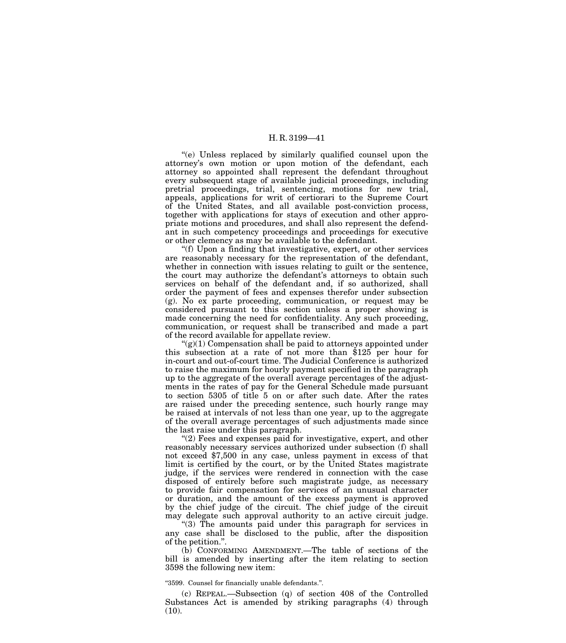''(e) Unless replaced by similarly qualified counsel upon the attorney's own motion or upon motion of the defendant, each attorney so appointed shall represent the defendant throughout every subsequent stage of available judicial proceedings, including pretrial proceedings, trial, sentencing, motions for new trial, appeals, applications for writ of certiorari to the Supreme Court of the United States, and all available post-conviction process, together with applications for stays of execution and other appropriate motions and procedures, and shall also represent the defendant in such competency proceedings and proceedings for executive or other clemency as may be available to the defendant.

''(f) Upon a finding that investigative, expert, or other services are reasonably necessary for the representation of the defendant, whether in connection with issues relating to guilt or the sentence, the court may authorize the defendant's attorneys to obtain such services on behalf of the defendant and, if so authorized, shall order the payment of fees and expenses therefor under subsection (g). No ex parte proceeding, communication, or request may be considered pursuant to this section unless a proper showing is made concerning the need for confidentiality. Any such proceeding, communication, or request shall be transcribed and made a part of the record available for appellate review.

 $\mathcal{L}(g)(1)$  Compensation shall be paid to attorneys appointed under this subsection at a rate of not more than \$125 per hour for in-court and out-of-court time. The Judicial Conference is authorized to raise the maximum for hourly payment specified in the paragraph up to the aggregate of the overall average percentages of the adjustments in the rates of pay for the General Schedule made pursuant to section 5305 of title 5 on or after such date. After the rates are raised under the preceding sentence, such hourly range may be raised at intervals of not less than one year, up to the aggregate of the overall average percentages of such adjustments made since the last raise under this paragraph.

"(2) Fees and expenses paid for investigative, expert, and other reasonably necessary services authorized under subsection (f) shall not exceed \$7,500 in any case, unless payment in excess of that limit is certified by the court, or by the United States magistrate judge, if the services were rendered in connection with the case disposed of entirely before such magistrate judge, as necessary to provide fair compensation for services of an unusual character or duration, and the amount of the excess payment is approved by the chief judge of the circuit. The chief judge of the circuit may delegate such approval authority to an active circuit judge.

''(3) The amounts paid under this paragraph for services in any case shall be disclosed to the public, after the disposition of the petition.''.

(b) CONFORMING AMENDMENT.—The table of sections of the bill is amended by inserting after the item relating to section 3598 the following new item:

#### ''3599. Counsel for financially unable defendants.''.

(c) REPEAL.—Subsection (q) of section 408 of the Controlled Substances Act is amended by striking paragraphs (4) through (10).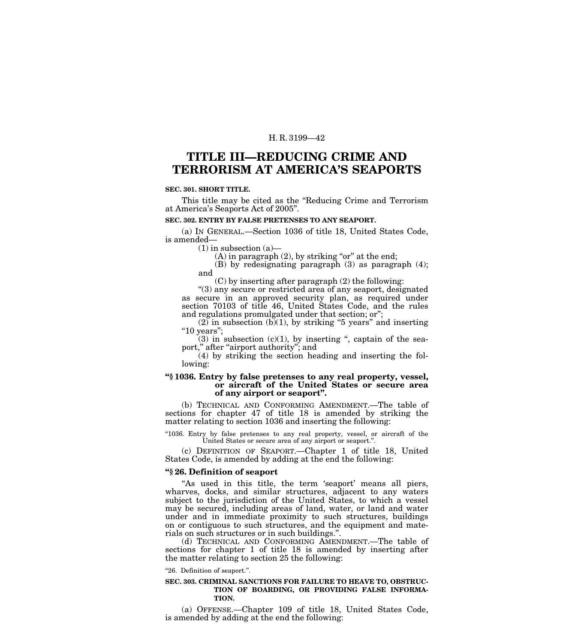# **TITLE III—REDUCING CRIME AND TERRORISM AT AMERICA'S SEAPORTS**

## **SEC. 301. SHORT TITLE.**

This title may be cited as the "Reducing Crime and Terrorism" at America's Seaports Act of 2005''.

## **SEC. 302. ENTRY BY FALSE PRETENSES TO ANY SEAPORT.**

(a) IN GENERAL.—Section 1036 of title 18, United States Code, is amended—

 $(1)$  in subsection  $(a)$ —

 $(A)$  in paragraph  $(2)$ , by striking "or" at the end;

 $(B)$  by redesignating paragraph  $(3)$  as paragraph  $(4)$ ; and

(C) by inserting after paragraph (2) the following:

''(3) any secure or restricted area of any seaport, designated as secure in an approved security plan, as required under section 70103 of title 46, United States Code, and the rules and regulations promulgated under that section; or'';

 $(2)$  in subsection  $(b)(1)$ , by striking "5 years" and inserting "10 years";

 $(3)$  in subsection  $(c)(1)$ , by inserting ", captain of the seaport," after "airport authority"; and

(4) by striking the section heading and inserting the following:

## **''§ 1036. Entry by false pretenses to any real property, vessel, or aircraft of the United States or secure area of any airport or seaport''.**

(b) TECHNICAL AND CONFORMING AMENDMENT.—The table of sections for chapter 47 of title 18 is amended by striking the matter relating to section 1036 and inserting the following:

"1036. Entry by false pretenses to any real property, vessel, or aircraft of the United States or secure area of any airport or seaport.''.

(c) DEFINITION OF SEAPORT.—Chapter 1 of title 18, United States Code, is amended by adding at the end the following:

# **''§ 26. Definition of seaport**

"As used in this title, the term 'seaport' means all piers, wharves, docks, and similar structures, adjacent to any waters subject to the jurisdiction of the United States, to which a vessel may be secured, including areas of land, water, or land and water under and in immediate proximity to such structures, buildings on or contiguous to such structures, and the equipment and materials on such structures or in such buildings.''.

(d) TECHNICAL AND CONFORMING AMENDMENT.—The table of sections for chapter 1 of title 18 is amended by inserting after the matter relating to section 25 the following:

''26. Definition of seaport.''.

## **SEC. 303. CRIMINAL SANCTIONS FOR FAILURE TO HEAVE TO, OBSTRUC-TION OF BOARDING, OR PROVIDING FALSE INFORMA-TION.**

(a) OFFENSE.—Chapter 109 of title 18, United States Code, is amended by adding at the end the following: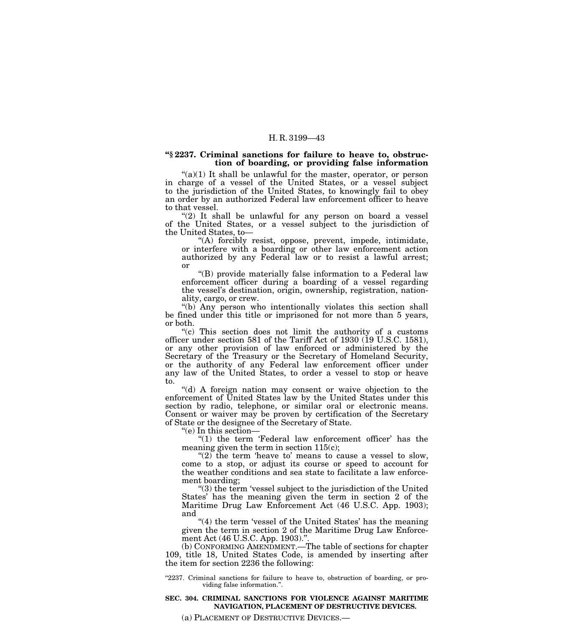## **''§ 2237. Criminal sanctions for failure to heave to, obstruction of boarding, or providing false information**

" $(a)(1)$  It shall be unlawful for the master, operator, or person in charge of a vessel of the United States, or a vessel subject to the jurisdiction of the United States, to knowingly fail to obey an order by an authorized Federal law enforcement officer to heave to that vessel.

"(2) It shall be unlawful for any person on board a vessel of the United States, or a vessel subject to the jurisdiction of the United States, to—

''(A) forcibly resist, oppose, prevent, impede, intimidate, or interfere with a boarding or other law enforcement action authorized by any Federal law or to resist a lawful arrest; or

''(B) provide materially false information to a Federal law enforcement officer during a boarding of a vessel regarding the vessel's destination, origin, ownership, registration, nationality, cargo, or crew.

"(b) Any person who intentionally violates this section shall be fined under this title or imprisoned for not more than 5 years, or both.

''(c) This section does not limit the authority of a customs officer under section 581 of the Tariff Act of 1930 (19 U.S.C. 1581), or any other provision of law enforced or administered by the Secretary of the Treasury or the Secretary of Homeland Security, or the authority of any Federal law enforcement officer under any law of the United States, to order a vessel to stop or heave to.

''(d) A foreign nation may consent or waive objection to the enforcement of United States law by the United States under this section by radio, telephone, or similar oral or electronic means. Consent or waiver may be proven by certification of the Secretary of State or the designee of the Secretary of State.

''(e) In this section—

"(1) the term 'Federal law enforcement officer' has the meaning given the term in section 115(c);

" $(2)$  the term 'heave to' means to cause a vessel to slow, come to a stop, or adjust its course or speed to account for the weather conditions and sea state to facilitate a law enforcement boarding;

''(3) the term 'vessel subject to the jurisdiction of the United States' has the meaning given the term in section 2 of the Maritime Drug Law Enforcement Act (46 U.S.C. App. 1903); and

"(4) the term 'vessel of the United States' has the meaning given the term in section 2 of the Maritime Drug Law Enforcement Act (46 U.S.C. App. 1903).".

(b) CONFORMING AMENDMENT.—The table of sections for chapter 109, title 18, United States Code, is amended by inserting after the item for section 2236 the following:

''2237. Criminal sanctions for failure to heave to, obstruction of boarding, or providing false information.''.

#### **SEC. 304. CRIMINAL SANCTIONS FOR VIOLENCE AGAINST MARITIME NAVIGATION, PLACEMENT OF DESTRUCTIVE DEVICES.**

(a) PLACEMENT OF DESTRUCTIVE DEVICES.—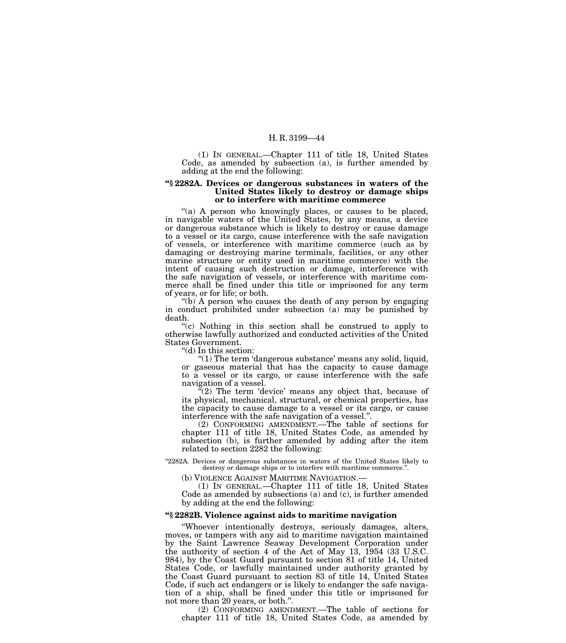(1) IN GENERAL.—Chapter 111 of title 18, United States Code, as amended by subsection (a), is further amended by adding at the end the following:

## **''§ 2282A. Devices or dangerous substances in waters of the United States likely to destroy or damage ships or to interfere with maritime commerce**

"(a) A person who knowingly places, or causes to be placed, in navigable waters of the United States, by any means, a device or dangerous substance which is likely to destroy or cause damage to a vessel or its cargo, cause interference with the safe navigation of vessels, or interference with maritime commerce (such as by damaging or destroying marine terminals, facilities, or any other marine structure or entity used in maritime commerce) with the intent of causing such destruction or damage, interference with the safe navigation of vessels, or interference with maritime commerce shall be fined under this title or imprisoned for any term of years, or for life; or both.

''(b) A person who causes the death of any person by engaging in conduct prohibited under subsection (a) may be punished by death.

''(c) Nothing in this section shall be construed to apply to otherwise lawfully authorized and conducted activities of the United States Government.

''(d) In this section:

''(1) The term 'dangerous substance' means any solid, liquid, or gaseous material that has the capacity to cause damage to a vessel or its cargo, or cause interference with the safe navigation of a vessel.

 $(2)$  The term 'device' means any object that, because of its physical, mechanical, structural, or chemical properties, has the capacity to cause damage to a vessel or its cargo, or cause interference with the safe navigation of a vessel.''.

(2) CONFORMING AMENDMENT.—The table of sections for chapter 111 of title 18, United States Code, as amended by subsection (b), is further amended by adding after the item related to section 2282 the following:

''2282A. Devices or dangerous substances in waters of the United States likely to destroy or damage ships or to interfere with maritime commerce.''.

(b) VIOLENCE AGAINST MARITIME NAVIGATION.— (1) IN GENERAL.—Chapter 111 of title 18, United States Code as amended by subsections (a) and (c), is further amended by adding at the end the following:

#### **''§ 2282B. Violence against aids to maritime navigation**

''Whoever intentionally destroys, seriously damages, alters, moves, or tampers with any aid to maritime navigation maintained by the Saint Lawrence Seaway Development Corporation under the authority of section 4 of the Act of May 13, 1954 (33 U.S.C. 984), by the Coast Guard pursuant to section 81 of title 14, United States Code, or lawfully maintained under authority granted by the Coast Guard pursuant to section 83 of title 14, United States Code, if such act endangers or is likely to endanger the safe navigation of a ship, shall be fined under this title or imprisoned for not more than 20 years, or both.''.

(2) CONFORMING AMENDMENT.—The table of sections for chapter 111 of title 18, United States Code, as amended by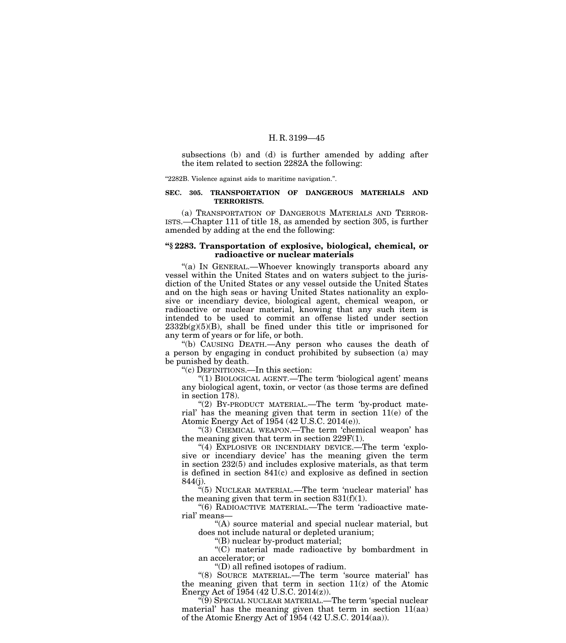subsections (b) and (d) is further amended by adding after the item related to section 2282A the following:

''2282B. Violence against aids to maritime navigation.''.

## **SEC. 305. TRANSPORTATION OF DANGEROUS MATERIALS AND TERRORISTS.**

(a) TRANSPORTATION OF DANGEROUS MATERIALS AND TERROR-ISTS.—Chapter 111 of title 18, as amended by section 305, is further amended by adding at the end the following:

## **''§ 2283. Transportation of explosive, biological, chemical, or radioactive or nuclear materials**

"(a) IN GENERAL.—Whoever knowingly transports aboard any vessel within the United States and on waters subject to the jurisdiction of the United States or any vessel outside the United States and on the high seas or having United States nationality an explosive or incendiary device, biological agent, chemical weapon, or radioactive or nuclear material, knowing that any such item is intended to be used to commit an offense listed under section  $2332b(g)(5)(B)$ , shall be fined under this title or imprisoned for any term of years or for life, or both.

''(b) CAUSING DEATH.—Any person who causes the death of a person by engaging in conduct prohibited by subsection (a) may be punished by death.

''(c) DEFINITIONS.—In this section:

"(1) BIOLOGICAL AGENT.—The term 'biological agent' means any biological agent, toxin, or vector (as those terms are defined in section 178).

"(2) BY-PRODUCT MATERIAL.—The term 'by-product material' has the meaning given that term in section 11(e) of the Atomic Energy Act of 1954 (42 U.S.C. 2014(e)).

"(3) CHEMICAL WEAPON.—The term 'chemical weapon' has the meaning given that term in section 229F(1).

"(4) EXPLOSIVE OR INCENDIARY DEVICE.—The term 'explosive or incendiary device' has the meaning given the term in section 232(5) and includes explosive materials, as that term is defined in section 841(c) and explosive as defined in section 844(j).

''(5) NUCLEAR MATERIAL.—The term 'nuclear material' has the meaning given that term in section  $831(f)(1)$ .

"(6) RADIOACTIVE MATERIAL.—The term 'radioactive material' means—

"(A) source material and special nuclear material, but does not include natural or depleted uranium;

''(B) nuclear by-product material;

''(C) material made radioactive by bombardment in an accelerator; or

''(D) all refined isotopes of radium.

''(8) SOURCE MATERIAL.—The term 'source material' has the meaning given that term in section  $11(z)$  of the Atomic Energy Act of 1954 (42 U.S.C. 2014(z)).

''(9) SPECIAL NUCLEAR MATERIAL.—The term 'special nuclear material' has the meaning given that term in section 11(aa) of the Atomic Energy Act of 1954 (42 U.S.C. 2014(aa)).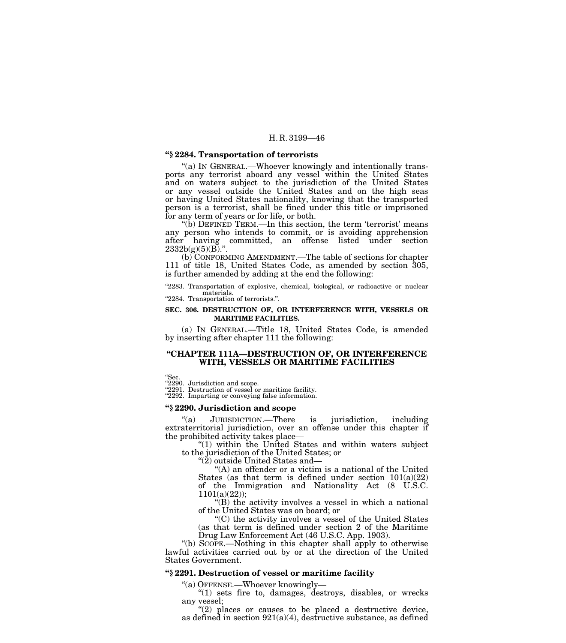#### **''§ 2284. Transportation of terrorists**

"(a) IN GENERAL.—Whoever knowingly and intentionally transports any terrorist aboard any vessel within the United States and on waters subject to the jurisdiction of the United States or any vessel outside the United States and on the high seas or having United States nationality, knowing that the transported person is a terrorist, shall be fined under this title or imprisoned for any term of years or for life, or both.

''(b) DEFINED TERM.—In this section, the term 'terrorist' means any person who intends to commit, or is avoiding apprehension after having committed, an offense listed under section  $2332b(g)(5)(B)$ .".

(b) CONFORMING AMENDMENT.—The table of sections for chapter 111 of title 18, United States Code, as amended by section 305, is further amended by adding at the end the following:

"2283. Transportation of explosive, chemical, biological, or radioactive or nuclear materials.

"2284. Transportation of terrorists.".

## **SEC. 306. DESTRUCTION OF, OR INTERFERENCE WITH, VESSELS OR MARITIME FACILITIES.**

(a) IN GENERAL.—Title 18, United States Code, is amended by inserting after chapter 111 the following:

## **''CHAPTER 111A—DESTRUCTION OF, OR INTERFERENCE WITH, VESSELS OR MARITIME FACILITIES**

"Sec.<br>"2290. Jurisdiction and scope.<br>"2291. Destruction of vessel or maritime facility.<br>"2292. Imparting or conveying false information.

# **''§ 2290. Jurisdiction and scope**

''(a) JURISDICTION.—There is jurisdiction, including extraterritorial jurisdiction, over an offense under this chapter if the prohibited activity takes place—

"(1) within the United States and within waters subject to the jurisdiction of the United States; or

''(2) outside United States and—

''(A) an offender or a victim is a national of the United States (as that term is defined under section  $101(a)(22)$ of the Immigration and Nationality Act (8 U.S.C.  $1101(a)(22)$ ;

''(B) the activity involves a vessel in which a national of the United States was on board; or

''(C) the activity involves a vessel of the United States (as that term is defined under section 2 of the Maritime Drug Law Enforcement Act (46 U.S.C. App. 1903).

''(b) SCOPE.—Nothing in this chapter shall apply to otherwise lawful activities carried out by or at the direction of the United States Government.

#### **''§ 2291. Destruction of vessel or maritime facility**

''(a) OFFENSE.—Whoever knowingly—

 $''(1)$  sets fire to, damages, destroys, disables, or wrecks any vessel;

 $(2)$  places or causes to be placed a destructive device, as defined in section  $921(a)(4)$ , destructive substance, as defined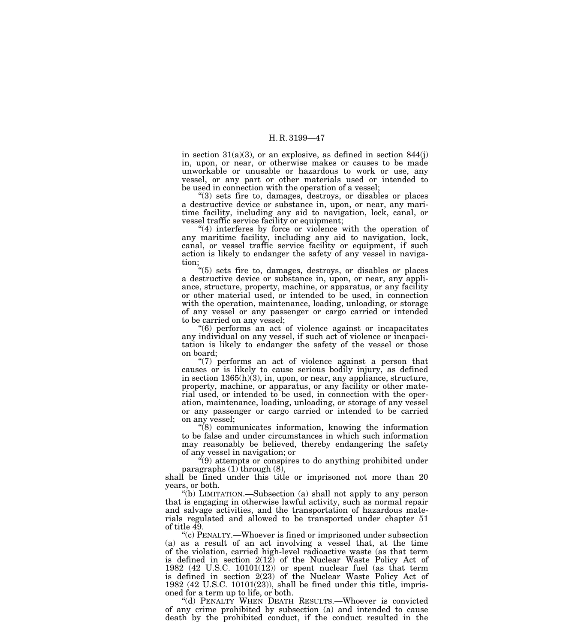in section 31(a)(3), or an explosive, as defined in section  $844(j)$ in, upon, or near, or otherwise makes or causes to be made unworkable or unusable or hazardous to work or use, any vessel, or any part or other materials used or intended to be used in connection with the operation of a vessel;

''(3) sets fire to, damages, destroys, or disables or places a destructive device or substance in, upon, or near, any maritime facility, including any aid to navigation, lock, canal, or vessel traffic service facility or equipment;

''(4) interferes by force or violence with the operation of any maritime facility, including any aid to navigation, lock, canal, or vessel traffic service facility or equipment, if such action is likely to endanger the safety of any vessel in navigation;

''(5) sets fire to, damages, destroys, or disables or places a destructive device or substance in, upon, or near, any appliance, structure, property, machine, or apparatus, or any facility or other material used, or intended to be used, in connection with the operation, maintenance, loading, unloading, or storage of any vessel or any passenger or cargo carried or intended to be carried on any vessel;

''(6) performs an act of violence against or incapacitates any individual on any vessel, if such act of violence or incapacitation is likely to endanger the safety of the vessel or those on board;

" $(7)$  performs an act of violence against a person that causes or is likely to cause serious bodily injury, as defined in section 1365(h)(3), in, upon, or near, any appliance, structure, property, machine, or apparatus, or any facility or other material used, or intended to be used, in connection with the operation, maintenance, loading, unloading, or storage of any vessel or any passenger or cargo carried or intended to be carried on any vessel;

''(8) communicates information, knowing the information to be false and under circumstances in which such information may reasonably be believed, thereby endangering the safety of any vessel in navigation; or

''(9) attempts or conspires to do anything prohibited under paragraphs  $(1)$  through  $(8)$ ,

shall be fined under this title or imprisoned not more than 20 years, or both.

''(b) LIMITATION.—Subsection (a) shall not apply to any person that is engaging in otherwise lawful activity, such as normal repair and salvage activities, and the transportation of hazardous materials regulated and allowed to be transported under chapter 51 of title 49.

''(c) PENALTY.—Whoever is fined or imprisoned under subsection (a) as a result of an act involving a vessel that, at the time of the violation, carried high-level radioactive waste (as that term is defined in section  $2(12)$  of the Nuclear Waste Policy Act of 1982 (42 U.S.C. 10101(12)) or spent nuclear fuel (as that term is defined in section 2(23) of the Nuclear Waste Policy Act of 1982 (42 U.S.C. 10101(23)), shall be fined under this title, imprisoned for a term up to life, or both.

"(d) PENALTY WHEN DEATH RESULTS.—Whoever is convicted of any crime prohibited by subsection (a) and intended to cause death by the prohibited conduct, if the conduct resulted in the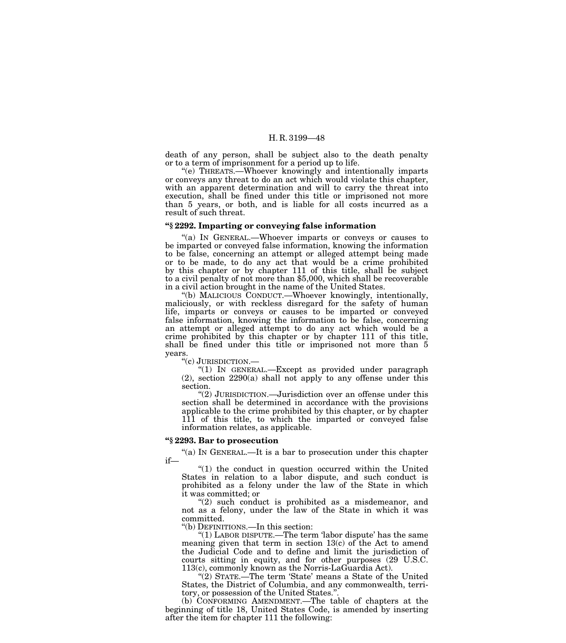death of any person, shall be subject also to the death penalty or to a term of imprisonment for a period up to life.

''(e) THREATS.—Whoever knowingly and intentionally imparts or conveys any threat to do an act which would violate this chapter, with an apparent determination and will to carry the threat into execution, shall be fined under this title or imprisoned not more than 5 years, or both, and is liable for all costs incurred as a result of such threat.

## **''§ 2292. Imparting or conveying false information**

''(a) IN GENERAL.—Whoever imparts or conveys or causes to be imparted or conveyed false information, knowing the information to be false, concerning an attempt or alleged attempt being made or to be made, to do any act that would be a crime prohibited by this chapter or by chapter 111 of this title, shall be subject to a civil penalty of not more than \$5,000, which shall be recoverable in a civil action brought in the name of the United States.

''(b) MALICIOUS CONDUCT.—Whoever knowingly, intentionally, maliciously, or with reckless disregard for the safety of human life, imparts or conveys or causes to be imparted or conveyed false information, knowing the information to be false, concerning an attempt or alleged attempt to do any act which would be a crime prohibited by this chapter or by chapter 111 of this title, shall be fined under this title or imprisoned not more than 5 years.<br>"(c) JURISDICTION.—

"(1) IN GENERAL.—Except as provided under paragraph  $(2)$ , section  $2290(a)$  shall not apply to any offense under this section.

''(2) JURISDICTION.—Jurisdiction over an offense under this section shall be determined in accordance with the provisions applicable to the crime prohibited by this chapter, or by chapter 111 of this title, to which the imparted or conveyed false information relates, as applicable.

## **''§ 2293. Bar to prosecution**

"(a) IN GENERAL.—It is a bar to prosecution under this chapter if—

"(1) the conduct in question occurred within the United States in relation to a labor dispute, and such conduct is prohibited as a felony under the law of the State in which it was committed; or

 $(2)$  such conduct is prohibited as a misdemeanor, and not as a felony, under the law of the State in which it was committed.

''(b) DEFINITIONS.—In this section:

" $(1)$  LABOR DISPUTE.—The term 'labor dispute' has the same meaning given that term in section 13(c) of the Act to amend the Judicial Code and to define and limit the jurisdiction of courts sitting in equity, and for other purposes (29 U.S.C. 113(c), commonly known as the Norris-LaGuardia Act).

''(2) STATE.—The term 'State' means a State of the United States, the District of Columbia, and any commonwealth, territory, or possession of the United States.''.

(b) CONFORMING AMENDMENT.—The table of chapters at the beginning of title 18, United States Code, is amended by inserting after the item for chapter 111 the following: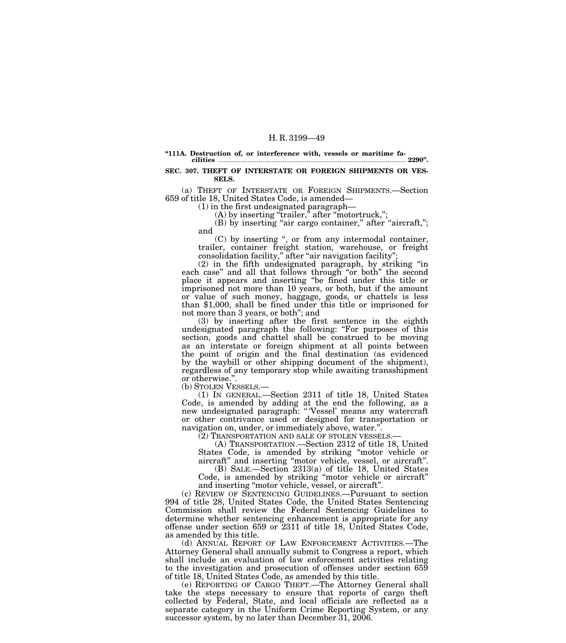#### **''111A. Destruction of, or interference with, vessels or maritime facilities** ...................................................................................................... **2290''.**

#### **SEC. 307. THEFT OF INTERSTATE OR FOREIGN SHIPMENTS OR VES-SELS.**

(a) THEFT OF INTERSTATE OR FOREIGN SHIPMENTS.—Section 659 of title 18, United States Code, is amended—

(1) in the first undesignated paragraph—

(A) by inserting "trailer," after "motortruck,";

(B) by inserting "air cargo container," after "aircraft,"; and

(C) by inserting '', or from any intermodal container, trailer, container freight station, warehouse, or freight consolidation facility," after "air navigation facility"

(2) in the fifth undesignated paragraph, by striking ''in each case" and all that follows through "or both" the second place it appears and inserting ''be fined under this title or imprisoned not more than 10 years, or both, but if the amount or value of such money, baggage, goods, or chattels is less than \$1,000, shall be fined under this title or imprisoned for not more than 3 years, or both''; and

(3) by inserting after the first sentence in the eighth undesignated paragraph the following: ''For purposes of this section, goods and chattel shall be construed to be moving as an interstate or foreign shipment at all points between the point of origin and the final destination (as evidenced by the waybill or other shipping document of the shipment), regardless of any temporary stop while awaiting transshipment or otherwise.".<br>(b) STOLEN VESSELS.-

 $(1)$  In GENERAL.—Section 2311 of title 18, United States Code, is amended by adding at the end the following, as a new undesignated paragraph: '' 'Vessel' means any watercraft or other contrivance used or designed for transportation or navigation on, under, or immediately above, water."

(2) TRANSPORTATION AND SALE OF STOLEN VESSELS.—

(A) TRANSPORTATION.—Section 2312 of title 18, United States Code, is amended by striking ''motor vehicle or aircraft'' and inserting ''motor vehicle, vessel, or aircraft''.

(B) SALE.—Section 2313(a) of title 18, United States Code, is amended by striking ''motor vehicle or aircraft'' and inserting ''motor vehicle, vessel, or aircraft''.

(c) REVIEW OF SENTENCING GUIDELINES.—Pursuant to section 994 of title 28, United States Code, the United States Sentencing Commission shall review the Federal Sentencing Guidelines to determine whether sentencing enhancement is appropriate for any offense under section 659 or 2311 of title 18, United States Code, as amended by this title.

(d) ANNUAL REPORT OF LAW ENFORCEMENT ACTIVITIES.—The Attorney General shall annually submit to Congress a report, which shall include an evaluation of law enforcement activities relating to the investigation and prosecution of offenses under section 659 of title 18, United States Code, as amended by this title.

(e) REPORTING OF CARGO THEFT.—The Attorney General shall take the steps necessary to ensure that reports of cargo theft collected by Federal, State, and local officials are reflected as a separate category in the Uniform Crime Reporting System, or any successor system, by no later than December 31, 2006.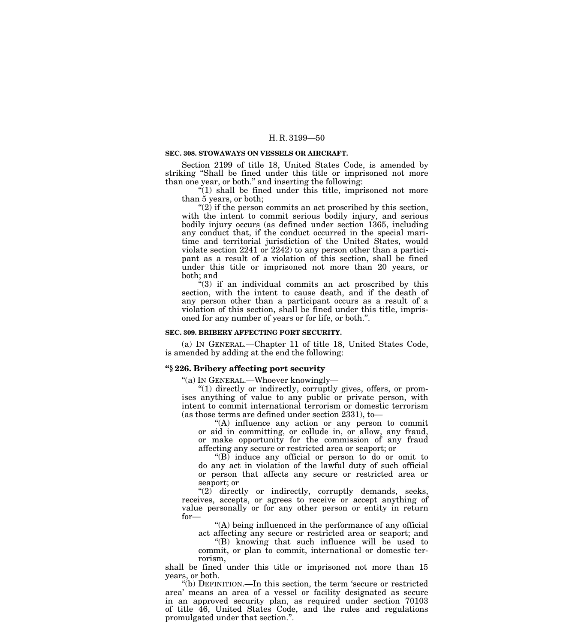# **SEC. 308. STOWAWAYS ON VESSELS OR AIRCRAFT.**

Section 2199 of title 18, United States Code, is amended by striking ''Shall be fined under this title or imprisoned not more than one year, or both.'' and inserting the following:

" $(1)$  shall be fined under this title, imprisoned not more than 5 years, or both;

 $(2)$  if the person commits an act proscribed by this section, with the intent to commit serious bodily injury, and serious bodily injury occurs (as defined under section 1365, including any conduct that, if the conduct occurred in the special maritime and territorial jurisdiction of the United States, would violate section 2241 or 2242) to any person other than a participant as a result of a violation of this section, shall be fined under this title or imprisoned not more than 20 years, or both; and

 $(3)$  if an individual commits an act proscribed by this section, with the intent to cause death, and if the death of any person other than a participant occurs as a result of a violation of this section, shall be fined under this title, imprisoned for any number of years or for life, or both.''.

## **SEC. 309. BRIBERY AFFECTING PORT SECURITY.**

(a) IN GENERAL.—Chapter 11 of title 18, United States Code, is amended by adding at the end the following:

## **''§ 226. Bribery affecting port security**

''(a) IN GENERAL.—Whoever knowingly—

"(1) directly or indirectly, corruptly gives, offers, or promises anything of value to any public or private person, with intent to commit international terrorism or domestic terrorism (as those terms are defined under section 2331), to—

"(A) influence any action or any person to commit or aid in committing, or collude in, or allow, any fraud, or make opportunity for the commission of any fraud affecting any secure or restricted area or seaport; or

" $(B)$  induce any official or person to do or omit to do any act in violation of the lawful duty of such official or person that affects any secure or restricted area or seaport; or

"(2) directly or indirectly, corruptly demands, seeks, receives, accepts, or agrees to receive or accept anything of value personally or for any other person or entity in return for—

''(A) being influenced in the performance of any official act affecting any secure or restricted area or seaport; and

''(B) knowing that such influence will be used to commit, or plan to commit, international or domestic terrorism,

shall be fined under this title or imprisoned not more than 15 years, or both.

''(b) DEFINITION.—In this section, the term 'secure or restricted area' means an area of a vessel or facility designated as secure in an approved security plan, as required under section 70103 of title 46, United States Code, and the rules and regulations promulgated under that section.''.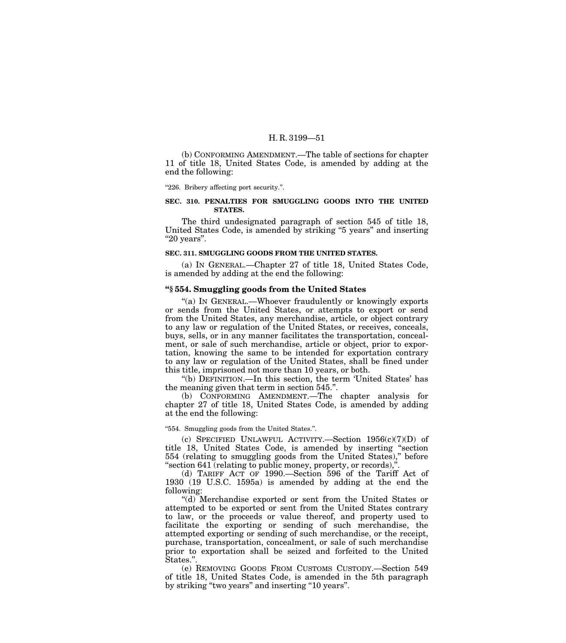(b) CONFORMING AMENDMENT.—The table of sections for chapter 11 of title 18, United States Code, is amended by adding at the end the following:

''226. Bribery affecting port security.''.

## **SEC. 310. PENALTIES FOR SMUGGLING GOODS INTO THE UNITED STATES.**

The third undesignated paragraph of section 545 of title 18, United States Code, is amended by striking ''5 years'' and inserting "20 years".

## **SEC. 311. SMUGGLING GOODS FROM THE UNITED STATES.**

(a) IN GENERAL.—Chapter 27 of title 18, United States Code, is amended by adding at the end the following:

## **''§ 554. Smuggling goods from the United States**

''(a) IN GENERAL.—Whoever fraudulently or knowingly exports or sends from the United States, or attempts to export or send from the United States, any merchandise, article, or object contrary to any law or regulation of the United States, or receives, conceals, buys, sells, or in any manner facilitates the transportation, concealment, or sale of such merchandise, article or object, prior to exportation, knowing the same to be intended for exportation contrary to any law or regulation of the United States, shall be fined under this title, imprisoned not more than 10 years, or both.

''(b) DEFINITION.—In this section, the term 'United States' has the meaning given that term in section 545.''.

(b) CONFORMING AMENDMENT.—The chapter analysis for chapter 27 of title 18, United States Code, is amended by adding at the end the following:

### ''554. Smuggling goods from the United States.''.

(c) SPECIFIED UNLAWFUL ACTIVITY.—Section 1956(c)(7)(D) of title 18, United States Code, is amended by inserting ''section 554 (relating to smuggling goods from the United States),'' before "section 641 (relating to public money, property, or records),"

(d) TARIFF ACT OF 1990.—Section 596 of the Tariff Act of 1930 (19 U.S.C. 1595a) is amended by adding at the end the following:

''(d) Merchandise exported or sent from the United States or attempted to be exported or sent from the United States contrary to law, or the proceeds or value thereof, and property used to facilitate the exporting or sending of such merchandise, the attempted exporting or sending of such merchandise, or the receipt, purchase, transportation, concealment, or sale of such merchandise prior to exportation shall be seized and forfeited to the United States.''.

(e) REMOVING GOODS FROM CUSTOMS CUSTODY.—Section 549 of title 18, United States Code, is amended in the 5th paragraph by striking "two years" and inserting "10 years".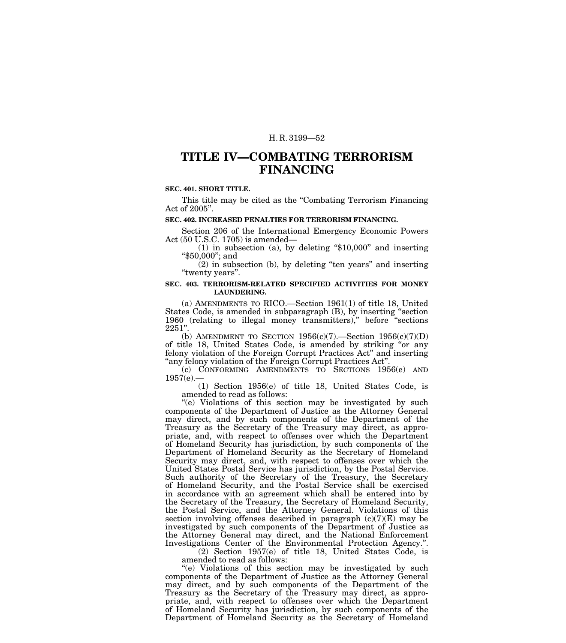# **TITLE IV—COMBATING TERRORISM FINANCING**

## **SEC. 401. SHORT TITLE.**

This title may be cited as the "Combating Terrorism Financing" Act of 2005''.

## **SEC. 402. INCREASED PENALTIES FOR TERRORISM FINANCING.**

Section 206 of the International Emergency Economic Powers Act (50 U.S.C. 1705) is amended—

(1) in subsection (a), by deleting " $$10,000"$  and inserting " $$50,000"$ ; and

(2) in subsection (b), by deleting ''ten years'' and inserting "twenty years".

## **SEC. 403. TERRORISM-RELATED SPECIFIED ACTIVITIES FOR MONEY LAUNDERING.**

(a) AMENDMENTS TO RICO.—Section 1961(1) of title 18, United States Code, is amended in subparagraph (B), by inserting ''section 1960 (relating to illegal money transmitters),'' before ''sections 2251''.

(b) AMENDMENT TO SECTION  $1956(c)(7)$ . Section  $1956(c)(7)(D)$ of title 18, United States Code, is amended by striking ''or any felony violation of the Foreign Corrupt Practices Act'' and inserting ''any felony violation of the Foreign Corrupt Practices Act''.

(c) CONFORMING AMENDMENTS TO SECTIONS 1956(e) AND  $1957(e)$ .

(1) Section 1956(e) of title 18, United States Code, is amended to read as follows:

''(e) Violations of this section may be investigated by such components of the Department of Justice as the Attorney General may direct, and by such components of the Department of the Treasury as the Secretary of the Treasury may direct, as appropriate, and, with respect to offenses over which the Department of Homeland Security has jurisdiction, by such components of the Department of Homeland Security as the Secretary of Homeland Security may direct, and, with respect to offenses over which the United States Postal Service has jurisdiction, by the Postal Service. Such authority of the Secretary of the Treasury, the Secretary of Homeland Security, and the Postal Service shall be exercised in accordance with an agreement which shall be entered into by the Secretary of the Treasury, the Secretary of Homeland Security, the Postal Service, and the Attorney General. Violations of this section involving offenses described in paragraph  $(c)(7)(E)$  may be investigated by such components of the Department of Justice as the Attorney General may direct, and the National Enforcement Investigations Center of the Environmental Protection Agency.''.

(2) Section 1957(e) of title 18, United States Code, is amended to read as follows:

"(e) Violations of this section may be investigated by such components of the Department of Justice as the Attorney General may direct, and by such components of the Department of the Treasury as the Secretary of the Treasury may direct, as appropriate, and, with respect to offenses over which the Department of Homeland Security has jurisdiction, by such components of the Department of Homeland Security as the Secretary of Homeland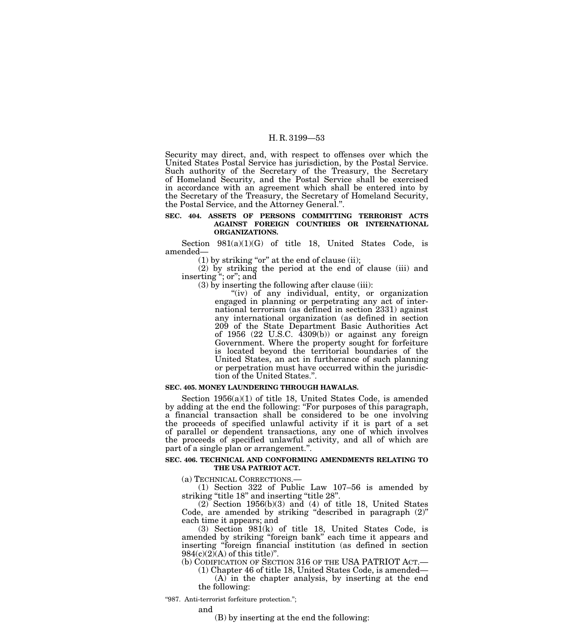Security may direct, and, with respect to offenses over which the United States Postal Service has jurisdiction, by the Postal Service. Such authority of the Secretary of the Treasury, the Secretary of Homeland Security, and the Postal Service shall be exercised in accordance with an agreement which shall be entered into by the Secretary of the Treasury, the Secretary of Homeland Security, the Postal Service, and the Attorney General.''.

## **SEC. 404. ASSETS OF PERSONS COMMITTING TERRORIST ACTS AGAINST FOREIGN COUNTRIES OR INTERNATIONAL ORGANIZATIONS.**

Section 981(a)(1)(G) of title 18, United States Code, is amended—

 $(1)$  by striking "or" at the end of clause (ii);

(2) by striking the period at the end of clause (iii) and inserting"; or"; and

 $(3)$  by inserting the following after clause (iii):

"(iv) of any individual, entity, or organization engaged in planning or perpetrating any act of international terrorism (as defined in section 2331) against any international organization (as defined in section 209 of the State Department Basic Authorities Act of  $1956$   $(22 \text{ U.S.C. } \overline{4}309(b))$  or against any foreign Government. Where the property sought for forfeiture is located beyond the territorial boundaries of the United States, an act in furtherance of such planning or perpetration must have occurred within the jurisdiction of the United States.''.

#### **SEC. 405. MONEY LAUNDERING THROUGH HAWALAS.**

Section 1956(a)(1) of title 18, United States Code, is amended by adding at the end the following: ''For purposes of this paragraph, a financial transaction shall be considered to be one involving the proceeds of specified unlawful activity if it is part of a set of parallel or dependent transactions, any one of which involves the proceeds of specified unlawful activity, and all of which are part of a single plan or arrangement.''.

### **SEC. 406. TECHNICAL AND CONFORMING AMENDMENTS RELATING TO THE USA PATRIOT ACT.**

(a) TECHNICAL CORRECTIONS.— (1) Section 322 of Public Law 107–56 is amended by striking "title 18" and inserting "title 28".

 $(2)$  Section 1956(b)(3) and (4) of title 18, United States Code, are amended by striking ''described in paragraph (2)'' each time it appears; and

(3) Section 981(k) of title 18, United States Code, is amended by striking ''foreign bank'' each time it appears and inserting ''foreign financial institution (as defined in section  $984(c)(2)$ <sup>(</sup>A) of this title)".

(b) CODIFICATION OF SECTION 316 OF THE USA PATRIOT ACT.—

(1) Chapter 46 of title 18, United States Code, is amended— (A) in the chapter analysis, by inserting at the end the following:

''987. Anti-terrorist forfeiture protection.'';

and

(B) by inserting at the end the following: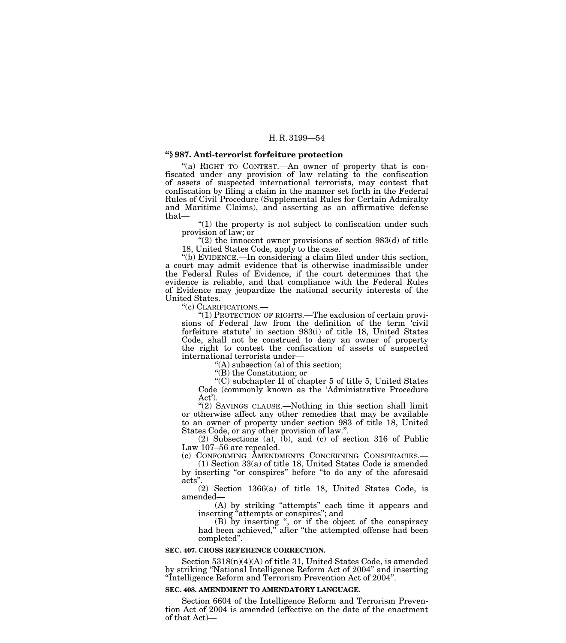## **''§ 987. Anti-terrorist forfeiture protection**

"(a) RIGHT TO CONTEST.—An owner of property that is confiscated under any provision of law relating to the confiscation of assets of suspected international terrorists, may contest that confiscation by filing a claim in the manner set forth in the Federal Rules of Civil Procedure (Supplemental Rules for Certain Admiralty and Maritime Claims), and asserting as an affirmative defense that—

 $(1)$  the property is not subject to confiscation under such provision of law; or

"(2) the innocent owner provisions of section 983(d) of title 18, United States Code, apply to the case.

''(b) EVIDENCE.—In considering a claim filed under this section, a court may admit evidence that is otherwise inadmissible under the Federal Rules of Evidence, if the court determines that the evidence is reliable, and that compliance with the Federal Rules of Evidence may jeopardize the national security interests of the United States.

''(c) CLARIFICATIONS.—

''(1) PROTECTION OF RIGHTS.—The exclusion of certain provisions of Federal law from the definition of the term 'civil forfeiture statute' in section 983(i) of title 18, United States Code, shall not be construed to deny an owner of property the right to contest the confiscation of assets of suspected international terrorists under—

 $<sup>4</sup>(A)$  subsection (a) of this section;</sup>

''(B) the Constitution; or

''(C) subchapter II of chapter 5 of title 5, United States Code (commonly known as the 'Administrative Procedure Act').

''(2) SAVINGS CLAUSE.—Nothing in this section shall limit or otherwise affect any other remedies that may be available to an owner of property under section 983 of title 18, United States Code, or any other provision of law.''.

(2) Subsections (a), (b), and (c) of section 316 of Public Law 107–56 are repealed.<br>(c) CONFORMING AMENDMENTS CONCERNING CONSPIRACIES.—

(1) Section 33(a) of title 18, United States Code is amended by inserting "or conspires" before "to do any of the aforesaid acts''.

(2) Section 1366(a) of title 18, United States Code, is amended—

(A) by striking ''attempts'' each time it appears and inserting "attempts or conspires"; and

(B) by inserting '', or if the object of the conspiracy had been achieved,'' after ''the attempted offense had been completed''.

#### **SEC. 407. CROSS REFERENCE CORRECTION.**

Section 5318(n)(4)(A) of title 31, United States Code, is amended by striking ''National Intelligence Reform Act of 2004'' and inserting ''Intelligence Reform and Terrorism Prevention Act of 2004''.

## **SEC. 408. AMENDMENT TO AMENDATORY LANGUAGE.**

Section 6604 of the Intelligence Reform and Terrorism Prevention Act of 2004 is amended (effective on the date of the enactment of that Act)—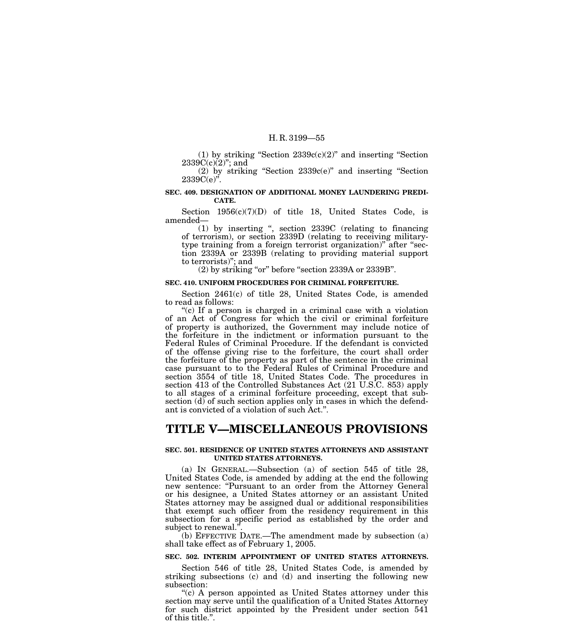(1) by striking "Section  $2339c(c)(2)$ " and inserting "Section  $2339C(c)(2)$ "; and

(2) by striking ''Section 2339c(e)'' and inserting ''Section  $2339C(e)$ ".

#### **SEC. 409. DESIGNATION OF ADDITIONAL MONEY LAUNDERING PREDI-CATE.**

Section  $1956(c)(7)(D)$  of title 18, United States Code, is amended—

(1) by inserting '', section 2339C (relating to financing of terrorism), or section 2339D (relating to receiving militarytype training from a foreign terrorist organization)'' after ''section 2339A or 2339B (relating to providing material support to terrorists)''; and

 $(2)$  by striking "or" before "section 2339A or 2339B".

#### **SEC. 410. UNIFORM PROCEDURES FOR CRIMINAL FORFEITURE.**

Section 2461(c) of title 28, United States Code, is amended to read as follows:

"(c) If a person is charged in a criminal case with a violation of an Act of Congress for which the civil or criminal forfeiture of property is authorized, the Government may include notice of the forfeiture in the indictment or information pursuant to the Federal Rules of Criminal Procedure. If the defendant is convicted of the offense giving rise to the forfeiture, the court shall order the forfeiture of the property as part of the sentence in the criminal case pursuant to to the Federal Rules of Criminal Procedure and section 3554 of title 18, United States Code. The procedures in section 413 of the Controlled Substances Act (21 U.S.C. 853) apply to all stages of a criminal forfeiture proceeding, except that subsection (d) of such section applies only in cases in which the defendant is convicted of a violation of such Act.''.

# **TITLE V—MISCELLANEOUS PROVISIONS**

## **SEC. 501. RESIDENCE OF UNITED STATES ATTORNEYS AND ASSISTANT UNITED STATES ATTORNEYS.**

(a) IN GENERAL.—Subsection (a) of section 545 of title 28, United States Code, is amended by adding at the end the following new sentence: "Pursuant to an order from the Attorney General or his designee, a United States attorney or an assistant United States attorney may be assigned dual or additional responsibilities that exempt such officer from the residency requirement in this subsection for a specific period as established by the order and subject to renewal.'

(b) EFFECTIVE DATE.—The amendment made by subsection (a) shall take effect as of February 1, 2005.

# **SEC. 502. INTERIM APPOINTMENT OF UNITED STATES ATTORNEYS.**

Section 546 of title 28, United States Code, is amended by striking subsections (c) and (d) and inserting the following new subsection:

"(c) A person appointed as United States attorney under this section may serve until the qualification of a United States Attorney for such district appointed by the President under section 541 of this title.''.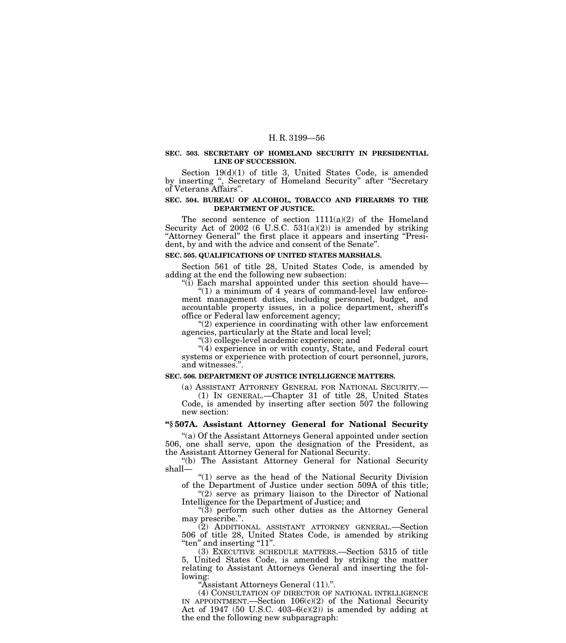## **SEC. 503. SECRETARY OF HOMELAND SECURITY IN PRESIDENTIAL LINE OF SUCCESSION.**

Section 19(d)(1) of title 3, United States Code, is amended by inserting ", Secretary of Homeland Security" after "Secretary of Veterans Affairs''.

## **SEC. 504. BUREAU OF ALCOHOL, TOBACCO AND FIREARMS TO THE DEPARTMENT OF JUSTICE.**

The second sentence of section  $1111(a)(2)$  of the Homeland Security Act of 2002 (6 U.S.C. 531(a)(2)) is amended by striking "Attorney General" the first place it appears and inserting "President, by and with the advice and consent of the Senate''.

#### **SEC. 505. QUALIFICATIONS OF UNITED STATES MARSHALS.**

Section 561 of title 28, United States Code, is amended by adding at the end the following new subsection:

''(i) Each marshal appointed under this section should have—

" $(1)$  a minimum of 4 years of command-level law enforcement management duties, including personnel, budget, and accountable property issues, in a police department, sheriff's office or Federal law enforcement agency;

" $(2)$  experience in coordinating with other law enforcement agencies, particularly at the State and local level;

''(3) college-level academic experience; and

"(4) experience in or with county, State, and Federal court systems or experience with protection of court personnel, jurors, and witnesses.''.

# **SEC. 506. DEPARTMENT OF JUSTICE INTELLIGENCE MATTERS.**

(a) ASSISTANT ATTORNEY GENERAL FOR NATIONAL SECURITY.— (1) IN GENERAL.—Chapter 31 of title 28, United States

Code, is amended by inserting after section 507 the following new section:

## **''§ 507A. Assistant Attorney General for National Security**

''(a) Of the Assistant Attorneys General appointed under section 506, one shall serve, upon the designation of the President, as the Assistant Attorney General for National Security.

''(b) The Assistant Attorney General for National Security shall—

''(1) serve as the head of the National Security Division of the Department of Justice under section 509A of this title;

"(2) serve as primary liaison to the Director of National Intelligence for the Department of Justice; and

" $(3)$  perform such other duties as the Attorney General may prescribe.''.

(2) ADDITIONAL ASSISTANT ATTORNEY GENERAL.—Section 506 of title 28, United States Code, is amended by striking "ten" and inserting "11".

(3) EXECUTIVE SCHEDULE MATTERS.—Section 5315 of title 5, United States Code, is amended by striking the matter relating to Assistant Attorneys General and inserting the following:

"Assistant Attorneys General (11).".

(4) CONSULTATION OF DIRECTOR OF NATIONAL INTELLIGENCE IN APPOINTMENT.—Section 106(c)(2) of the National Security Act of 1947 (50 U.S.C. 403–6 $(c)(2)$ ) is amended by adding at the end the following new subparagraph: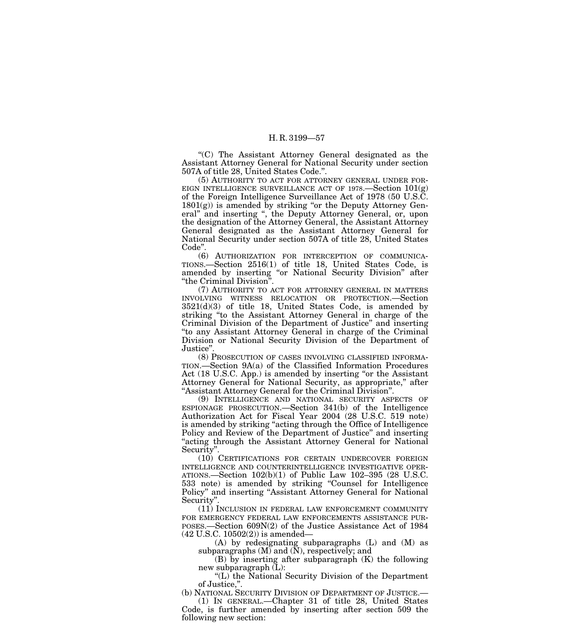''(C) The Assistant Attorney General designated as the Assistant Attorney General for National Security under section 507A of title 28, United States Code.''.

(5) AUTHORITY TO ACT FOR ATTORNEY GENERAL UNDER FOR-EIGN INTELLIGENCE SURVEILLANCE ACT OF 1978.—Section  $101(g)$ of the Foreign Intelligence Surveillance Act of 1978 (50 U.S.C.  $1801(g)$ ) is amended by striking "or the Deputy Attorney General" and inserting ", the Deputy Attorney General, or, upon the designation of the Attorney General, the Assistant Attorney General designated as the Assistant Attorney General for National Security under section 507A of title 28, United States Code''.

(6) AUTHORIZATION FOR INTERCEPTION OF COMMUNICA-TIONS.—Section 2516(1) of title 18, United States Code, is amended by inserting ''or National Security Division'' after ''the Criminal Division''.

(7) AUTHORITY TO ACT FOR ATTORNEY GENERAL IN MATTERS INVOLVING WITNESS RELOCATION OR PROTECTION.—Section 3521(d)(3) of title 18, United States Code, is amended by striking ''to the Assistant Attorney General in charge of the Criminal Division of the Department of Justice'' and inserting ''to any Assistant Attorney General in charge of the Criminal Division or National Security Division of the Department of Justice''.

(8) PROSECUTION OF CASES INVOLVING CLASSIFIED INFORMA-TION.—Section 9A(a) of the Classified Information Procedures Act (18 U.S.C. App.) is amended by inserting "or the Assistant Attorney General for National Security, as appropriate," after ''Assistant Attorney General for the Criminal Division''.

(9) INTELLIGENCE AND NATIONAL SECURITY ASPECTS OF ESPIONAGE PROSECUTION.—Section 341(b) of the Intelligence Authorization Act for Fiscal Year 2004 (28 U.S.C. 519 note) is amended by striking "acting through the Office of Intelligence Policy and Review of the Department of Justice'' and inserting "acting through the Assistant Attorney General for National Security''.

(10) CERTIFICATIONS FOR CERTAIN UNDERCOVER FOREIGN INTELLIGENCE AND COUNTERINTELLIGENCE INVESTIGATIVE OPER-ATIONS.—Section 102(b)(1) of Public Law 102–395 (28 U.S.C. 533 note) is amended by striking ''Counsel for Intelligence Policy" and inserting "Assistant Attorney General for National Security''.

(11) INCLUSION IN FEDERAL LAW ENFORCEMENT COMMUNITY FOR EMERGENCY FEDERAL LAW ENFORCEMENTS ASSISTANCE PUR-POSES.—Section 609N(2) of the Justice Assistance Act of 1984 (42 U.S.C. 10502(2)) is amended—

(A) by redesignating subparagraphs (L) and (M) as subparagraphs  $(M)$  and  $(N)$ , respectively; and

(B) by inserting after subparagraph (K) the following new subparagraph (L):

''(L) the National Security Division of the Department of Justice,''.

(b) NATIONAL SECURITY DIVISION OF DEPARTMENT OF JUSTICE.—

(1) IN GENERAL.—Chapter 31 of title 28, United States Code, is further amended by inserting after section 509 the following new section: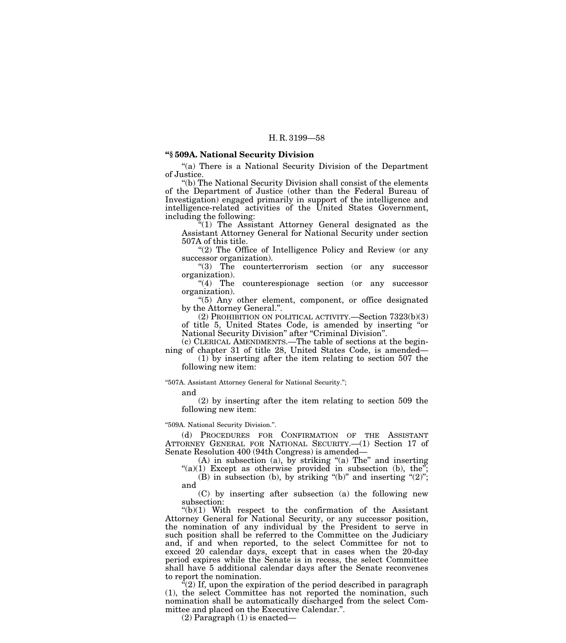## **''§ 509A. National Security Division**

"(a) There is a National Security Division of the Department of Justice.

''(b) The National Security Division shall consist of the elements of the Department of Justice (other than the Federal Bureau of Investigation) engaged primarily in support of the intelligence and intelligence-related activities of the United States Government, including the following:

 $f(1)$  The Assistant Attorney General designated as the Assistant Attorney General for National Security under section 507A of this title.

"(2) The Office of Intelligence Policy and Review (or any successor organization).

''(3) The counterterrorism section (or any successor organization).

"(4) The counterespionage section (or any successor organization).

''(5) Any other element, component, or office designated by the Attorney General.''.

(2) PROHIBITION ON POLITICAL ACTIVITY.—Section 7323(b)(3) of title 5, United States Code, is amended by inserting ''or National Security Division'' after ''Criminal Division''.

(c) CLERICAL AMENDMENTS.—The table of sections at the beginning of chapter 31 of title 28, United States Code, is amended—

(1) by inserting after the item relating to section 507 the following new item:

''507A. Assistant Attorney General for National Security.'';

and

(2) by inserting after the item relating to section 509 the following new item:

''509A. National Security Division.''.

(d) PROCEDURES FOR CONFIRMATION OF THE ASSISTANT ATTORNEY GENERAL FOR NATIONAL SECURITY.—(1) Section 17 of Senate Resolution 400 (94th Congress) is amended—

(A) in subsection (a), by striking "(a) The" and inserting

" $(a)(1)$  Except as otherwise provided in subsection (b), the"; (B) in subsection (b), by striking "(b)" and inserting " $(2)$ ";

and

(C) by inserting after subsection (a) the following new subsection:

 $f(b)(1)$  With respect to the confirmation of the Assistant Attorney General for National Security, or any successor position, the nomination of any individual by the President to serve in such position shall be referred to the Committee on the Judiciary and, if and when reported, to the select Committee for not to exceed 20 calendar days, except that in cases when the 20-day period expires while the Senate is in recess, the select Committee shall have 5 additional calendar days after the Senate reconvenes to report the nomination.

 $\binom{n}{2}$  If, upon the expiration of the period described in paragraph (1), the select Committee has not reported the nomination, such nomination shall be automatically discharged from the select Committee and placed on the Executive Calendar.''.

(2) Paragraph (1) is enacted—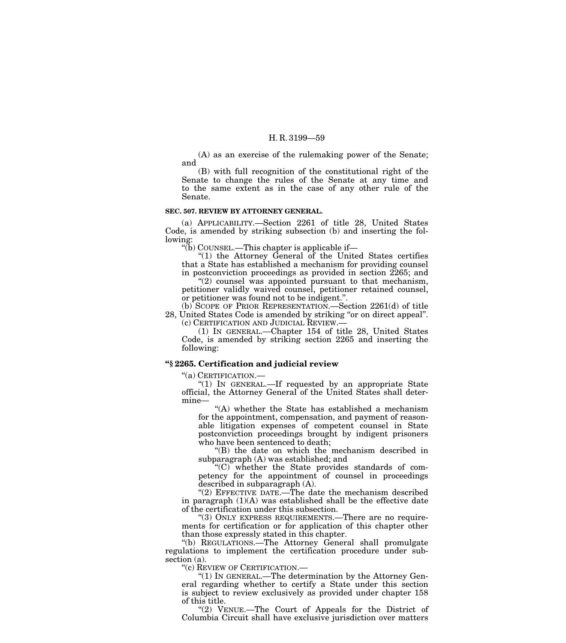(A) as an exercise of the rulemaking power of the Senate; and

(B) with full recognition of the constitutional right of the Senate to change the rules of the Senate at any time and to the same extent as in the case of any other rule of the Senate.

#### **SEC. 507. REVIEW BY ATTORNEY GENERAL.**

(a) APPLICABILITY.—Section 2261 of title 28, United States Code, is amended by striking subsection (b) and inserting the following:

 $\degree$ (b) COUNSEL.—This chapter is applicable if—

" $(1)$  the Attorney General of the United States certifies that a State has established a mechanism for providing counsel in postconviction proceedings as provided in section 2265; and

 $''(2)$  counsel was appointed pursuant to that mechanism, petitioner validly waived counsel, petitioner retained counsel, or petitioner was found not to be indigent.''.

(b) SCOPE OF PRIOR REPRESENTATION.—Section 2261(d) of title 28, United States Code is amended by striking ''or on direct appeal''.

(c) CERTIFICATION AND JUDICIAL REVIEW.—

(1) IN GENERAL.—Chapter 154 of title 28, United States Code, is amended by striking section 2265 and inserting the following:

## **''§ 2265. Certification and judicial review**

''(a) CERTIFICATION.—

"(1) IN GENERAL.—If requested by an appropriate State official, the Attorney General of the United States shall determine—

''(A) whether the State has established a mechanism for the appointment, compensation, and payment of reasonable litigation expenses of competent counsel in State postconviction proceedings brought by indigent prisoners who have been sentenced to death;

''(B) the date on which the mechanism described in subparagraph (A) was established; and

''(C) whether the State provides standards of competency for the appointment of counsel in proceedings described in subparagraph (A).

"(2) EFFECTIVE DATE.—The date the mechanism described in paragraph  $(1)(A)$  was established shall be the effective date of the certification under this subsection.

"(3) ONLY EXPRESS REQUIREMENTS.—There are no requirements for certification or for application of this chapter other than those expressly stated in this chapter.

''(b) REGULATIONS.—The Attorney General shall promulgate regulations to implement the certification procedure under subsection (a).

''(c) REVIEW OF CERTIFICATION.—

" $(1)$  In GENERAL.—The determination by the Attorney General regarding whether to certify a State under this section is subject to review exclusively as provided under chapter 158 of this title.

''(2) VENUE.—The Court of Appeals for the District of Columbia Circuit shall have exclusive jurisdiction over matters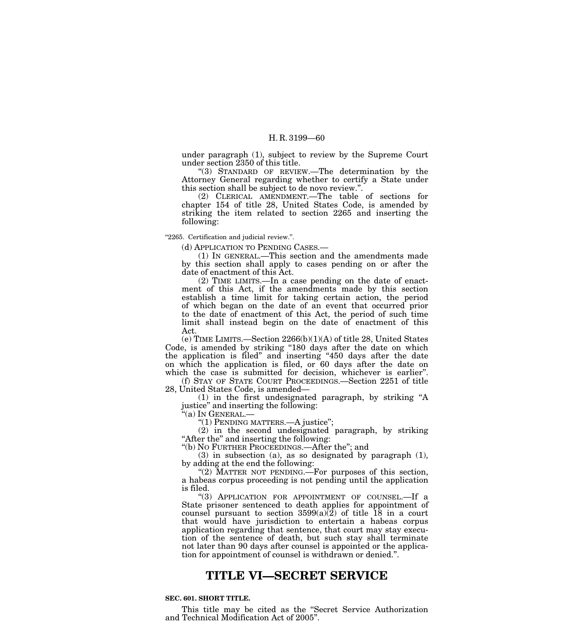under paragraph (1), subject to review by the Supreme Court under section 2350 of this title.

''(3) STANDARD OF REVIEW.—The determination by the Attorney General regarding whether to certify a State under this section shall be subject to de novo review.''.

(2) CLERICAL AMENDMENT.—The table of sections for chapter 154 of title 28, United States Code, is amended by striking the item related to section 2265 and inserting the following:

''2265. Certification and judicial review.''.

(d) APPLICATION TO PENDING CASES.—

(1) IN GENERAL.—This section and the amendments made by this section shall apply to cases pending on or after the date of enactment of this Act.

(2) TIME LIMITS.—In a case pending on the date of enactment of this Act, if the amendments made by this section establish a time limit for taking certain action, the period of which began on the date of an event that occurred prior to the date of enactment of this Act, the period of such time limit shall instead begin on the date of enactment of this Act.

(e) TIME LIMITS.—Section 2266(b)(1)(A) of title 28, United States Code, is amended by striking "180 days after the date on which the application is filed'' and inserting ''450 days after the date on which the application is filed, or 60 days after the date on which the case is submitted for decision, whichever is earlier''.

(f) STAY OF STATE COURT PROCEEDINGS.—Section 2251 of title 28, United States Code, is amended—

(1) in the first undesignated paragraph, by striking ''A justice'' and inserting the following:

'(a) In General.—

''(1) PENDING MATTERS.—A justice'';

(2) in the second undesignated paragraph, by striking "After the" and inserting the following:

''(b) NO FURTHER PROCEEDINGS.—After the''; and

(3) in subsection (a), as so designated by paragraph (1), by adding at the end the following:

"(2) MATTER NOT PENDING.—For purposes of this section, a habeas corpus proceeding is not pending until the application is filed.

"(3) APPLICATION FOR APPOINTMENT OF COUNSEL.-If a State prisoner sentenced to death applies for appointment of counsel pursuant to section  $3599(a)\dot{2}$  of title 18 in a court that would have jurisdiction to entertain a habeas corpus application regarding that sentence, that court may stay execution of the sentence of death, but such stay shall terminate not later than 90 days after counsel is appointed or the application for appointment of counsel is withdrawn or denied.''.

# **TITLE VI—SECRET SERVICE**

#### **SEC. 601. SHORT TITLE.**

This title may be cited as the ''Secret Service Authorization and Technical Modification Act of 2005''.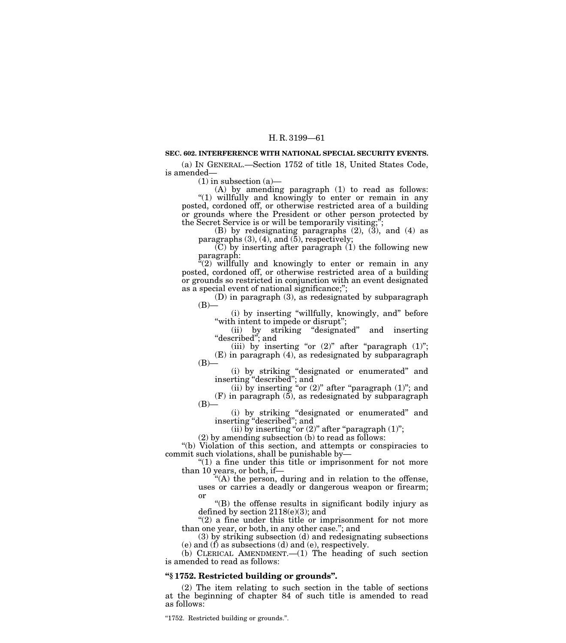## **SEC. 602. INTERFERENCE WITH NATIONAL SPECIAL SECURITY EVENTS.**

(a) IN GENERAL.—Section 1752 of title 18, United States Code, is amended—

 $(1)$  in subsection  $(a)$ —

(A) by amending paragraph (1) to read as follows: "(1) willfully and knowingly to enter or remain in any posted, cordoned off, or otherwise restricted area of a building or grounds where the President or other person protected by the Secret Service is or will be temporarily visiting;'';

(B) by redesignating paragraphs (2), (3), and (4) as paragraphs (3), (4), and (5), respectively;

 $(C)$  by inserting after paragraph  $(1)$  the following new paragraph:

"(2) willfully and knowingly to enter or remain in any posted, cordoned off, or otherwise restricted area of a building or grounds so restricted in conjunction with an event designated as a special event of national significance;'';

(D) in paragraph (3), as redesignated by subparagraph  $(B)$ —

(i) by inserting ''willfully, knowingly, and'' before "with intent to impede or disrupt";

(ii) by striking ''designated'' and inserting ''described''; and

(iii) by inserting "or  $(2)$ " after "paragraph  $(1)$ "; (E) in paragraph (4), as redesignated by subparagraph  $(B)$ —

(i) by striking ''designated or enumerated'' and inserting "described"; and

(ii) by inserting "or  $(2)$ " after "paragraph  $(1)$ "; and  $(F)$  in paragraph  $(5)$ , as redesignated by subparagraph  $(B)$ —

(i) by striking ''designated or enumerated'' and inserting "described"; and

(ii) by inserting "or  $(2)$ " after "paragraph  $(1)$ ";

(2) by amending subsection (b) to read as follows:

''(b) Violation of this section, and attempts or conspiracies to commit such violations, shall be punishable by—

" $(1)$  a fine under this title or imprisonment for not more than 10 years, or both, if—

''(A) the person, during and in relation to the offense, uses or carries a deadly or dangerous weapon or firearm; or

''(B) the offense results in significant bodily injury as defined by section 2118(e)(3); and

 $"(2)$  a fine under this title or imprisonment for not more than one year, or both, in any other case.''; and

(3) by striking subsection (d) and redesignating subsections (e) and (f) as subsections (d) and (e), respectively.

(b) CLERICAL AMENDMENT.—(1) The heading of such section is amended to read as follows:

## **''§ 1752. Restricted building or grounds''.**

(2) The item relating to such section in the table of sections at the beginning of chapter 84 of such title is amended to read as follows:

''1752. Restricted building or grounds.''.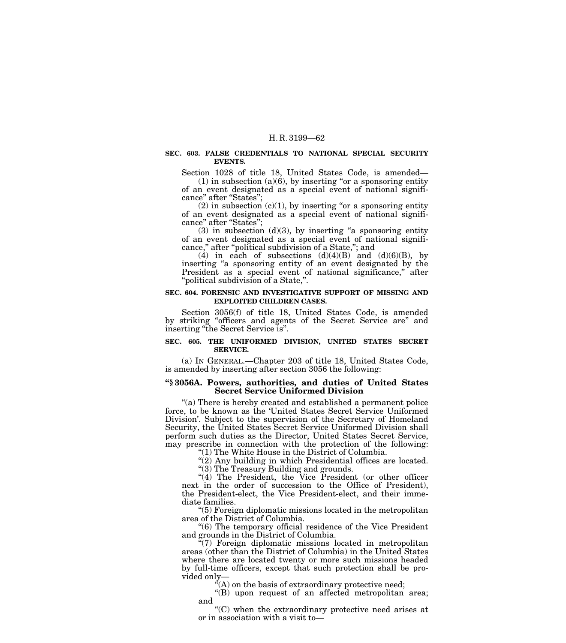## **SEC. 603. FALSE CREDENTIALS TO NATIONAL SPECIAL SECURITY EVENTS.**

Section 1028 of title 18, United States Code, is amended—

 $(1)$  in subsection  $(a)(6)$ , by inserting "or a sponsoring entity of an event designated as a special event of national significance" after "States";

 $(2)$  in subsection  $(c)(1)$ , by inserting "or a sponsoring entity of an event designated as a special event of national significance" after "States";

 $(3)$  in subsection  $(d)(3)$ , by inserting "a sponsoring entity of an event designated as a special event of national significance," after "political subdivision of a State,"; and

(4) in each of subsections  $(d)(4)(B)$  and  $(d)(6)(B)$ , by inserting "a sponsoring entity of an event designated by the President as a special event of national significance," after ''political subdivision of a State,''.

## **SEC. 604. FORENSIC AND INVESTIGATIVE SUPPORT OF MISSING AND EXPLOITED CHILDREN CASES.**

Section 3056(f) of title 18, United States Code, is amended by striking ''officers and agents of the Secret Service are'' and inserting "the Secret Service is".

## **SEC. 605. THE UNIFORMED DIVISION, UNITED STATES SECRET SERVICE.**

(a) IN GENERAL.—Chapter 203 of title 18, United States Code, is amended by inserting after section 3056 the following:

## **''§ 3056A. Powers, authorities, and duties of United States Secret Service Uniformed Division**

''(a) There is hereby created and established a permanent police force, to be known as the 'United States Secret Service Uniformed Division'. Subject to the supervision of the Secretary of Homeland Security, the United States Secret Service Uniformed Division shall perform such duties as the Director, United States Secret Service, may prescribe in connection with the protection of the following:

''(1) The White House in the District of Columbia.

 $''(2)$  Any building in which Presidential offices are located. ''(3) The Treasury Building and grounds.

"(4) The President, the Vice President (or other officer next in the order of succession to the Office of President), the President-elect, the Vice President-elect, and their immediate families.

''(5) Foreign diplomatic missions located in the metropolitan area of the District of Columbia.

''(6) The temporary official residence of the Vice President and grounds in the District of Columbia.

 $\mathbb{F}(7)$  Foreign diplomatic missions located in metropolitan areas (other than the District of Columbia) in the United States where there are located twenty or more such missions headed by full-time officers, except that such protection shall be provided only—

 $\mathcal{H}(A)$  on the basis of extraordinary protective need;

''(B) upon request of an affected metropolitan area; and

 $C$ ) when the extraordinary protective need arises at or in association with a visit to—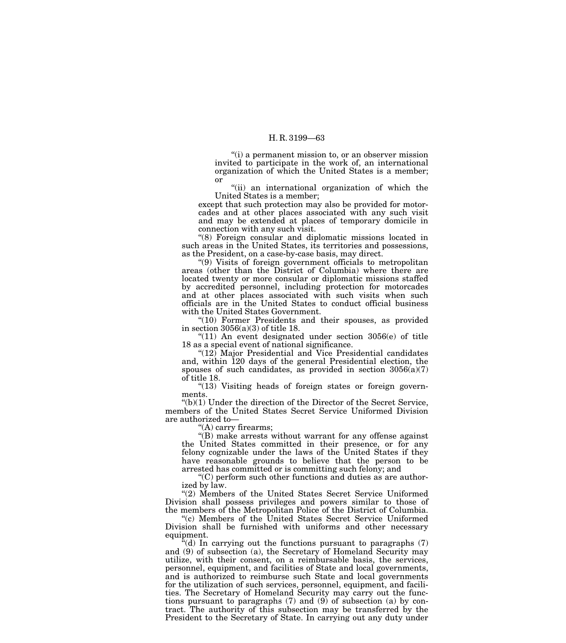''(i) a permanent mission to, or an observer mission invited to participate in the work of, an international organization of which the United States is a member; or

''(ii) an international organization of which the United States is a member;

except that such protection may also be provided for motorcades and at other places associated with any such visit and may be extended at places of temporary domicile in connection with any such visit.

''(8) Foreign consular and diplomatic missions located in such areas in the United States, its territories and possessions, as the President, on a case-by-case basis, may direct.

''(9) Visits of foreign government officials to metropolitan areas (other than the District of Columbia) where there are located twenty or more consular or diplomatic missions staffed by accredited personnel, including protection for motorcades and at other places associated with such visits when such officials are in the United States to conduct official business with the United States Government.

"(10) Former Presidents and their spouses, as provided in section  $3056(a)(3)$  of title 18.

" $(11)$  An event designated under section 3056 $(e)$  of title 18 as a special event of national significance.

" $(12)$  Major Presidential and Vice Presidential candidates and, within 120 days of the general Presidential election, the spouses of such candidates, as provided in section  $3056(a)(7)$ of title 18.

 $"$ (13) Visiting heads of foreign states or foreign governments.

''(b)(1) Under the direction of the Director of the Secret Service, members of the United States Secret Service Uniformed Division are authorized to—

''(A) carry firearms;

''(B) make arrests without warrant for any offense against the United States committed in their presence, or for any felony cognizable under the laws of the United States if they have reasonable grounds to believe that the person to be arrested has committed or is committing such felony; and

''(C) perform such other functions and duties as are authorized by law.

''(2) Members of the United States Secret Service Uniformed Division shall possess privileges and powers similar to those of the members of the Metropolitan Police of the District of Columbia.

''(c) Members of the United States Secret Service Uniformed Division shall be furnished with uniforms and other necessary equipment.

 $^{\circ}$ (d) In carrying out the functions pursuant to paragraphs (7) and (9) of subsection (a), the Secretary of Homeland Security may utilize, with their consent, on a reimbursable basis, the services, personnel, equipment, and facilities of State and local governments, and is authorized to reimburse such State and local governments for the utilization of such services, personnel, equipment, and facilities. The Secretary of Homeland Security may carry out the functions pursuant to paragraphs (7) and (9) of subsection (a) by contract. The authority of this subsection may be transferred by the President to the Secretary of State. In carrying out any duty under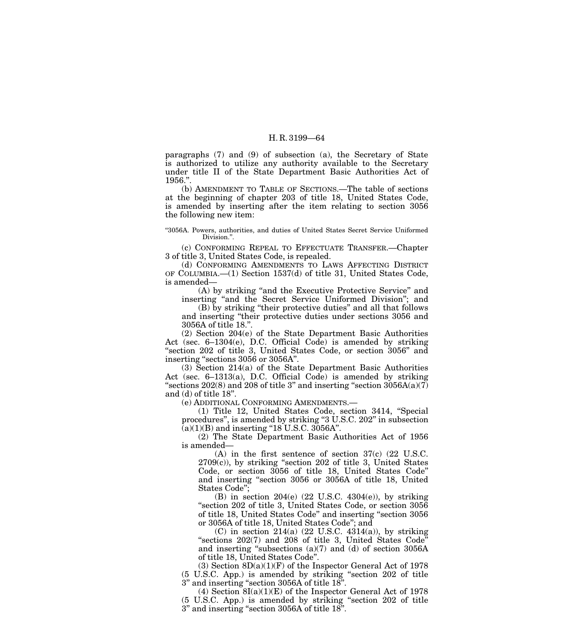paragraphs (7) and (9) of subsection (a), the Secretary of State is authorized to utilize any authority available to the Secretary under title II of the State Department Basic Authorities Act of 1956.''.

(b) AMENDMENT TO TABLE OF SECTIONS.—The table of sections at the beginning of chapter 203 of title 18, United States Code, is amended by inserting after the item relating to section 3056 the following new item:

''3056A. Powers, authorities, and duties of United States Secret Service Uniformed Division.".

(c) CONFORMING REPEAL TO EFFECTUATE TRANSFER.—Chapter 3 of title 3, United States Code, is repealed.

(d) CONFORMING AMENDMENTS TO LAWS AFFECTING DISTRICT OF COLUMBIA.—(1) Section 1537(d) of title 31, United States Code, is amended—

(A) by striking ''and the Executive Protective Service'' and inserting "and the Secret Service Uniformed Division"; and

(B) by striking ''their protective duties'' and all that follows and inserting ''their protective duties under sections 3056 and 3056A of title 18.''.

(2) Section 204(e) of the State Department Basic Authorities Act (sec. 6–1304(e), D.C. Official Code) is amended by striking "section 202 of title 3, United States Code, or section 3056" and inserting "sections 3056 or 3056A".

(3) Section 214(a) of the State Department Basic Authorities Act (sec. 6–1313(a), D.C. Official Code) is amended by striking "sections  $202(8)$  and  $208$  of title 3" and inserting "section  $3056A(a)(7)$ and (d) of title 18''.

(e) ADDITIONAL CONFORMING AMENDMENTS.—

(1) Title 12, United States Code, section 3414, ''Special procedures", is amended by striking "3 U.S.C. 202" in subsection  $(a)(1)(B)$  and inserting "18 U.S.C. 3056A".

(2) The State Department Basic Authorities Act of 1956 is amended—

(A) in the first sentence of section 37(c) (22 U.S.C. 2709(c)), by striking ''section 202 of title 3, United States Code, or section 3056 of title 18, United States Code'' and inserting ''section 3056 or 3056A of title 18, United States Code'';

(B) in section 204(e) (22 U.S.C. 4304(e)), by striking ''section 202 of title 3, United States Code, or section 3056 of title 18, United States Code'' and inserting ''section 3056 or 3056A of title 18, United States Code''; and

 $(C)$  in section 214(a) (22 U.S.C. 4314(a)), by striking ''sections 202(7) and 208 of title 3, United States Code'' and inserting "subsections (a)(7) and (d) of section 3056A of title 18, United States Code''.

(3) Section  $8D(a)(1)(F)$  of the Inspector General Act of 1978 (5 U.S.C. App.) is amended by striking ''section 202 of title 3'' and inserting ''section 3056A of title 18''.

(4) Section  $8I(a)(1)(E)$  of the Inspector General Act of 1978 (5 U.S.C. App.) is amended by striking ''section 202 of title 3'' and inserting ''section 3056A of title 18''.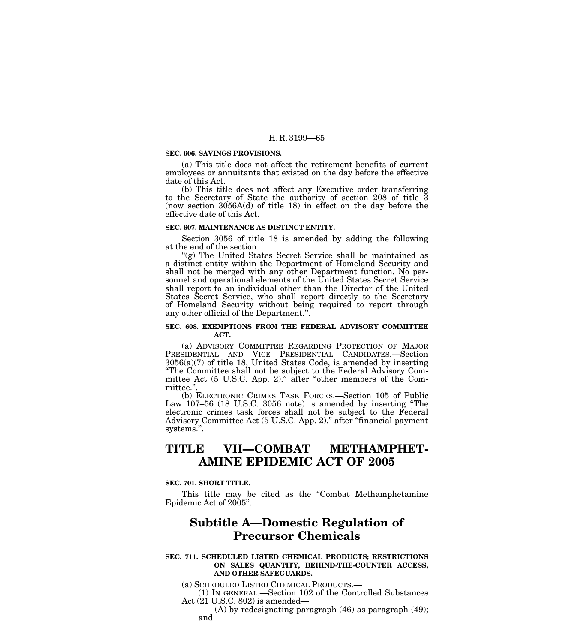## **SEC. 606. SAVINGS PROVISIONS.**

(a) This title does not affect the retirement benefits of current employees or annuitants that existed on the day before the effective date of this Act.

(b) This title does not affect any Executive order transferring to the Secretary of State the authority of section 208 of title 3 (now section 3056A(d) of title 18) in effect on the day before the effective date of this Act.

#### **SEC. 607. MAINTENANCE AS DISTINCT ENTITY.**

Section 3056 of title 18 is amended by adding the following at the end of the section:

"(g) The United States Secret Service shall be maintained as a distinct entity within the Department of Homeland Security and shall not be merged with any other Department function. No personnel and operational elements of the United States Secret Service shall report to an individual other than the Director of the United States Secret Service, who shall report directly to the Secretary of Homeland Security without being required to report through any other official of the Department.''.

## **SEC. 608. EXEMPTIONS FROM THE FEDERAL ADVISORY COMMITTEE ACT.**

(a) ADVISORY COMMITTEE REGARDING PROTECTION OF MAJOR PRESIDENTIAL AND VICE PRESIDENTIAL CANDIDATES.—Section 3056(a)(7) of title 18, United States Code, is amended by inserting ''The Committee shall not be subject to the Federal Advisory Committee Act (5 U.S.C. App. 2)." after "other members of the Committee.''.

(b) ELECTRONIC CRIMES TASK FORCES.—Section 105 of Public Law 107–56 (18 U.S.C. 3056 note) is amended by inserting ''The electronic crimes task forces shall not be subject to the Federal Advisory Committee Act (5 U.S.C. App. 2).'' after ''financial payment systems.''.

# **TITLE VII—COMBAT METHAMPHET-AMINE EPIDEMIC ACT OF 2005**

### **SEC. 701. SHORT TITLE.**

This title may be cited as the ''Combat Methamphetamine Epidemic Act of 2005''.

# **Subtitle A—Domestic Regulation of Precursor Chemicals**

## **SEC. 711. SCHEDULED LISTED CHEMICAL PRODUCTS; RESTRICTIONS ON SALES QUANTITY, BEHIND-THE-COUNTER ACCESS, AND OTHER SAFEGUARDS.**

- (a) SCHEDULED LISTED CHEMICAL PRODUCTS.—
- (1) IN GENERAL.—Section 102 of the Controlled Substances Act (21 U.S.C. 802) is amended—
	- (A) by redesignating paragraph (46) as paragraph (49); and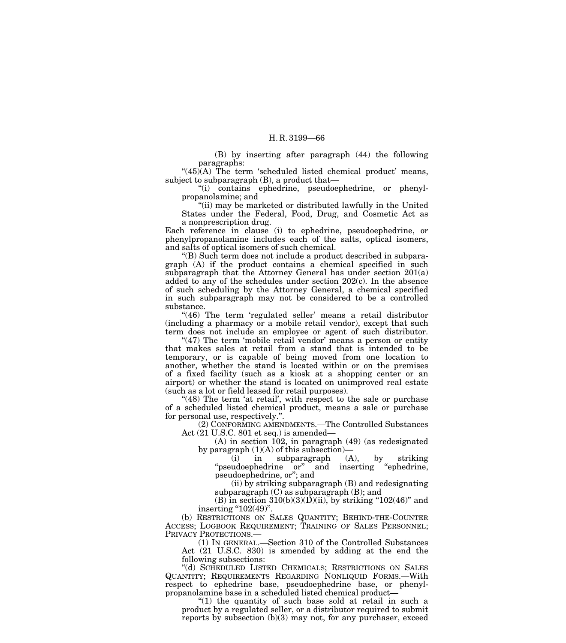(B) by inserting after paragraph (44) the following paragraphs:

" $(45)\hat{A}$ ) The term 'scheduled listed chemical product' means, subject to subparagraph (B), a product that—

''(i) contains ephedrine, pseudoephedrine, or phenylpropanolamine; and

''(ii) may be marketed or distributed lawfully in the United States under the Federal, Food, Drug, and Cosmetic Act as a nonprescription drug.

Each reference in clause (i) to ephedrine, pseudoephedrine, or phenylpropanolamine includes each of the salts, optical isomers, and salts of optical isomers of such chemical.

''(B) Such term does not include a product described in subparagraph (A) if the product contains a chemical specified in such subparagraph that the Attorney General has under section  $201(a)$ added to any of the schedules under section 202(c). In the absence of such scheduling by the Attorney General, a chemical specified in such subparagraph may not be considered to be a controlled substance.

"(46) The term 'regulated seller' means a retail distributor (including a pharmacy or a mobile retail vendor), except that such term does not include an employee or agent of such distributor.

" $(47)$  The term 'mobile retail vendor' means a person or entity that makes sales at retail from a stand that is intended to be temporary, or is capable of being moved from one location to another, whether the stand is located within or on the premises of a fixed facility (such as a kiosk at a shopping center or an airport) or whether the stand is located on unimproved real estate (such as a lot or field leased for retail purposes).

"(48) The term 'at retail', with respect to the sale or purchase of a scheduled listed chemical product, means a sale or purchase for personal use, respectively.''.

(2) CONFORMING AMENDMENTS.—The Controlled Substances Act (21 U.S.C. 801 et seq.) is amended—

(A) in section 102, in paragraph (49) (as redesignated by paragraph  $(1)(A)$  of this subsection)—

(i) in subparagraph (A), by striking "pseudoephedrine or" and inserting "ephedrine, pseudoephedrine, or''; and

(ii) by striking subparagraph (B) and redesignating subparagraph (C) as subparagraph (B); and

(B) in section  $310(b)(3)(\overline{D})(ii)$ , by striking "102(46)" and inserting "102(49)".

(b) RESTRICTIONS ON SALES QUANTITY; BEHIND-THE-COUNTER ACCESS; LOGBOOK REQUIREMENT; TRAINING OF SALES PERSONNEL; PRIVACY PROTECTIONS.—

(1) IN GENERAL.—Section 310 of the Controlled Substances Act (21 U.S.C. 830) is amended by adding at the end the following subsections:

"(d) SCHEDULED LISTED CHEMICALS; RESTRICTIONS ON SALES QUANTITY; REQUIREMENTS REGARDING NONLIQUID FORMS.—With respect to ephedrine base, pseudoephedrine base, or phenylpropanolamine base in a scheduled listed chemical product—

" $(1)$  the quantity of such base sold at retail in such a product by a regulated seller, or a distributor required to submit reports by subsection (b)(3) may not, for any purchaser, exceed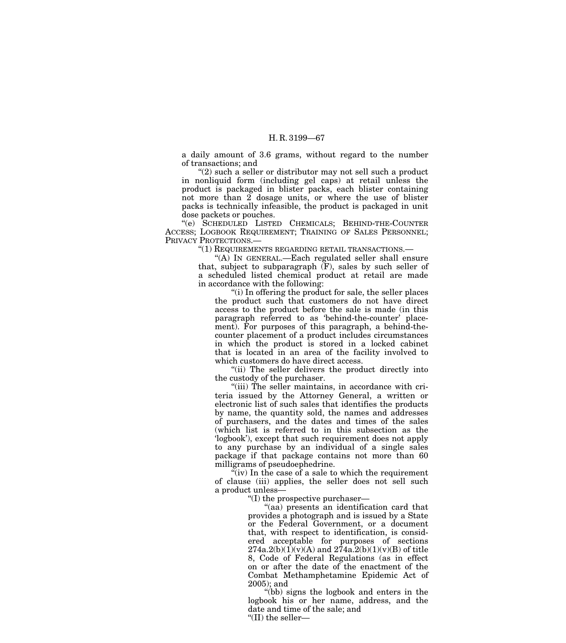a daily amount of 3.6 grams, without regard to the number of transactions; and

"(2) such a seller or distributor may not sell such a product in nonliquid form (including gel caps) at retail unless the product is packaged in blister packs, each blister containing not more than 2 dosage units, or where the use of blister packs is technically infeasible, the product is packaged in unit dose packets or pouches.

''(e) SCHEDULED LISTED CHEMICALS; BEHIND-THE-COUNTER ACCESS; LOGBOOK REQUIREMENT; TRAINING OF SALES PERSONNEL; PRIVACY PROTECTIONS.—

''(1) REQUIREMENTS REGARDING RETAIL TRANSACTIONS.—

''(A) IN GENERAL.—Each regulated seller shall ensure that, subject to subparagraph  $(F)$ , sales by such seller of a scheduled listed chemical product at retail are made in accordance with the following:

''(i) In offering the product for sale, the seller places the product such that customers do not have direct access to the product before the sale is made (in this paragraph referred to as 'behind-the-counter' placement). For purposes of this paragraph, a behind-thecounter placement of a product includes circumstances in which the product is stored in a locked cabinet that is located in an area of the facility involved to which customers do have direct access.

''(ii) The seller delivers the product directly into the custody of the purchaser.

"(iii) The seller maintains, in accordance with criteria issued by the Attorney General, a written or electronic list of such sales that identifies the products by name, the quantity sold, the names and addresses of purchasers, and the dates and times of the sales (which list is referred to in this subsection as the 'logbook'), except that such requirement does not apply to any purchase by an individual of a single sales package if that package contains not more than 60 milligrams of pseudoephedrine.

"(iv) In the case of a sale to which the requirement of clause (iii) applies, the seller does not sell such a product unless—

''(I) the prospective purchaser—

''(aa) presents an identification card that provides a photograph and is issued by a State or the Federal Government, or a document that, with respect to identification, is considered acceptable for purposes of sections  $274a.2(b)(1)(y)(A)$  and  $274a.2(b)(1)(y)(B)$  of title 8, Code of Federal Regulations (as in effect on or after the date of the enactment of the Combat Methamphetamine Epidemic Act of 2005); and

''(bb) signs the logbook and enters in the logbook his or her name, address, and the date and time of the sale; and

''(II) the seller—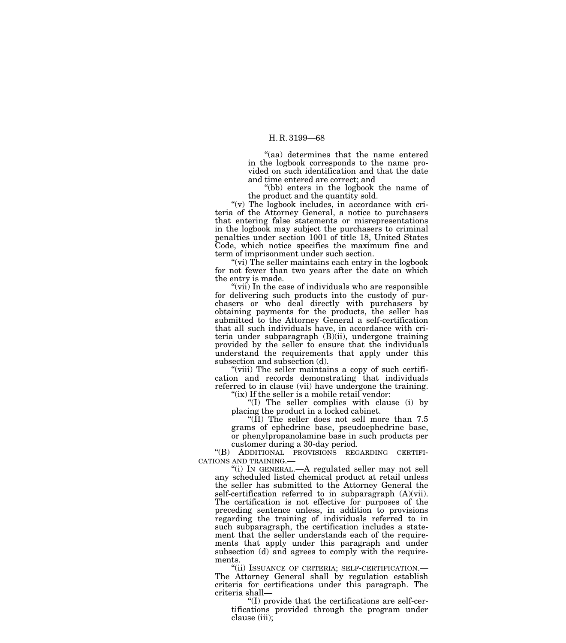''(aa) determines that the name entered in the logbook corresponds to the name provided on such identification and that the date and time entered are correct; and

''(bb) enters in the logbook the name of the product and the quantity sold.

" $(v)$  The logbook includes, in accordance with criteria of the Attorney General, a notice to purchasers that entering false statements or misrepresentations in the logbook may subject the purchasers to criminal penalties under section 1001 of title 18, United States Code, which notice specifies the maximum fine and term of imprisonment under such section.

"(vi) The seller maintains each entry in the logbook" for not fewer than two years after the date on which the entry is made.

"(vii) In the case of individuals who are responsible for delivering such products into the custody of purchasers or who deal directly with purchasers by obtaining payments for the products, the seller has submitted to the Attorney General a self-certification that all such individuals have, in accordance with criteria under subparagraph (B)(ii), undergone training provided by the seller to ensure that the individuals understand the requirements that apply under this subsection and subsection (d).

"(viii) The seller maintains a copy of such certification and records demonstrating that individuals referred to in clause (vii) have undergone the training. "(ix) If the seller is a mobile retail vendor:

''(I) The seller complies with clause (i) by placing the product in a locked cabinet.

''(II) The seller does not sell more than 7.5 grams of ephedrine base, pseudoephedrine base, or phenylpropanolamine base in such products per customer during a 30-day period.<br>"(B) ADDITIONAL PROVISIONS REGARDING CERTIFI-

CATIONS AND TRAINING.—<br>"(i) IN GENERAL.—A regulated seller may not sell

any scheduled listed chemical product at retail unless the seller has submitted to the Attorney General the self-certification referred to in subparagraph (A)(vii). The certification is not effective for purposes of the preceding sentence unless, in addition to provisions regarding the training of individuals referred to in such subparagraph, the certification includes a statement that the seller understands each of the requirements that apply under this paragraph and under subsection (d) and agrees to comply with the requirements.

''(ii) ISSUANCE OF CRITERIA; SELF-CERTIFICATION.— The Attorney General shall by regulation establish criteria for certifications under this paragraph. The criteria shall—

''(I) provide that the certifications are self-certifications provided through the program under clause (iii);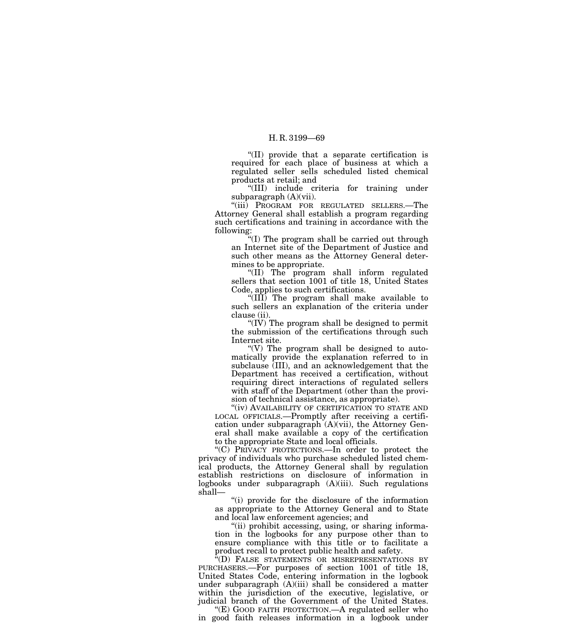''(II) provide that a separate certification is required for each place of business at which a regulated seller sells scheduled listed chemical products at retail; and

''(III) include criteria for training under subparagraph  $(A)(vii)$ .

''(iii) PROGRAM FOR REGULATED SELLERS.—The Attorney General shall establish a program regarding such certifications and training in accordance with the following:

''(I) The program shall be carried out through an Internet site of the Department of Justice and such other means as the Attorney General determines to be appropriate.

''(II) The program shall inform regulated sellers that section 1001 of title 18, United States Code, applies to such certifications.

" $(II\overline{I})$  The program shall make available to such sellers an explanation of the criteria under clause (ii).

''(IV) The program shall be designed to permit the submission of the certifications through such Internet site.

"(V) The program shall be designed to automatically provide the explanation referred to in subclause (III), and an acknowledgement that the Department has received a certification, without requiring direct interactions of regulated sellers with staff of the Department (other than the provision of technical assistance, as appropriate).

"(iv) AVAILABILITY OF CERTIFICATION TO STATE AND LOCAL OFFICIALS.—Promptly after receiving a certification under subparagraph (A)(vii), the Attorney General shall make available a copy of the certification to the appropriate State and local officials.

''(C) PRIVACY PROTECTIONS.—In order to protect the privacy of individuals who purchase scheduled listed chemical products, the Attorney General shall by regulation establish restrictions on disclosure of information in logbooks under subparagraph (A)(iii). Such regulations shall—

''(i) provide for the disclosure of the information as appropriate to the Attorney General and to State and local law enforcement agencies; and

"(ii) prohibit accessing, using, or sharing information in the logbooks for any purpose other than to ensure compliance with this title or to facilitate a product recall to protect public health and safety.

''(D) FALSE STATEMENTS OR MISREPRESENTATIONS BY PURCHASERS.—For purposes of section 1001 of title 18, United States Code, entering information in the logbook under subparagraph  $(A)(iii)$  shall be considered a matter within the jurisdiction of the executive, legislative, or judicial branch of the Government of the United States.

"(E) GOOD FAITH PROTECTION.—A regulated seller who in good faith releases information in a logbook under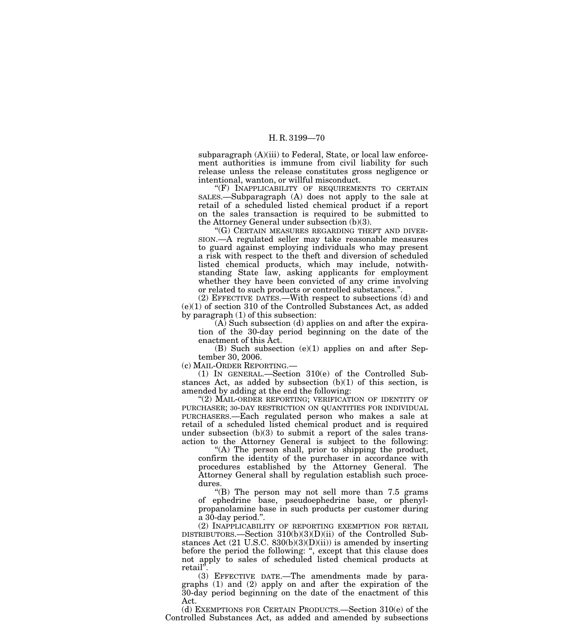subparagraph  $(A)(iii)$  to Federal, State, or local law enforcement authorities is immune from civil liability for such release unless the release constitutes gross negligence or intentional, wanton, or willful misconduct.

"(F) INAPPLICABILITY OF REQUIREMENTS TO CERTAIN SALES.—Subparagraph (A) does not apply to the sale at retail of a scheduled listed chemical product if a report on the sales transaction is required to be submitted to the Attorney General under subsection (b)(3).

"(G) CERTAIN MEASURES REGARDING THEFT AND DIVER-SION.—A regulated seller may take reasonable measures to guard against employing individuals who may present a risk with respect to the theft and diversion of scheduled listed chemical products, which may include, notwithstanding State law, asking applicants for employment whether they have been convicted of any crime involving or related to such products or controlled substances.''.

(2) EFFECTIVE DATES.—With respect to subsections (d) and (e)(1) of section 310 of the Controlled Substances Act, as added by paragraph (1) of this subsection:

(A) Such subsection (d) applies on and after the expiration of the 30-day period beginning on the date of the enactment of this Act.

(B) Such subsection (e)(1) applies on and after September 30, 2006.

(c) MAIL-ORDER REPORTING.—

(1) IN GENERAL.—Section 310(e) of the Controlled Substances Act, as added by subsection (b)(1) of this section, is amended by adding at the end the following:

"(2) MAIL-ORDER REPORTING; VERIFICATION OF IDENTITY OF PURCHASER; 30-DAY RESTRICTION ON QUANTITIES FOR INDIVIDUAL PURCHASERS.—Each regulated person who makes a sale at retail of a scheduled listed chemical product and is required under subsection  $(b)(3)$  to submit a report of the sales transaction to the Attorney General is subject to the following:

''(A) The person shall, prior to shipping the product, confirm the identity of the purchaser in accordance with procedures established by the Attorney General. The Attorney General shall by regulation establish such procedures.

''(B) The person may not sell more than 7.5 grams of ephedrine base, pseudoephedrine base, or phenylpropanolamine base in such products per customer during a 30-day period.''.

(2) INAPPLICABILITY OF REPORTING EXEMPTION FOR RETAIL DISTRIBUTORS.—Section 310(b)(3)(D)(ii) of the Controlled Substances Act  $(21 \text{ U.S.C. } 830(b)(3)(D)(ii))$  is amended by inserting before the period the following: ", except that this clause does not apply to sales of scheduled listed chemical products at retail''.

(3) EFFECTIVE DATE.—The amendments made by paragraphs (1) and (2) apply on and after the expiration of the 30-day period beginning on the date of the enactment of this Act.

(d) EXEMPTIONS FOR CERTAIN PRODUCTS.—Section 310(e) of the Controlled Substances Act, as added and amended by subsections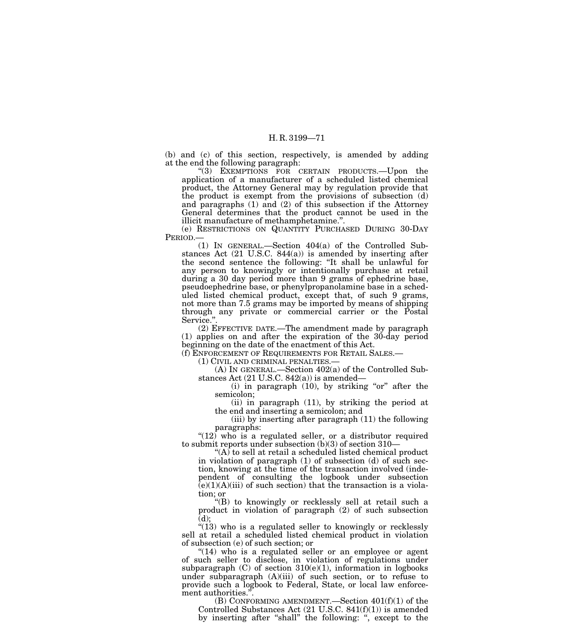(b) and (c) of this section, respectively, is amended by adding at the end the following paragraph:

''(3) EXEMPTIONS FOR CERTAIN PRODUCTS.—Upon the application of a manufacturer of a scheduled listed chemical product, the Attorney General may by regulation provide that the product is exempt from the provisions of subsection (d) and paragraphs (1) and (2) of this subsection if the Attorney General determines that the product cannot be used in the illicit manufacture of methamphetamine.''.

(e) RESTRICTIONS ON QUANTITY PURCHASED DURING 30-DAY PERIOD.—

(1) IN GENERAL.—Section 404(a) of the Controlled Substances Act (21 U.S.C. 844(a)) is amended by inserting after the second sentence the following: "It shall be unlawful for any person to knowingly or intentionally purchase at retail during a 30 day period more than 9 grams of ephedrine base, pseudoephedrine base, or phenylpropanolamine base in a scheduled listed chemical product, except that, of such 9 grams, not more than 7.5 grams may be imported by means of shipping through any private or commercial carrier or the Postal Service.''.

(2) EFFECTIVE DATE.—The amendment made by paragraph (1) applies on and after the expiration of the 30-day period beginning on the date of the enactment of this Act.

(f) ENFORCEMENT OF REQUIREMENTS FOR RETAIL SALES.—<br>(1) CIVIL AND CRIMINAL PENALTIES.—<br>(A) IN GENERAL.—Section  $402(a)$  of the Controlled Substances Act (21 U.S.C. 842(a)) is amended—

(i) in paragraph  $(10)$ , by striking "or" after the semicolon;

(ii) in paragraph (11), by striking the period at the end and inserting a semicolon; and

(iii) by inserting after paragraph (11) the following paragraphs:

" $(12)$  who is a regulated seller, or a distributor required to submit reports under subsection (b)(3) of section 310—

" $(A)$  to sell at retail a scheduled listed chemical product in violation of paragraph (1) of subsection (d) of such section, knowing at the time of the transaction involved (independent of consulting the logbook under subsection  $\tilde{e}(e)(1)(A)(iii)$  of such section) that the transaction is a violation; or

''(B) to knowingly or recklessly sell at retail such a product in violation of paragraph  $(2)$  of such subsection (d);

"(13) who is a regulated seller to knowingly or recklessly sell at retail a scheduled listed chemical product in violation of subsection (e) of such section; or

"(14) who is a regulated seller or an employee or agent of such seller to disclose, in violation of regulations under subparagraph  $(C)$  of section  $310(e)(1)$ , information in logbooks under subparagraph (A)(iii) of such section, or to refuse to provide such a logbook to Federal, State, or local law enforcement authorities.''.

(B) CONFORMING AMENDMENT.—Section 401(f)(1) of the Controlled Substances Act (21 U.S.C. 841(f)(1)) is amended by inserting after ''shall'' the following: '', except to the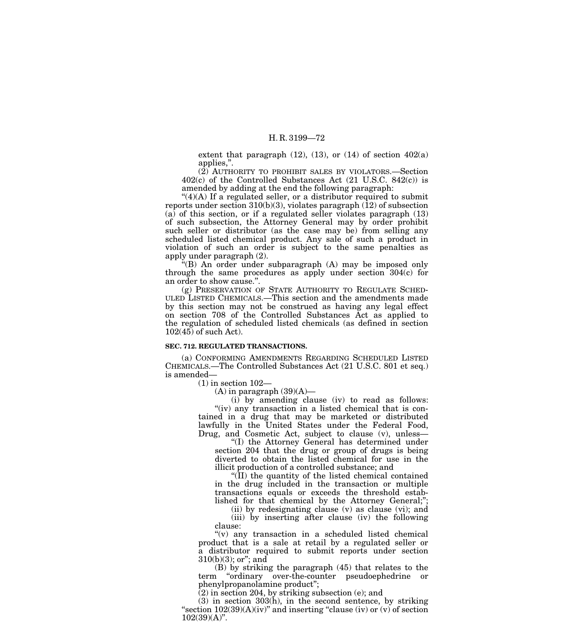extent that paragraph  $(12)$ ,  $(13)$ , or  $(14)$  of section  $402(a)$ applies,''.

(2) AUTHORITY TO PROHIBIT SALES BY VIOLATORS.—Section  $402(c)$  of the Controlled Substances Act  $(21 \text{ U.S.C. } 842(c))$  is amended by adding at the end the following paragraph:

" $(4)(A)$  If a regulated seller, or a distributor required to submit reports under section 310(b)(3), violates paragraph (12) of subsection (a) of this section, or if a regulated seller violates paragraph (13) of such subsection, the Attorney General may by order prohibit such seller or distributor (as the case may be) from selling any scheduled listed chemical product. Any sale of such a product in violation of such an order is subject to the same penalties as apply under paragraph (2).

 $E(E)$  An order under subparagraph  $(A)$  may be imposed only through the same procedures as apply under section  $304(c)$  for an order to show cause.''.

(g) PRESERVATION OF STATE AUTHORITY TO REGULATE SCHED-ULED LISTED CHEMICALS.—This section and the amendments made by this section may not be construed as having any legal effect on section 708 of the Controlled Substances Act as applied to the regulation of scheduled listed chemicals (as defined in section 102(45) of such Act).

# **SEC. 712. REGULATED TRANSACTIONS.**

(a) CONFORMING AMENDMENTS REGARDING SCHEDULED LISTED CHEMICALS.—The Controlled Substances Act (21 U.S.C. 801 et seq.) is amended—

 $(1)$  in section  $102-$ 

 $(A)$  in paragraph  $(39)(A)$ —

(i) by amending clause (iv) to read as follows: "(iv) any transaction in a listed chemical that is contained in a drug that may be marketed or distributed lawfully in the United States under the Federal Food, Drug, and Cosmetic Act, subject to clause (v), unless—

''(I) the Attorney General has determined under section 204 that the drug or group of drugs is being diverted to obtain the listed chemical for use in the illicit production of a controlled substance; and

''(II) the quantity of the listed chemical contained in the drug included in the transaction or multiple transactions equals or exceeds the threshold established for that chemical by the Attorney General;'';

(ii) by redesignating clause (v) as clause (vi); and

(iii) by inserting after clause (iv) the following clause:

''(v) any transaction in a scheduled listed chemical product that is a sale at retail by a regulated seller or a distributor required to submit reports under section 310(b)(3); or''; and

(B) by striking the paragraph (45) that relates to the term ''ordinary over-the-counter pseudoephedrine or phenylpropanolamine product'';

 $(2)$  in section 204, by striking subsection (e); and

(3) in section 303(h), in the second sentence, by striking "section  $102(39)(A)(iv)$ " and inserting "clause (iv) or (v) of section  $102(39)(A)$ ".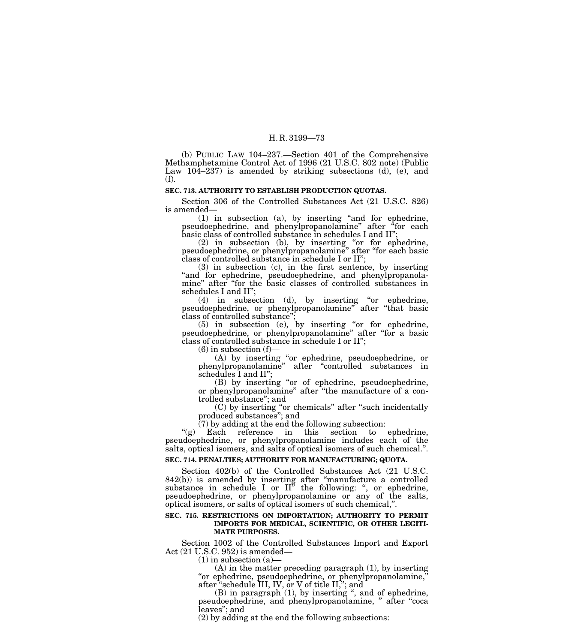(b) PUBLIC LAW 104–237.—Section 401 of the Comprehensive Methamphetamine Control Act of 1996 (21 U.S.C. 802 note) (Public Law  $104-237$  is amended by striking subsections (d), (e), and (f).

#### **SEC. 713. AUTHORITY TO ESTABLISH PRODUCTION QUOTAS.**

Section 306 of the Controlled Substances Act (21 U.S.C. 826) is amended—

(1) in subsection (a), by inserting ''and for ephedrine, pseudoephedrine, and phenylpropanolamine'' after ''for each basic class of controlled substance in schedules I and II'';

(2) in subsection (b), by inserting ''or for ephedrine, pseudoephedrine, or phenylpropanolamine'' after ''for each basic class of controlled substance in schedule I or II'';

(3) in subsection (c), in the first sentence, by inserting "and for ephedrine, pseudoephedrine, and phenylpropanolamine'' after ''for the basic classes of controlled substances in schedules I and II'';

(4) in subsection (d), by inserting ''or ephedrine, pseudoephedrine, or phenylpropanolamine'' after ''that basic class of controlled substance'';

(5) in subsection (e), by inserting ''or for ephedrine, pseudoephedrine, or phenylpropanolamine'' after ''for a basic class of controlled substance in schedule I or II'';

 $(6)$  in subsection  $(f)$ —

(A) by inserting ''or ephedrine, pseudoephedrine, or phenylpropanolamine'' after ''controlled substances in schedules I and II'';

(B) by inserting ''or of ephedrine, pseudoephedrine, or phenylpropanolamine" after "the manufacture of a controlled substance''; and

(C) by inserting ''or chemicals'' after ''such incidentally produced substances''; and

(7) by adding at the end the following subsection:

"(g) Each reference in this section to ephedrine, pseudoephedrine, or phenylpropanolamine includes each of the salts, optical isomers, and salts of optical isomers of such chemical.''.

## **SEC. 714. PENALTIES; AUTHORITY FOR MANUFACTURING; QUOTA.**

Section 402(b) of the Controlled Substances Act (21 U.S.C. 842(b)) is amended by inserting after ''manufacture a controlled substance in schedule I or  $II^{\prime\prime}$  the following: ", or ephedrine, pseudoephedrine, or phenylpropanolamine or any of the salts, optical isomers, or salts of optical isomers of such chemical,''.

## **SEC. 715. RESTRICTIONS ON IMPORTATION; AUTHORITY TO PERMIT IMPORTS FOR MEDICAL, SCIENTIFIC, OR OTHER LEGITI-MATE PURPOSES.**

Section 1002 of the Controlled Substances Import and Export Act (21 U.S.C. 952) is amended—

 $(1)$  in subsection  $(a)$ —

(A) in the matter preceding paragraph (1), by inserting ''or ephedrine, pseudoephedrine, or phenylpropanolamine,'' after ''schedule III, IV, or V of title II,''; and

(B) in paragraph (1), by inserting '', and of ephedrine, pseudoephedrine, and phenylpropanolamine, '' after ''coca leaves''; and

(2) by adding at the end the following subsections: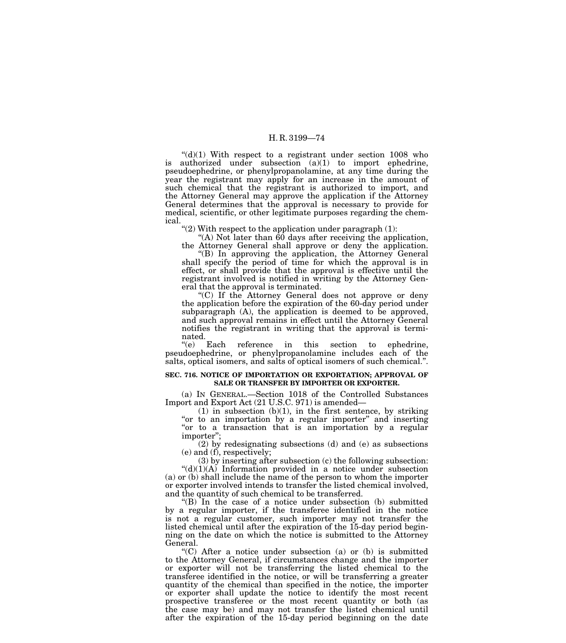" $(d)(1)$  With respect to a registrant under section 1008 who is authorized under subsection (a)(1) to import ephedrine, pseudoephedrine, or phenylpropanolamine, at any time during the year the registrant may apply for an increase in the amount of such chemical that the registrant is authorized to import, and the Attorney General may approve the application if the Attorney General determines that the approval is necessary to provide for medical, scientific, or other legitimate purposes regarding the chemical.

" $(2)$  With respect to the application under paragraph  $(1)$ :

"(A) Not later than  $60$  days after receiving the application, the Attorney General shall approve or deny the application.

"(B) In approving the application, the Attorney General shall specify the period of time for which the approval is in effect, or shall provide that the approval is effective until the registrant involved is notified in writing by the Attorney General that the approval is terminated.

''(C) If the Attorney General does not approve or deny the application before the expiration of the 60-day period under subparagraph (A), the application is deemed to be approved, and such approval remains in effect until the Attorney General notifies the registrant in writing that the approval is terminated.<br>" $(e)$ 

Each reference in this section to ephedrine, pseudoephedrine, or phenylpropanolamine includes each of the salts, optical isomers, and salts of optical isomers of such chemical.''.

### **SEC. 716. NOTICE OF IMPORTATION OR EXPORTATION; APPROVAL OF SALE OR TRANSFER BY IMPORTER OR EXPORTER.**

(a) IN GENERAL.—Section 1018 of the Controlled Substances Import and Export Act (21 U.S.C. 971) is amended—

 $(1)$  in subsection  $(b)(1)$ , in the first sentence, by striking "or to an importation by a regular importer" and inserting "or to a transaction that is an importation by a regular importer'';

(2) by redesignating subsections (d) and (e) as subsections (e) and (f), respectively;

(3) by inserting after subsection (c) the following subsection:  $"(d)(1)(A)$  Information provided in a notice under subsection (a) or (b) shall include the name of the person to whom the importer or exporter involved intends to transfer the listed chemical involved, and the quantity of such chemical to be transferred.

" $(B)$  In the case of a notice under subsection (b) submitted by a regular importer, if the transferee identified in the notice is not a regular customer, such importer may not transfer the listed chemical until after the expiration of the 15-day period beginning on the date on which the notice is submitted to the Attorney General.

''(C) After a notice under subsection (a) or (b) is submitted to the Attorney General, if circumstances change and the importer or exporter will not be transferring the listed chemical to the transferee identified in the notice, or will be transferring a greater quantity of the chemical than specified in the notice, the importer or exporter shall update the notice to identify the most recent prospective transferee or the most recent quantity or both (as the case may be) and may not transfer the listed chemical until after the expiration of the 15-day period beginning on the date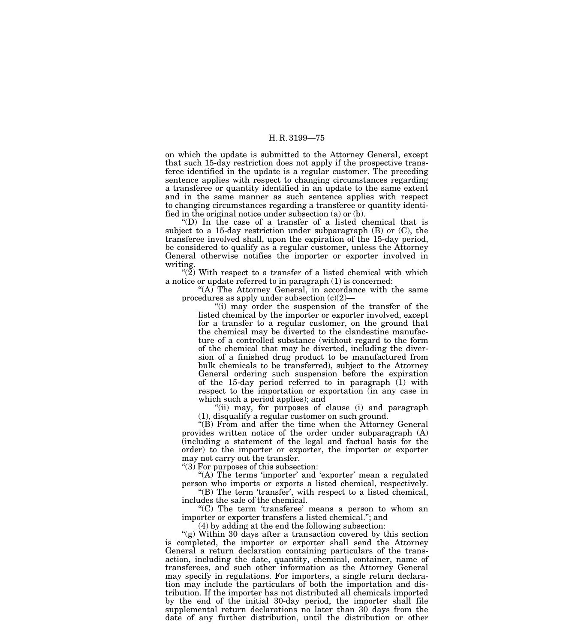on which the update is submitted to the Attorney General, except that such 15-day restriction does not apply if the prospective transferee identified in the update is a regular customer. The preceding sentence applies with respect to changing circumstances regarding a transferee or quantity identified in an update to the same extent and in the same manner as such sentence applies with respect to changing circumstances regarding a transferee or quantity identified in the original notice under subsection (a) or (b).

''(D) In the case of a transfer of a listed chemical that is subject to a 15-day restriction under subparagraph (B) or (C), the transferee involved shall, upon the expiration of the 15-day period, be considered to qualify as a regular customer, unless the Attorney General otherwise notifies the importer or exporter involved in writing.

" $(2)$  With respect to a transfer of a listed chemical with which a notice or update referred to in paragraph (1) is concerned:

" $(A)$  The Attorney General, in accordance with the same procedures as apply under subsection (c)(2)—

''(i) may order the suspension of the transfer of the listed chemical by the importer or exporter involved, except for a transfer to a regular customer, on the ground that the chemical may be diverted to the clandestine manufacture of a controlled substance (without regard to the form of the chemical that may be diverted, including the diversion of a finished drug product to be manufactured from bulk chemicals to be transferred), subject to the Attorney General ordering such suspension before the expiration of the 15-day period referred to in paragraph (1) with respect to the importation or exportation (in any case in which such a period applies); and

"(ii) may, for purposes of clause (i) and paragraph (1), disqualify a regular customer on such ground.

''(B) From and after the time when the Attorney General provides written notice of the order under subparagraph (A) (including a statement of the legal and factual basis for the order) to the importer or exporter, the importer or exporter may not carry out the transfer.

''(3) For purposes of this subsection:

"(A) The terms 'importer' and 'exporter' mean a regulated person who imports or exports a listed chemical, respectively.

''(B) The term 'transfer', with respect to a listed chemical, includes the sale of the chemical.

''(C) The term 'transferee' means a person to whom an importer or exporter transfers a listed chemical.''; and

(4) by adding at the end the following subsection:

"(g) Within 30 days after a transaction covered by this section is completed, the importer or exporter shall send the Attorney General a return declaration containing particulars of the transaction, including the date, quantity, chemical, container, name of transferees, and such other information as the Attorney General may specify in regulations. For importers, a single return declaration may include the particulars of both the importation and distribution. If the importer has not distributed all chemicals imported by the end of the initial 30-day period, the importer shall file supplemental return declarations no later than 30 days from the date of any further distribution, until the distribution or other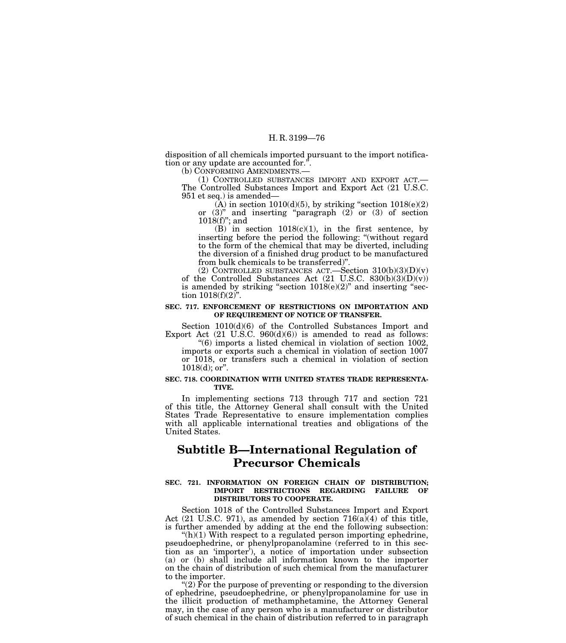disposition of all chemicals imported pursuant to the import notification or any update are accounted for.''.

(b) CONFORMING AMENDMENTS.—

(1) CONTROLLED SUBSTANCES IMPORT AND EXPORT ACT.— The Controlled Substances Import and Export Act (21 U.S.C. 951 et seq.) is amended—

 $(A)$  in section 1010(d)(5), by striking "section 1018(e)(2) or  $(3)$ " and inserting "paragraph  $(2)$  or  $(3)$  of section 1018(f)''; and

(B) in section  $1018(c)(1)$ , in the first sentence, by inserting before the period the following: ''(without regard to the form of the chemical that may be diverted, including the diversion of a finished drug product to be manufactured from bulk chemicals to be transferred)''.

(2) CONTROLLED SUBSTANCES ACT.—Section  $310(b)(3)(D)(v)$ of the Controlled Substances Act  $(21 \text{ U.S.C. } 830(b)(3)(D)(v))$ is amended by striking "section  $1018(e)(2)$ " and inserting "section  $1018(f)(2)$ ".

## **SEC. 717. ENFORCEMENT OF RESTRICTIONS ON IMPORTATION AND OF REQUIREMENT OF NOTICE OF TRANSFER.**

Section 1010(d)(6) of the Controlled Substances Import and Export Act  $(21 \text{ U.S.C. } 960(d)(6))$  is amended to read as follows:

 $(6)$  imports a listed chemical in violation of section 1002, imports or exports such a chemical in violation of section 1007 or 1018, or transfers such a chemical in violation of section 1018(d); or''.

## **SEC. 718. COORDINATION WITH UNITED STATES TRADE REPRESENTA-TIVE.**

In implementing sections 713 through 717 and section 721 of this title, the Attorney General shall consult with the United States Trade Representative to ensure implementation complies with all applicable international treaties and obligations of the United States.

# **Subtitle B—International Regulation of Precursor Chemicals**

## **SEC. 721. INFORMATION ON FOREIGN CHAIN OF DISTRIBUTION; IMPORT RESTRICTIONS REGARDING FAILURE OF DISTRIBUTORS TO COOPERATE.**

Section 1018 of the Controlled Substances Import and Export Act (21 U.S.C. 971), as amended by section  $716(a)(4)$  of this title, is further amended by adding at the end the following subsection:

 $(n)(1)$  With respect to a regulated person importing ephedrine, pseudoephedrine, or phenylpropanolamine (referred to in this section as an 'importer'), a notice of importation under subsection (a) or (b) shall include all information known to the importer on the chain of distribution of such chemical from the manufacturer to the importer.

"(2) For the purpose of preventing or responding to the diversion of ephedrine, pseudoephedrine, or phenylpropanolamine for use in the illicit production of methamphetamine, the Attorney General may, in the case of any person who is a manufacturer or distributor of such chemical in the chain of distribution referred to in paragraph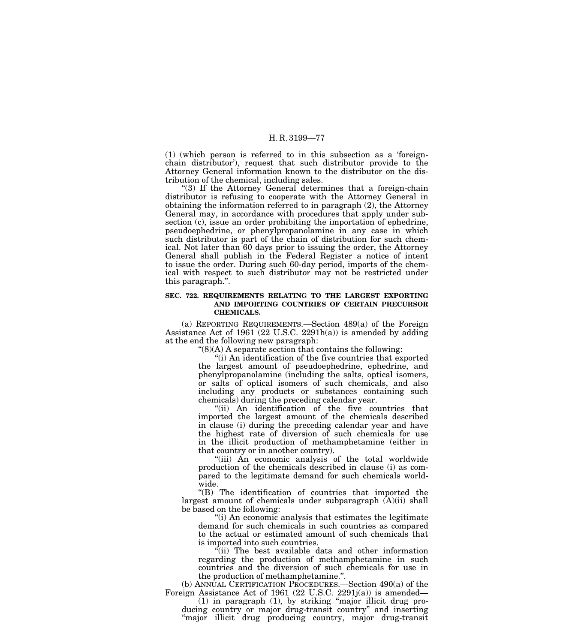(1) (which person is referred to in this subsection as a 'foreignchain distributor'), request that such distributor provide to the Attorney General information known to the distributor on the distribution of the chemical, including sales.

''(3) If the Attorney General determines that a foreign-chain distributor is refusing to cooperate with the Attorney General in obtaining the information referred to in paragraph (2), the Attorney General may, in accordance with procedures that apply under subsection (c), issue an order prohibiting the importation of ephedrine, pseudoephedrine, or phenylpropanolamine in any case in which such distributor is part of the chain of distribution for such chemical. Not later than 60 days prior to issuing the order, the Attorney General shall publish in the Federal Register a notice of intent to issue the order. During such 60-day period, imports of the chemical with respect to such distributor may not be restricted under this paragraph.''.

## **SEC. 722. REQUIREMENTS RELATING TO THE LARGEST EXPORTING AND IMPORTING COUNTRIES OF CERTAIN PRECURSOR CHEMICALS.**

(a) REPORTING REQUIREMENTS.—Section 489(a) of the Foreign Assistance Act of 1961 (22 U.S.C. 2291h(a)) is amended by adding at the end the following new paragraph:

 $\degree$ (8)(A) A separate section that contains the following:

''(i) An identification of the five countries that exported the largest amount of pseudoephedrine, ephedrine, and phenylpropanolamine (including the salts, optical isomers, or salts of optical isomers of such chemicals, and also including any products or substances containing such chemicals) during the preceding calendar year.

''(ii) An identification of the five countries that imported the largest amount of the chemicals described in clause (i) during the preceding calendar year and have the highest rate of diversion of such chemicals for use in the illicit production of methamphetamine (either in that country or in another country).

"(iii) An economic analysis of the total worldwide production of the chemicals described in clause (i) as compared to the legitimate demand for such chemicals worldwide.

''(B) The identification of countries that imported the largest amount of chemicals under subparagraph (A)(ii) shall be based on the following:

''(i) An economic analysis that estimates the legitimate demand for such chemicals in such countries as compared to the actual or estimated amount of such chemicals that is imported into such countries.

"(ii) The best available data and other information regarding the production of methamphetamine in such countries and the diversion of such chemicals for use in the production of methamphetamine.''.

(b) ANNUAL CERTIFICATION PROCEDURES.—Section 490(a) of the Foreign Assistance Act of 1961 (22 U.S.C. 2291j(a)) is amended—

(1) in paragraph (1), by striking ''major illicit drug producing country or major drug-transit country'' and inserting "major illicit drug producing country, major drug-transit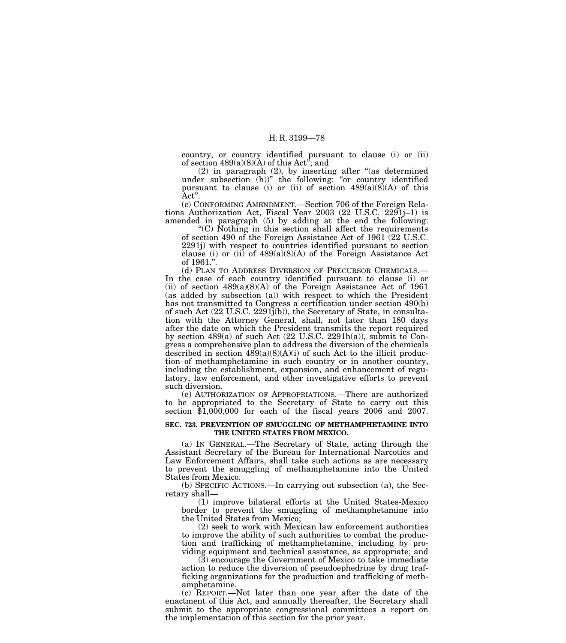country, or country identified pursuant to clause (i) or (ii) of section 489(a)(8)(A) of this Act''; and

(2) in paragraph (2), by inserting after ''(as determined under subsection (h))'' the following: ''or country identified pursuant to clause (i) or (ii) of section  $489(a)(8)(A)$  of this Act''.

(c) CONFORMING AMENDMENT.—Section 706 of the Foreign Relations Authorization Act, Fiscal Year 2003 (22 U.S.C. 2291j–1) is amended in paragraph (5) by adding at the end the following:

''(C) Nothing in this section shall affect the requirements of section 490 of the Foreign Assistance Act of 1961 (22 U.S.C. 2291j) with respect to countries identified pursuant to section clause (i) or (ii) of  $489(a)(8)(A)$  of the Foreign Assistance Act of 1961.".<br>(d) PLAN TO ADDRESS DIVERSION OF PRECURSOR CHEMICALS.—

(d) PLAN TO ADDRESS DIVERSION OF PRECURSOR CHEMICALS.— In the case of each country identified pursuant to clause (i) or (ii) of section  $489(a)(8)(A)$  of the Foreign Assistance Act of 1961 (as added by subsection (a)) with respect to which the President has not transmitted to Congress a certification under section 490(b) of such Act (22 U.S.C. 2291j(b)), the Secretary of State, in consultation with the Attorney General, shall, not later than 180 days after the date on which the President transmits the report required by section 489(a) of such Act (22 U.S.C. 2291h(a)), submit to Congress a comprehensive plan to address the diversion of the chemicals described in section  $489(a)(8)(A)(i)$  of such Act to the illicit production of methamphetamine in such country or in another country, including the establishment, expansion, and enhancement of regulatory, law enforcement, and other investigative efforts to prevent such diversion.

(e) AUTHORIZATION OF APPROPRIATIONS.—There are authorized to be appropriated to the Secretary of State to carry out this section \$1,000,000 for each of the fiscal years 2006 and 2007.

## **SEC. 723. PREVENTION OF SMUGGLING OF METHAMPHETAMINE INTO THE UNITED STATES FROM MEXICO.**

(a) IN GENERAL.—The Secretary of State, acting through the Assistant Secretary of the Bureau for International Narcotics and Law Enforcement Affairs, shall take such actions as are necessary to prevent the smuggling of methamphetamine into the United States from Mexico.

(b) SPECIFIC ACTIONS.—In carrying out subsection (a), the Secretary shall—

(1) improve bilateral efforts at the United States-Mexico border to prevent the smuggling of methamphetamine into the United States from Mexico;

(2) seek to work with Mexican law enforcement authorities to improve the ability of such authorities to combat the production and trafficking of methamphetamine, including by providing equipment and technical assistance, as appropriate; and

(3) encourage the Government of Mexico to take immediate action to reduce the diversion of pseudoephedrine by drug trafficking organizations for the production and trafficking of methamphetamine.

(c) REPORT.—Not later than one year after the date of the enactment of this Act, and annually thereafter, the Secretary shall submit to the appropriate congressional committees a report on the implementation of this section for the prior year.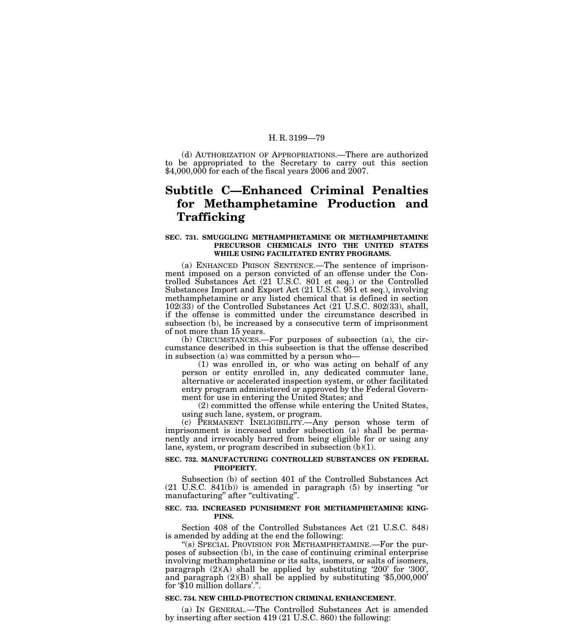(d) AUTHORIZATION OF APPROPRIATIONS.—There are authorized to be appropriated to the Secretary to carry out this section \$4,000,000 for each of the fiscal years 2006 and 2007.

# **Subtitle C—Enhanced Criminal Penalties for Methamphetamine Production and Trafficking**

#### **SEC. 731. SMUGGLING METHAMPHETAMINE OR METHAMPHETAMINE PRECURSOR CHEMICALS INTO THE UNITED STATES WHILE USING FACILITATED ENTRY PROGRAMS.**

(a) ENHANCED PRISON SENTENCE.—The sentence of imprisonment imposed on a person convicted of an offense under the Controlled Substances Act (21 U.S.C. 801 et seq.) or the Controlled Substances Import and Export Act (21 U.S.C. 951 et seq.), involving methamphetamine or any listed chemical that is defined in section 102(33) of the Controlled Substances Act (21 U.S.C. 802(33), shall, if the offense is committed under the circumstance described in subsection (b), be increased by a consecutive term of imprisonment of not more than 15 years.

(b) CIRCUMSTANCES.—For purposes of subsection (a), the circumstance described in this subsection is that the offense described in subsection (a) was committed by a person who—

(1) was enrolled in, or who was acting on behalf of any person or entity enrolled in, any dedicated commuter lane, alternative or accelerated inspection system, or other facilitated entry program administered or approved by the Federal Government for use in entering the United States; and

(2) committed the offense while entering the United States, using such lane, system, or program.

(c) PERMANENT INELIGIBILITY.—Any person whose term of imprisonment is increased under subsection (a) shall be permanently and irrevocably barred from being eligible for or using any lane, system, or program described in subsection (b)(1).

## **SEC. 732. MANUFACTURING CONTROLLED SUBSTANCES ON FEDERAL PROPERTY.**

Subsection (b) of section 401 of the Controlled Substances Act  $(21 \text{ U.S.C. } 841(b))$  is amended in paragraph  $(5)$  by inserting "or manufacturing" after "cultivating".

## **SEC. 733. INCREASED PUNISHMENT FOR METHAMPHETAMINE KING-PINS.**

Section 408 of the Controlled Substances Act (21 U.S.C. 848) is amended by adding at the end the following:

''(s) SPECIAL PROVISION FOR METHAMPHETAMINE.—For the purposes of subsection (b), in the case of continuing criminal enterprise involving methamphetamine or its salts, isomers, or salts of isomers, paragraph  $(2)(A)$  shall be applied by substituting '200' for '300', and paragraph (2)(B) shall be applied by substituting '\$5,000,000' for '\$10 million dollars'.''.

## **SEC. 734. NEW CHILD-PROTECTION CRIMINAL ENHANCEMENT.**

(a) IN GENERAL.—The Controlled Substances Act is amended by inserting after section 419 (21 U.S.C. 860) the following: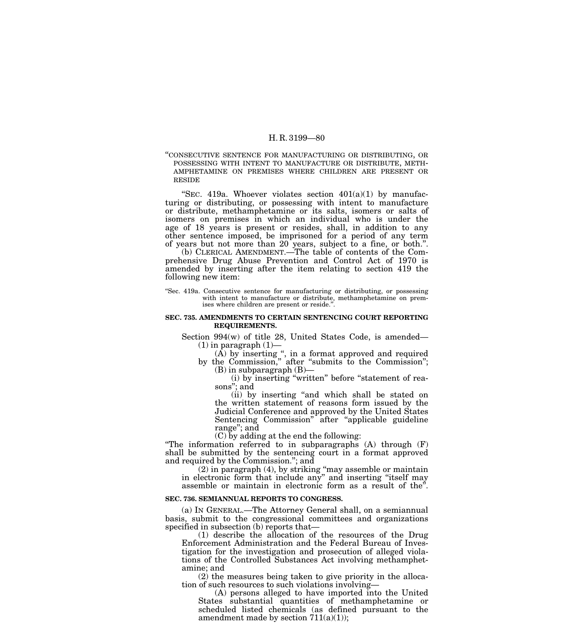''CONSECUTIVE SENTENCE FOR MANUFACTURING OR DISTRIBUTING, OR POSSESSING WITH INTENT TO MANUFACTURE OR DISTRIBUTE, METH-AMPHETAMINE ON PREMISES WHERE CHILDREN ARE PRESENT OR RESIDE

"SEC. 419a. Whoever violates section  $401(a)(1)$  by manufacturing or distributing, or possessing with intent to manufacture or distribute, methamphetamine or its salts, isomers or salts of isomers on premises in which an individual who is under the age of 18 years is present or resides, shall, in addition to any other sentence imposed, be imprisoned for a period of any term of years but not more than 20 years, subject to a fine, or both.''.

(b) CLERICAL AMENDMENT.—The table of contents of the Comprehensive Drug Abuse Prevention and Control Act of 1970 is amended by inserting after the item relating to section 419 the following new item:

''Sec. 419a. Consecutive sentence for manufacturing or distributing, or possessing with intent to manufacture or distribute, methamphetamine on premises where children are present or reside.''.

#### **SEC. 735. AMENDMENTS TO CERTAIN SENTENCING COURT REPORTING REQUIREMENTS.**

Section  $994(w)$  of title 28, United States Code, is amended—  $(1)$  in paragraph  $(1)$ —

(A) by inserting '', in a format approved and required by the Commission," after "submits to the Commission";

(B) in subparagraph (B)—

(i) by inserting "written" before "statement of reasons''; and

(ii) by inserting ''and which shall be stated on the written statement of reasons form issued by the Judicial Conference and approved by the United States Sentencing Commission'' after ''applicable guideline range''; and

(C) by adding at the end the following:

"The information referred to in subparagraphs  $(A)$  through  $(F)$ shall be submitted by the sentencing court in a format approved and required by the Commission.''; and

(2) in paragraph (4), by striking ''may assemble or maintain in electronic form that include any'' and inserting ''itself may assemble or maintain in electronic form as a result of the''.

#### **SEC. 736. SEMIANNUAL REPORTS TO CONGRESS.**

(a) IN GENERAL.—The Attorney General shall, on a semiannual basis, submit to the congressional committees and organizations specified in subsection (b) reports that—

(1) describe the allocation of the resources of the Drug Enforcement Administration and the Federal Bureau of Investigation for the investigation and prosecution of alleged violations of the Controlled Substances Act involving methamphetamine; and

(2) the measures being taken to give priority in the allocation of such resources to such violations involving—

(A) persons alleged to have imported into the United States substantial quantities of methamphetamine or scheduled listed chemicals (as defined pursuant to the amendment made by section  $711(a)(1)$ ;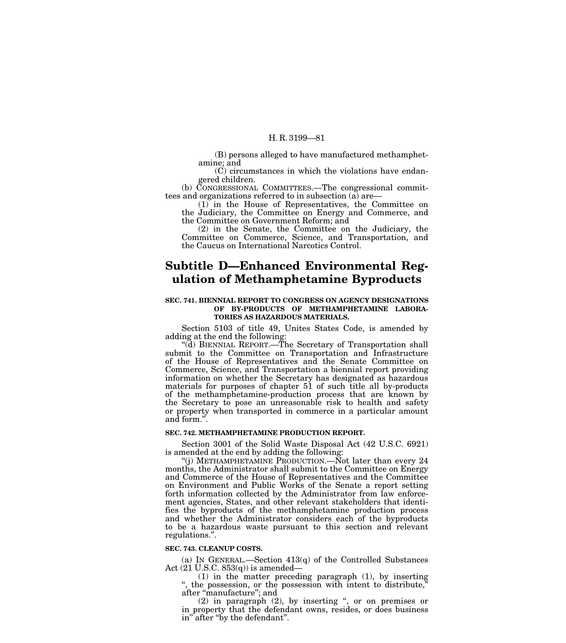(B) persons alleged to have manufactured methamphetamine; and

(C) circumstances in which the violations have endangered children.

(b) CONGRESSIONAL COMMITTEES.—The congressional committees and organizations referred to in subsection (a) are—

(1) in the House of Representatives, the Committee on the Judiciary, the Committee on Energy and Commerce, and the Committee on Government Reform; and

(2) in the Senate, the Committee on the Judiciary, the Committee on Commerce, Science, and Transportation, and the Caucus on International Narcotics Control.

# **Subtitle D—Enhanced Environmental Regulation of Methamphetamine Byproducts**

### **SEC. 741. BIENNIAL REPORT TO CONGRESS ON AGENCY DESIGNATIONS OF BY-PRODUCTS OF METHAMPHETAMINE LABORA-TORIES AS HAZARDOUS MATERIALS.**

Section 5103 of title 49, Unites States Code, is amended by adding at the end the following:

''(d) BIENNIAL REPORT.—The Secretary of Transportation shall submit to the Committee on Transportation and Infrastructure of the House of Representatives and the Senate Committee on Commerce, Science, and Transportation a biennial report providing information on whether the Secretary has designated as hazardous materials for purposes of chapter 51 of such title all by-products of the methamphetamine-production process that are known by the Secretary to pose an unreasonable risk to health and safety or property when transported in commerce in a particular amount and form.''.

#### **SEC. 742. METHAMPHETAMINE PRODUCTION REPORT.**

Section 3001 of the Solid Waste Disposal Act (42 U.S.C. 6921) is amended at the end by adding the following:

"(j) METHAMPHETAMINE PRODUCTION.—Not later than every 24 months, the Administrator shall submit to the Committee on Energy and Commerce of the House of Representatives and the Committee on Environment and Public Works of the Senate a report setting forth information collected by the Administrator from law enforcement agencies, States, and other relevant stakeholders that identifies the byproducts of the methamphetamine production process and whether the Administrator considers each of the byproducts to be a hazardous waste pursuant to this section and relevant regulations.''.

## **SEC. 743. CLEANUP COSTS.**

(a) IN GENERAL.—Section  $413(q)$  of the Controlled Substances Act (21 U.S.C. 853(q)) is amended—

(1) in the matter preceding paragraph (1), by inserting '', the possession, or the possession with intent to distribute,'' after ''manufacture''; and

(2) in paragraph (2), by inserting '', or on premises or in property that the defendant owns, resides, or does business in'' after ''by the defendant''.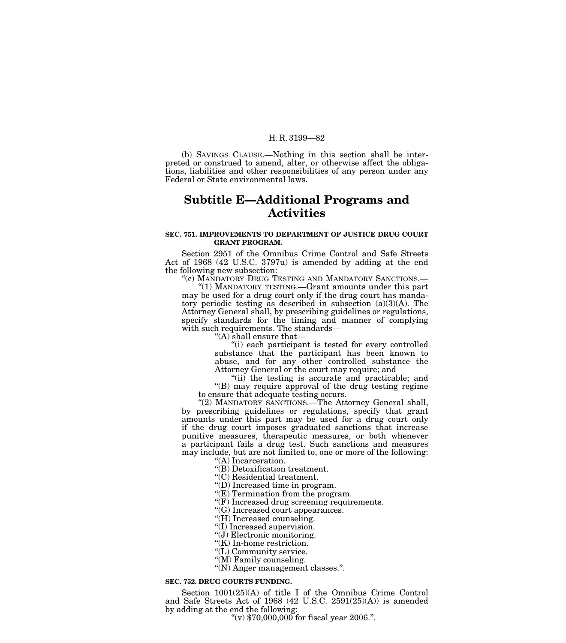(b) SAVINGS CLAUSE.—Nothing in this section shall be interpreted or construed to amend, alter, or otherwise affect the obligations, liabilities and other responsibilities of any person under any Federal or State environmental laws.

# **Subtitle E—Additional Programs and Activities**

## **SEC. 751. IMPROVEMENTS TO DEPARTMENT OF JUSTICE DRUG COURT GRANT PROGRAM.**

Section 2951 of the Omnibus Crime Control and Safe Streets Act of 1968 (42 U.S.C. 3797u) is amended by adding at the end the following new subsection:

''(c) MANDATORY DRUG TESTING AND MANDATORY SANCTIONS.—

"(1) MANDATORY TESTING.—Grant amounts under this part may be used for a drug court only if the drug court has mandatory periodic testing as described in subsection (a)(3)(A). The Attorney General shall, by prescribing guidelines or regulations, specify standards for the timing and manner of complying with such requirements. The standards—

''(A) shall ensure that—

''(i) each participant is tested for every controlled substance that the participant has been known to abuse, and for any other controlled substance the Attorney General or the court may require; and

"(ii) the testing is accurate and practicable; and ''(B) may require approval of the drug testing regime to ensure that adequate testing occurs.

"(2) MANDATORY SANCTIONS.—The Attorney General shall, by prescribing guidelines or regulations, specify that grant amounts under this part may be used for a drug court only if the drug court imposes graduated sanctions that increase punitive measures, therapeutic measures, or both whenever a participant fails a drug test. Such sanctions and measures may include, but are not limited to, one or more of the following:

- ''(A) Incarceration.
- ''(B) Detoxification treatment.

''(C) Residential treatment.

- ''(D) Increased time in program.
- ''(E) Termination from the program.
- ''(F) Increased drug screening requirements.
- ''(G) Increased court appearances.
- ''(H) Increased counseling.
- ''(I) Increased supervision.
- ''(J) Electronic monitoring.
- ''(K) In-home restriction.
- ''(L) Community service.
- ''(M) Family counseling.
- ''(N) Anger management classes.''.

## **SEC. 752. DRUG COURTS FUNDING.**

Section 1001(25)(A) of title I of the Omnibus Crime Control and Safe Streets Act of 1968 (42 U.S.C. 2591(25)(A)) is amended by adding at the end the following:

"(v)  $$70,000,000$  for fiscal year 2006.".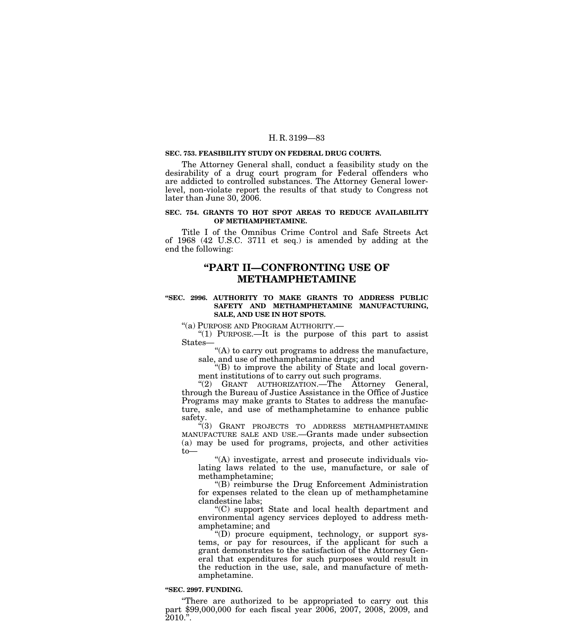## **SEC. 753. FEASIBILITY STUDY ON FEDERAL DRUG COURTS.**

The Attorney General shall, conduct a feasibility study on the desirability of a drug court program for Federal offenders who are addicted to controlled substances. The Attorney General lowerlevel, non-violate report the results of that study to Congress not later than June 30, 2006.

## **SEC. 754. GRANTS TO HOT SPOT AREAS TO REDUCE AVAILABILITY OF METHAMPHETAMINE.**

Title I of the Omnibus Crime Control and Safe Streets Act of 1968 (42 U.S.C. 3711 et seq.) is amended by adding at the end the following:

# **''PART II—CONFRONTING USE OF METHAMPHETAMINE**

### **''SEC. 2996. AUTHORITY TO MAKE GRANTS TO ADDRESS PUBLIC SAFETY AND METHAMPHETAMINE MANUFACTURING, SALE, AND USE IN HOT SPOTS.**

''(a) PURPOSE AND PROGRAM AUTHORITY.—

"(1) PURPOSE.—It is the purpose of this part to assist States—

"(A) to carry out programs to address the manufacture, sale, and use of methamphetamine drugs; and

''(B) to improve the ability of State and local government institutions of to carry out such programs.

''(2) GRANT AUTHORIZATION.—The Attorney General, through the Bureau of Justice Assistance in the Office of Justice Programs may make grants to States to address the manufacture, sale, and use of methamphetamine to enhance public safety.

 $\cdot\cdot\cdot(3)$  GRANT PROJECTS TO ADDRESS METHAMPHETAMINE MANUFACTURE SALE AND USE.—Grants made under subsection (a) may be used for programs, projects, and other activities to—

''(A) investigate, arrest and prosecute individuals violating laws related to the use, manufacture, or sale of methamphetamine;

''(B) reimburse the Drug Enforcement Administration for expenses related to the clean up of methamphetamine clandestine labs;

''(C) support State and local health department and environmental agency services deployed to address methamphetamine; and

''(D) procure equipment, technology, or support systems, or pay for resources, if the applicant for such a grant demonstrates to the satisfaction of the Attorney General that expenditures for such purposes would result in the reduction in the use, sale, and manufacture of methamphetamine.

## **''SEC. 2997. FUNDING.**

''There are authorized to be appropriated to carry out this part \$99,000,000 for each fiscal year 2006, 2007, 2008, 2009, and  $2010."$ .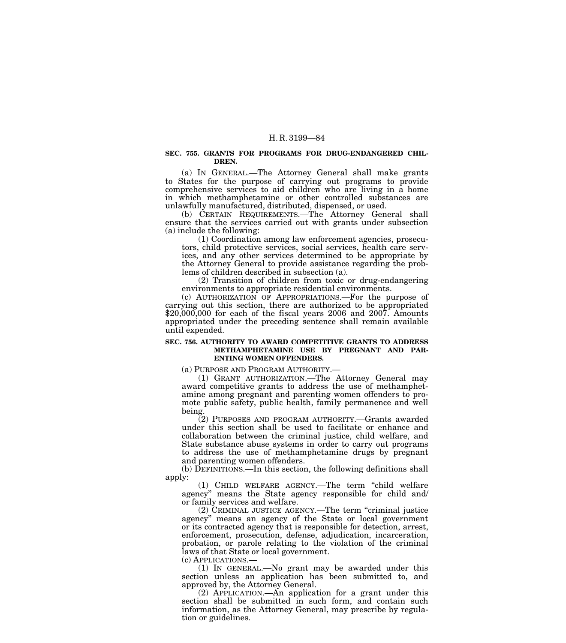## **SEC. 755. GRANTS FOR PROGRAMS FOR DRUG-ENDANGERED CHIL-DREN.**

(a) IN GENERAL.—The Attorney General shall make grants to States for the purpose of carrying out programs to provide comprehensive services to aid children who are living in a home in which methamphetamine or other controlled substances are unlawfully manufactured, distributed, dispensed, or used.

(b) CERTAIN REQUIREMENTS.—The Attorney General shall ensure that the services carried out with grants under subsection (a) include the following:

(1) Coordination among law enforcement agencies, prosecutors, child protective services, social services, health care services, and any other services determined to be appropriate by the Attorney General to provide assistance regarding the problems of children described in subsection (a).

(2) Transition of children from toxic or drug-endangering environments to appropriate residential environments.

(c) AUTHORIZATION OF APPROPRIATIONS.—For the purpose of carrying out this section, there are authorized to be appropriated  $$20,000,000$  for each of the fiscal years 2006 and 2007. Amounts appropriated under the preceding sentence shall remain available until expended.

## **SEC. 756. AUTHORITY TO AWARD COMPETITIVE GRANTS TO ADDRESS METHAMPHETAMINE USE BY PREGNANT AND PAR-ENTING WOMEN OFFENDERS.**

(a) PURPOSE AND PROGRAM AUTHORITY.— (1) GRANT AUTHORIZATION.—The Attorney General may award competitive grants to address the use of methamphetamine among pregnant and parenting women offenders to promote public safety, public health, family permanence and well being.

(2) PURPOSES AND PROGRAM AUTHORITY.—Grants awarded under this section shall be used to facilitate or enhance and collaboration between the criminal justice, child welfare, and State substance abuse systems in order to carry out programs to address the use of methamphetamine drugs by pregnant and parenting women offenders.

(b) DEFINITIONS.—In this section, the following definitions shall apply:

(1) CHILD WELFARE AGENCY.—The term ''child welfare agency'' means the State agency responsible for child and/ or family services and welfare.

(2) CRIMINAL JUSTICE AGENCY.—The term ''criminal justice agency'' means an agency of the State or local government or its contracted agency that is responsible for detection, arrest, enforcement, prosecution, defense, adjudication, incarceration, probation, or parole relating to the violation of the criminal laws of that State or local government.

(c) APPLICATIONS.—

(1) IN GENERAL.—No grant may be awarded under this section unless an application has been submitted to, and approved by, the Attorney General.

(2) APPLICATION.—An application for a grant under this section shall be submitted in such form, and contain such information, as the Attorney General, may prescribe by regulation or guidelines.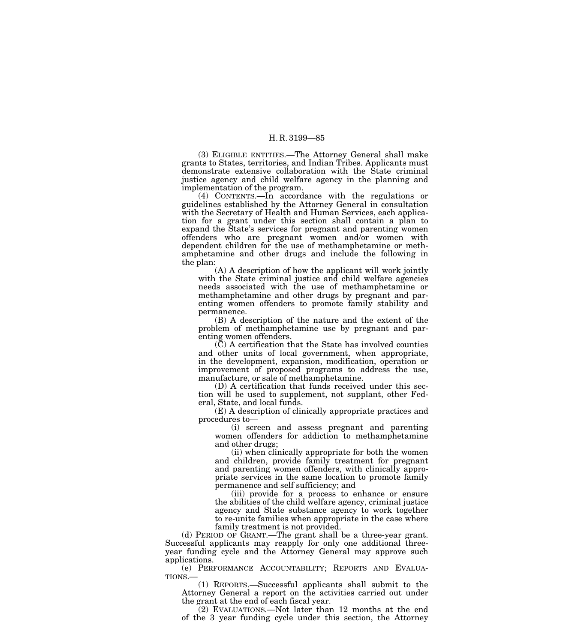(3) ELIGIBLE ENTITIES.—The Attorney General shall make grants to States, territories, and Indian Tribes. Applicants must demonstrate extensive collaboration with the State criminal justice agency and child welfare agency in the planning and implementation of the program.

(4) CONTENTS.—In accordance with the regulations or guidelines established by the Attorney General in consultation with the Secretary of Health and Human Services, each application for a grant under this section shall contain a plan to expand the State's services for pregnant and parenting women offenders who are pregnant women and/or women with dependent children for the use of methamphetamine or methamphetamine and other drugs and include the following in the plan:

(A) A description of how the applicant will work jointly with the State criminal justice and child welfare agencies needs associated with the use of methamphetamine or methamphetamine and other drugs by pregnant and parenting women offenders to promote family stability and permanence.

(B) A description of the nature and the extent of the problem of methamphetamine use by pregnant and parenting women offenders.

(C) A certification that the State has involved counties and other units of local government, when appropriate, in the development, expansion, modification, operation or improvement of proposed programs to address the use, manufacture, or sale of methamphetamine.

(D) A certification that funds received under this section will be used to supplement, not supplant, other Federal, State, and local funds.

(E) A description of clinically appropriate practices and procedures to—

(i) screen and assess pregnant and parenting women offenders for addiction to methamphetamine and other drugs;

(ii) when clinically appropriate for both the women and children, provide family treatment for pregnant and parenting women offenders, with clinically appropriate services in the same location to promote family permanence and self sufficiency; and

(iii) provide for a process to enhance or ensure the abilities of the child welfare agency, criminal justice agency and State substance agency to work together to re-unite families when appropriate in the case where family treatment is not provided.

(d) PERIOD OF GRANT.—The grant shall be a three-year grant. Successful applicants may reapply for only one additional threeyear funding cycle and the Attorney General may approve such applications.

(e) PERFORMANCE ACCOUNTABILITY; REPORTS AND EVALUA-TIONS.—

(1) REPORTS.—Successful applicants shall submit to the Attorney General a report on the activities carried out under the grant at the end of each fiscal year.

(2) EVALUATIONS.—Not later than 12 months at the end of the 3 year funding cycle under this section, the Attorney